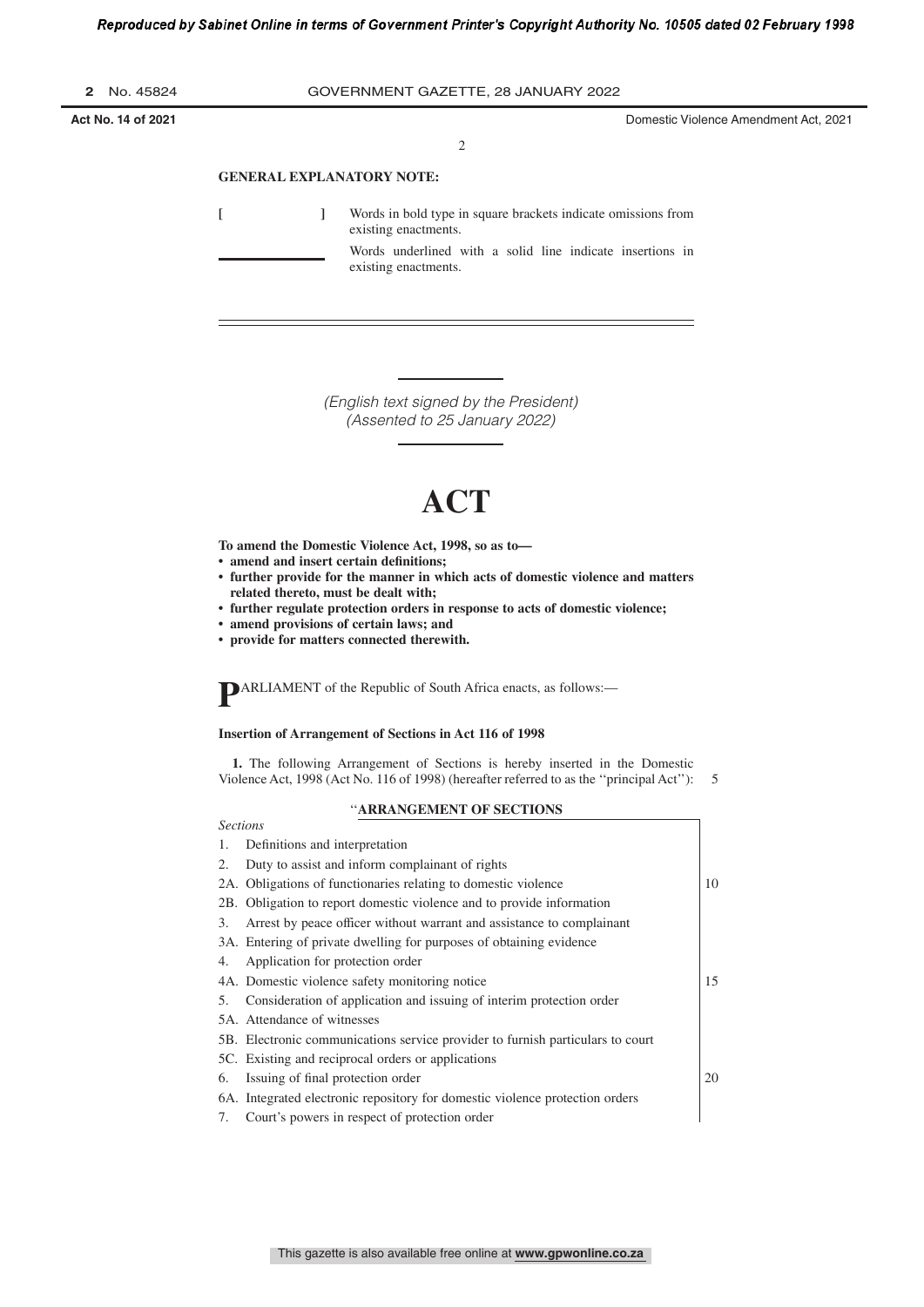| Act No. 14 of 2021 |                                     | Domestic Violence Amendment Act, 2021 |
|--------------------|-------------------------------------|---------------------------------------|
| <b>2</b> No. 45824 | GOVERNMENT GAZETTE, 28 JANUARY 2022 |                                       |

2

# **GENERAL EXPLANATORY NOTE:**

*Sections*

**[ ]** Words in bold type in square brackets indicate omissions from existing enactments. Words underlined with a solid line indicate insertions in existing enactments.

> (English text signed by the President) (Assented to 25 January 2022)

# **ACT**

**To amend the Domestic Violence Act, 1998, so as to—**

- **ï amend and insert certain deſnitions;**
- **ï further provide for the manner in which acts of domestic violence and matters related thereto, must be dealt with;**
- **ï further regulate protection orders in response to acts of domestic violence;**
- **ï amend provisions of certain laws; and**
- **ï provide for matters connected therewith.**

**P** ARLIAMENT of the Republic of South Africa enacts, as follows:—

#### **Insertion of Arrangement of Sections in Act 116 of 1998**

**1.** The following Arrangement of Sections is hereby inserted in the Domestic Violence Act, 1998 (Act No. 116 of 1998) (hereafter referred to as the ''principal Act''): 5

# ''**ARRANGEMENT OF SECTIONS**

| 1. | Definitions and interpretation                                                 |    |
|----|--------------------------------------------------------------------------------|----|
| 2. | Duty to assist and inform complainant of rights                                |    |
|    | 2A. Obligations of functionaries relating to domestic violence                 | 10 |
|    | 2B. Obligation to report domestic violence and to provide information          |    |
| 3. | Arrest by peace officer without warrant and assistance to complainant          |    |
|    | 3A. Entering of private dwelling for purposes of obtaining evidence            |    |
| 4. | Application for protection order                                               |    |
|    | 4A. Domestic violence safety monitoring notice                                 | 15 |
| 5. | Consideration of application and issuing of interim protection order           |    |
|    | 5A. Attendance of witnesses                                                    |    |
|    | 5B. Electronic communications service provider to furnish particulars to court |    |
|    | 5C. Existing and reciprocal orders or applications                             |    |
| 6. | Issuing of final protection order                                              | 20 |
|    | 6A. Integrated electronic repository for domestic violence protection orders   |    |
| 7. | Court's powers in respect of protection order                                  |    |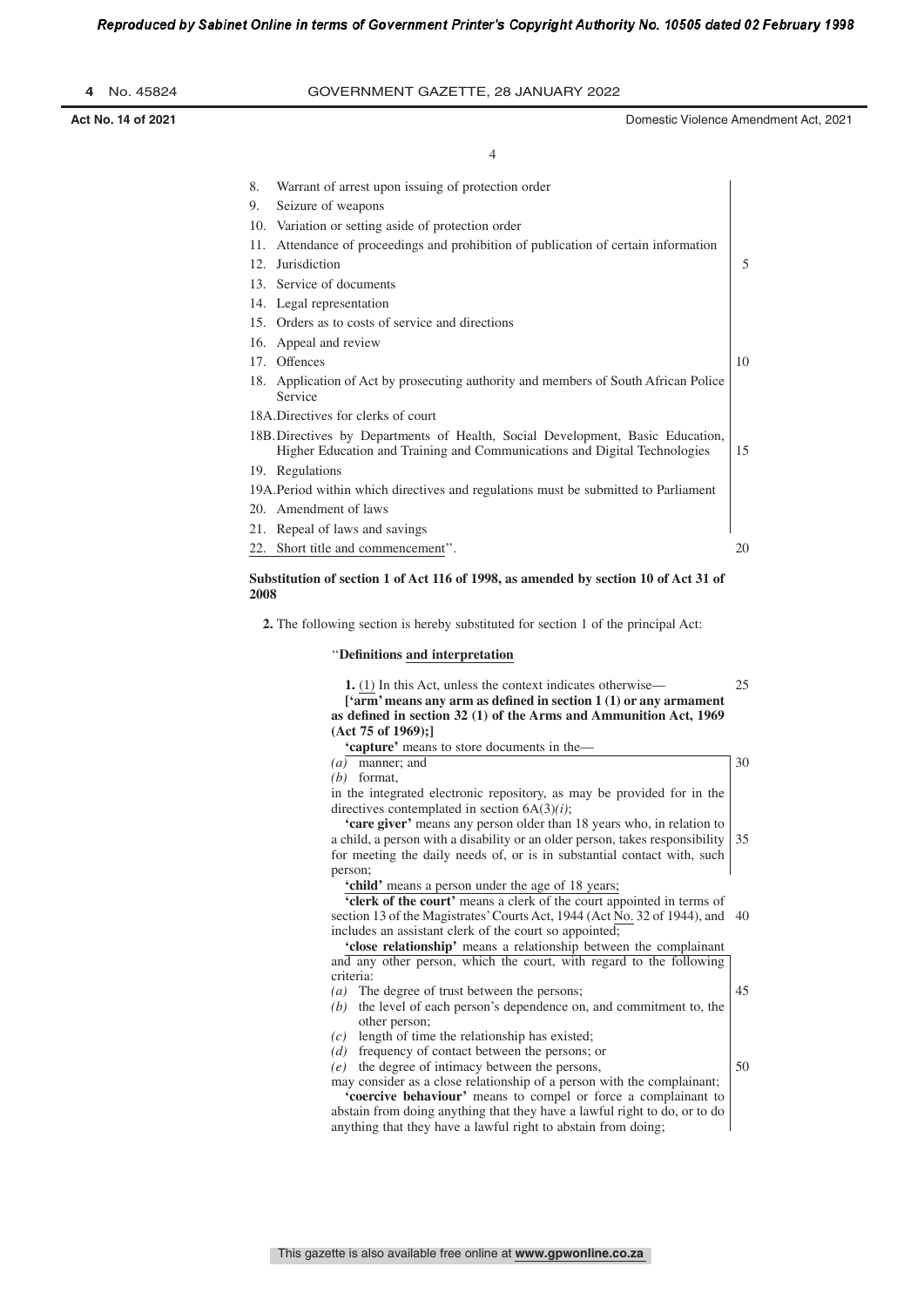| 4 No. 45824 | GOVERNMENT GAZETTE, 28 JANUARY 2022 |  |
|-------------|-------------------------------------|--|

4

| 8.   | Warrant of arrest upon issuing of protection order                                                                                                                                                                                                                                              |    |
|------|-------------------------------------------------------------------------------------------------------------------------------------------------------------------------------------------------------------------------------------------------------------------------------------------------|----|
| 9.   | Seizure of weapons                                                                                                                                                                                                                                                                              |    |
|      | 10. Variation or setting aside of protection order                                                                                                                                                                                                                                              |    |
| 11.  | Attendance of proceedings and prohibition of publication of certain information                                                                                                                                                                                                                 |    |
| 12.  | Jurisdiction                                                                                                                                                                                                                                                                                    | 5  |
|      | 13. Service of documents                                                                                                                                                                                                                                                                        |    |
|      | 14. Legal representation                                                                                                                                                                                                                                                                        |    |
|      | 15. Orders as to costs of service and directions                                                                                                                                                                                                                                                |    |
|      | 16. Appeal and review                                                                                                                                                                                                                                                                           |    |
|      | 17. Offences                                                                                                                                                                                                                                                                                    | 10 |
|      | 18. Application of Act by prosecuting authority and members of South African Police<br>Service                                                                                                                                                                                                  |    |
|      | 18A. Directives for clerks of court                                                                                                                                                                                                                                                             |    |
|      | 18B. Directives by Departments of Health, Social Development, Basic Education,<br>Higher Education and Training and Communications and Digital Technologies                                                                                                                                     | 15 |
|      | 19. Regulations                                                                                                                                                                                                                                                                                 |    |
|      | 19A. Period within which directives and regulations must be submitted to Parliament                                                                                                                                                                                                             |    |
|      | 20. Amendment of laws                                                                                                                                                                                                                                                                           |    |
|      | 21. Repeal of laws and savings                                                                                                                                                                                                                                                                  |    |
|      | 22. Short title and commencement".                                                                                                                                                                                                                                                              | 20 |
| 2008 | Substitution of section 1 of Act 116 of 1998, as amended by section 10 of Act 31 of<br>2. The following section is hereby substituted for section 1 of the principal Act:                                                                                                                       |    |
|      |                                                                                                                                                                                                                                                                                                 |    |
|      | "Definitions and interpretation                                                                                                                                                                                                                                                                 |    |
|      | 1. (1) In this Act, unless the context indicates otherwise—<br>['arm' means any arm as defined in section $1(1)$ or any armament<br>as defined in section 32 (1) of the Arms and Ammunition Act, 1969<br>(Act 75 of 1969):<br>'capture' means to store documents in the-                        | 25 |
|      | $(a)$ manner; and                                                                                                                                                                                                                                                                               | 30 |
|      | $(b)$ format,                                                                                                                                                                                                                                                                                   |    |
|      | in the integrated electronic repository, as may be provided for in the<br>directives contemplated in section $6A(3)(i)$ ;                                                                                                                                                                       |    |
|      | 'care giver' means any person older than 18 years who, in relation to<br>a child, a person with a disability or an older person, takes responsibility<br>for meeting the daily needs of, or is in substantial contact with, such<br>person;<br>folished moone a nomen under the egg of 10 years | 35 |
|      |                                                                                                                                                                                                                                                                                                 |    |

hild' means a person under the age of 18 years;

**'clerk of the court'** means a clerk of the court appointed in terms of section 13 of the Magistrates' Courts Act, 1944 (Act No. 32 of 1944), and 40 includes an assistant clerk of the court so appointed;

**'close relationship'** means a relationship between the complainant and any other person, which the court, with regard to the following criteria:

- *(a)* The degree of trust between the persons; *(b)* the level of each person's dependence on, and commitment to, the other person; *(c)* length of time the relationship has existed; 45
- *(d)* frequency of contact between the persons; or

*(e)* the degree of intimacy between the persons,

may consider as a close relationship of a person with the complainant; 50

**'coercive behaviour'** means to compel or force a complainant to abstain from doing anything that they have a lawful right to do, or to do anything that they have a lawful right to abstain from doing;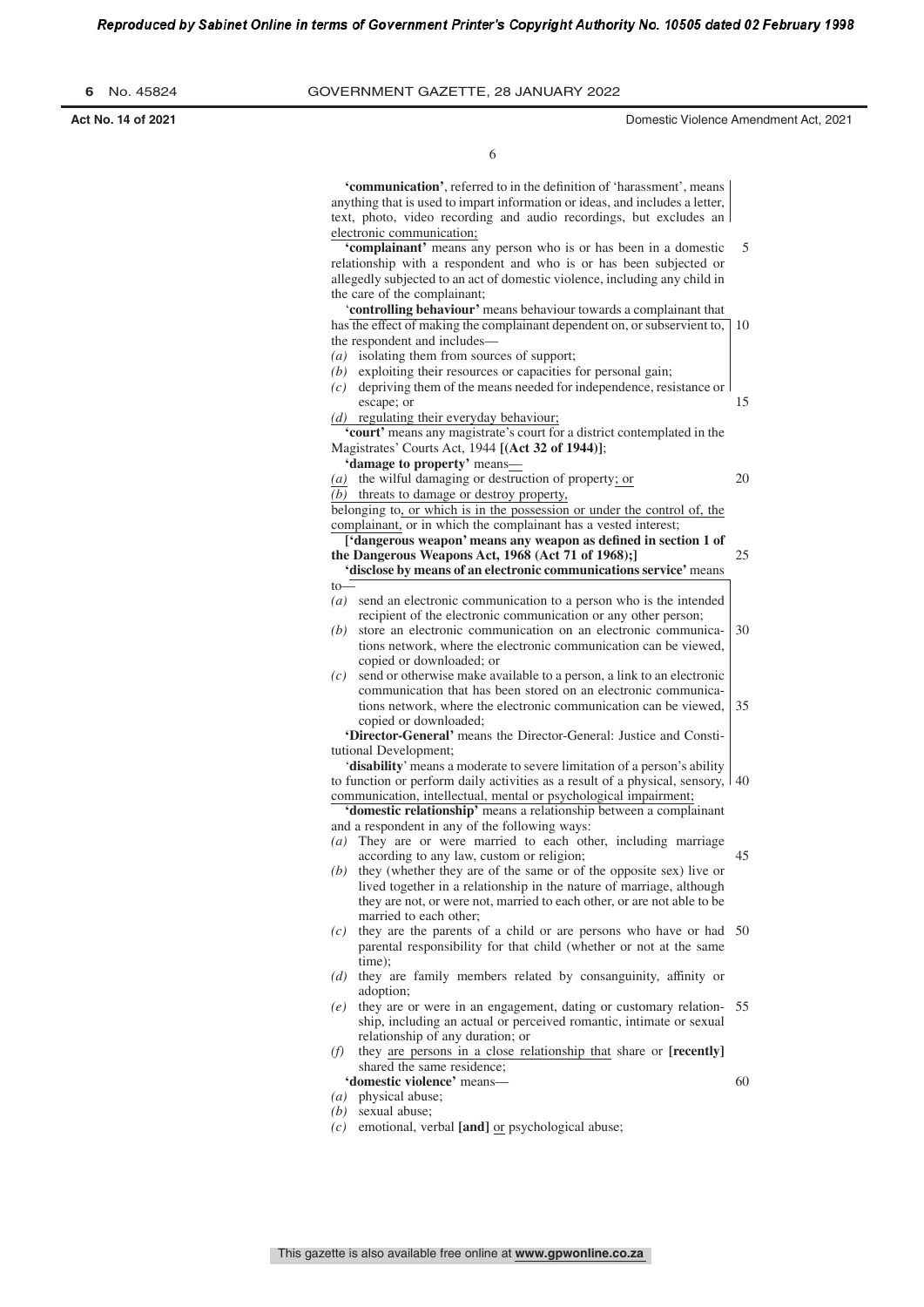|  | No. 45824 |  |  |  |  | 6 |
|--|-----------|--|--|--|--|---|
|--|-----------|--|--|--|--|---|

**GOVERNMENT GAZETTE, 28 JANUARY 2022** 

**Act No. 14 of 2021** Domestic Violence Amendment Act, 2021

20

60

6

anything that is used to impart information or ideas, and includes a letter, text, photo, video recording and audio recordings, but excludes an electronic communication; **'complainant'** means any person who is or has been in a domestic relationship with a respondent and who is or has been subjected or allegedly subjected to an act of domestic violence, including any child in the care of the complainant; '**controlling behaviour'** means behaviour towards a complainant that has the effect of making the complainant dependent on, or subservient to, 10 the respondent and includes— *(a)* isolating them from sources of support; *(b)* exploiting their resources or capacities for personal gain; 5

'communication', referred to in the definition of 'harassment', means

*(c)* depriving them of the means needed for independence, resistance or escape; or 15

*(d)* regulating their everyday behaviour;

**'court'** means any magistrate's court for a district contemplated in the Magistrates' Courts Act, 1944 **[(Act 32 of 1944)]**;

- **'damage to property'** means—
- *(a)* the wilful damaging or destruction of property; or

*(b)* threats to damage or destroy property,

belonging to, or which is in the possession or under the control of, the complainant, or in which the complainant has a vested interest;

*['dangerous weapon'* **means any weapon as defined in section 1 of the Dangerous Weapons Act, 1968 (Act 71 of 1968);] 'disclose by means of an electronic communications service'** means 25

- $t_0$
- *(a)* send an electronic communication to a person who is the intended recipient of the electronic communication or any other person;
- *(b)* store an electronic communication on an electronic communications network, where the electronic communication can be viewed, copied or downloaded; or 30
- *(c)* send or otherwise make available to a person, a link to an electronic communication that has been stored on an electronic communications network, where the electronic communication can be viewed, copied or downloaded; 35

**'Director-General'** means the Director-General: Justice and Constitutional Development;

'**disability**'means a moderate to severe limitation of a person's ability to function or perform daily activities as a result of a physical, sensory, communication, intellectual, mental or psychological impairment; 40

**'domestic relationship'** means a relationship between a complainant and a respondent in any of the following ways:

- *(a)* They are or were married to each other, including marriage according to any law, custom or religion; 45
- *(b)* they (whether they are of the same or of the opposite sex) live or lived together in a relationship in the nature of marriage, although they are not, or were not, married to each other, or are not able to be married to each other;
- *(c)* they are the parents of a child or are persons who have or had 50 parental responsibility for that child (whether or not at the same time);
- *(d)* they are family members related by consanguinity, affinity or adoption;
- *(e)* they are or were in an engagement, dating or customary relation-55 ship, including an actual or perceived romantic, intimate or sexual relationship of any duration; or
- *(f)* they are persons in a close relationship that share or **[recently]** shared the same residence;
	- **'domestic violence'** means—
- *(a)* physical abuse;
- *(b)* sexual abuse;
- *(c)* emotional, verbal **[and]** or psychological abuse;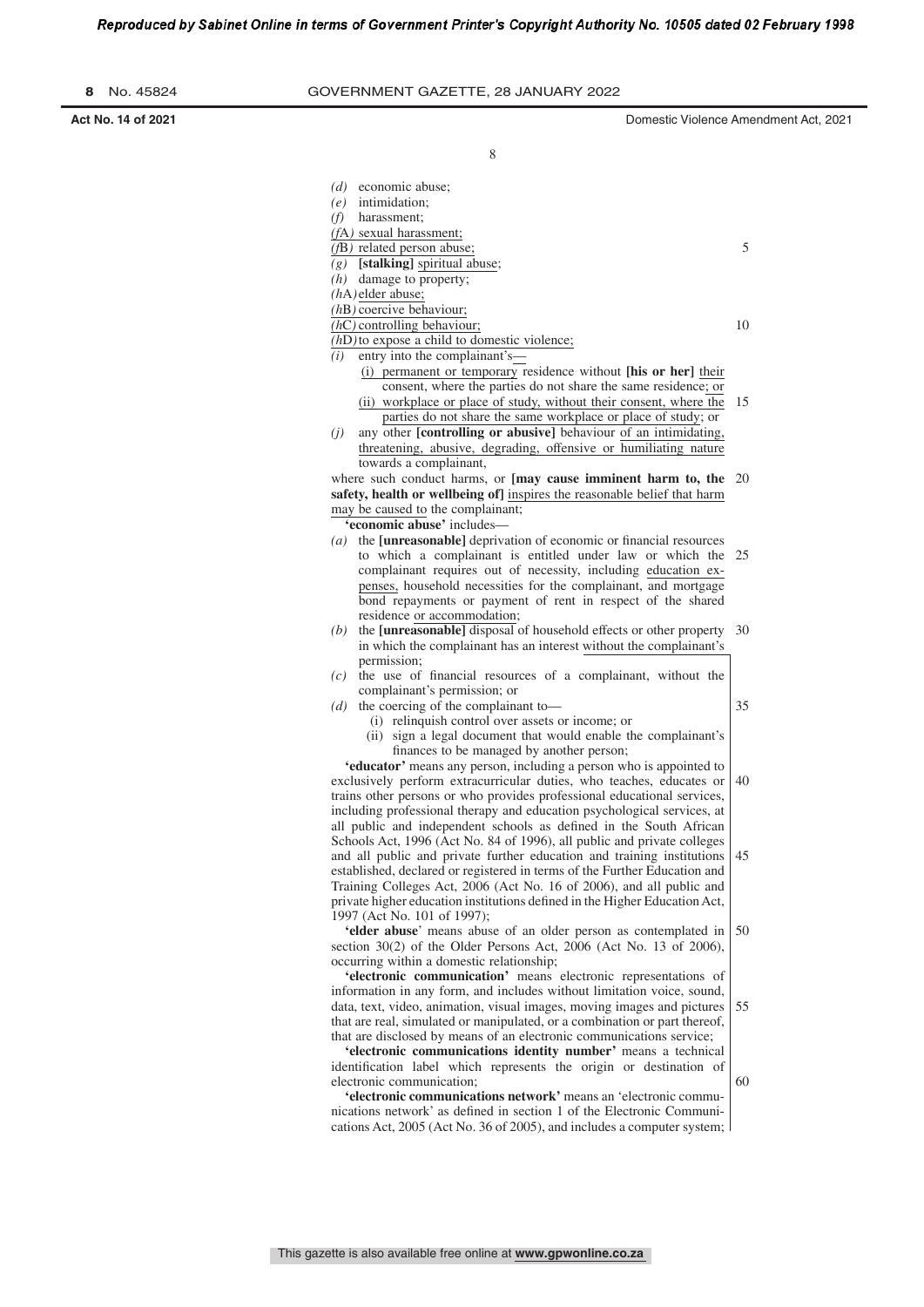| В |  | No. 45824 |
|---|--|-----------|
|---|--|-----------|

**Act No. 14 of 2021** Domestic Violence Amendment Act, 2021

|     | $(d)$ economic abuse;                                                                                                                                                                                                                                                                                                                                                                                                                                                                                                                                                                                                                                                                                                                                                                                                                                                                                                                                                                                                                                                                                                                                                                                                                                                                                                                                                                                                                                                                            |
|-----|--------------------------------------------------------------------------------------------------------------------------------------------------------------------------------------------------------------------------------------------------------------------------------------------------------------------------------------------------------------------------------------------------------------------------------------------------------------------------------------------------------------------------------------------------------------------------------------------------------------------------------------------------------------------------------------------------------------------------------------------------------------------------------------------------------------------------------------------------------------------------------------------------------------------------------------------------------------------------------------------------------------------------------------------------------------------------------------------------------------------------------------------------------------------------------------------------------------------------------------------------------------------------------------------------------------------------------------------------------------------------------------------------------------------------------------------------------------------------------------------------|
|     | $(e)$ intimidation;                                                                                                                                                                                                                                                                                                                                                                                                                                                                                                                                                                                                                                                                                                                                                                                                                                                                                                                                                                                                                                                                                                                                                                                                                                                                                                                                                                                                                                                                              |
| (f) | harassment:                                                                                                                                                                                                                                                                                                                                                                                                                                                                                                                                                                                                                                                                                                                                                                                                                                                                                                                                                                                                                                                                                                                                                                                                                                                                                                                                                                                                                                                                                      |
|     | (fA) sexual harassment;                                                                                                                                                                                                                                                                                                                                                                                                                                                                                                                                                                                                                                                                                                                                                                                                                                                                                                                                                                                                                                                                                                                                                                                                                                                                                                                                                                                                                                                                          |
|     | $(fB)$ related person abuse;                                                                                                                                                                                                                                                                                                                                                                                                                                                                                                                                                                                                                                                                                                                                                                                                                                                                                                                                                                                                                                                                                                                                                                                                                                                                                                                                                                                                                                                                     |
| (g) | [stalking] spiritual abuse;                                                                                                                                                                                                                                                                                                                                                                                                                                                                                                                                                                                                                                                                                                                                                                                                                                                                                                                                                                                                                                                                                                                                                                                                                                                                                                                                                                                                                                                                      |
|     | $(h)$ damage to property;                                                                                                                                                                                                                                                                                                                                                                                                                                                                                                                                                                                                                                                                                                                                                                                                                                                                                                                                                                                                                                                                                                                                                                                                                                                                                                                                                                                                                                                                        |
|     | $(hA)$ elder abuse;                                                                                                                                                                                                                                                                                                                                                                                                                                                                                                                                                                                                                                                                                                                                                                                                                                                                                                                                                                                                                                                                                                                                                                                                                                                                                                                                                                                                                                                                              |
|     | $(hB)$ coercive behaviour;                                                                                                                                                                                                                                                                                                                                                                                                                                                                                                                                                                                                                                                                                                                                                                                                                                                                                                                                                                                                                                                                                                                                                                                                                                                                                                                                                                                                                                                                       |
|     | $(hC)$ controlling behaviour;                                                                                                                                                                                                                                                                                                                                                                                                                                                                                                                                                                                                                                                                                                                                                                                                                                                                                                                                                                                                                                                                                                                                                                                                                                                                                                                                                                                                                                                                    |
|     | $(hD)$ to expose a child to domestic violence;                                                                                                                                                                                                                                                                                                                                                                                                                                                                                                                                                                                                                                                                                                                                                                                                                                                                                                                                                                                                                                                                                                                                                                                                                                                                                                                                                                                                                                                   |
| (i) | entry into the complainant's-<br>(i) permanent or temporary residence without [his or her] their                                                                                                                                                                                                                                                                                                                                                                                                                                                                                                                                                                                                                                                                                                                                                                                                                                                                                                                                                                                                                                                                                                                                                                                                                                                                                                                                                                                                 |
|     | consent, where the parties do not share the same residence; or                                                                                                                                                                                                                                                                                                                                                                                                                                                                                                                                                                                                                                                                                                                                                                                                                                                                                                                                                                                                                                                                                                                                                                                                                                                                                                                                                                                                                                   |
|     | (ii) workplace or place of study, without their consent, where the                                                                                                                                                                                                                                                                                                                                                                                                                                                                                                                                                                                                                                                                                                                                                                                                                                                                                                                                                                                                                                                                                                                                                                                                                                                                                                                                                                                                                               |
|     | parties do not share the same workplace or place of study; or                                                                                                                                                                                                                                                                                                                                                                                                                                                                                                                                                                                                                                                                                                                                                                                                                                                                                                                                                                                                                                                                                                                                                                                                                                                                                                                                                                                                                                    |
| (j) | any other [controlling or abusive] behaviour of an intimidating,                                                                                                                                                                                                                                                                                                                                                                                                                                                                                                                                                                                                                                                                                                                                                                                                                                                                                                                                                                                                                                                                                                                                                                                                                                                                                                                                                                                                                                 |
|     | threatening, abusive, degrading, offensive or humiliating nature                                                                                                                                                                                                                                                                                                                                                                                                                                                                                                                                                                                                                                                                                                                                                                                                                                                                                                                                                                                                                                                                                                                                                                                                                                                                                                                                                                                                                                 |
|     | towards a complainant,                                                                                                                                                                                                                                                                                                                                                                                                                                                                                                                                                                                                                                                                                                                                                                                                                                                                                                                                                                                                                                                                                                                                                                                                                                                                                                                                                                                                                                                                           |
|     | where such conduct harms, or [may cause imminent harm to, the 20                                                                                                                                                                                                                                                                                                                                                                                                                                                                                                                                                                                                                                                                                                                                                                                                                                                                                                                                                                                                                                                                                                                                                                                                                                                                                                                                                                                                                                 |
|     | safety, health or wellbeing of] inspires the reasonable belief that harm                                                                                                                                                                                                                                                                                                                                                                                                                                                                                                                                                                                                                                                                                                                                                                                                                                                                                                                                                                                                                                                                                                                                                                                                                                                                                                                                                                                                                         |
|     | may be caused to the complainant;                                                                                                                                                                                                                                                                                                                                                                                                                                                                                                                                                                                                                                                                                                                                                                                                                                                                                                                                                                                                                                                                                                                                                                                                                                                                                                                                                                                                                                                                |
|     | 'economic abuse' includes—                                                                                                                                                                                                                                                                                                                                                                                                                                                                                                                                                                                                                                                                                                                                                                                                                                                                                                                                                                                                                                                                                                                                                                                                                                                                                                                                                                                                                                                                       |
|     | $(a)$ the [unreasonable] deprivation of economic or financial resources                                                                                                                                                                                                                                                                                                                                                                                                                                                                                                                                                                                                                                                                                                                                                                                                                                                                                                                                                                                                                                                                                                                                                                                                                                                                                                                                                                                                                          |
|     | to which a complainant is entitled under law or which the                                                                                                                                                                                                                                                                                                                                                                                                                                                                                                                                                                                                                                                                                                                                                                                                                                                                                                                                                                                                                                                                                                                                                                                                                                                                                                                                                                                                                                        |
|     | complainant requires out of necessity, including education ex-                                                                                                                                                                                                                                                                                                                                                                                                                                                                                                                                                                                                                                                                                                                                                                                                                                                                                                                                                                                                                                                                                                                                                                                                                                                                                                                                                                                                                                   |
|     | penses, household necessities for the complainant, and mortgage                                                                                                                                                                                                                                                                                                                                                                                                                                                                                                                                                                                                                                                                                                                                                                                                                                                                                                                                                                                                                                                                                                                                                                                                                                                                                                                                                                                                                                  |
|     | bond repayments or payment of rent in respect of the shared                                                                                                                                                                                                                                                                                                                                                                                                                                                                                                                                                                                                                                                                                                                                                                                                                                                                                                                                                                                                                                                                                                                                                                                                                                                                                                                                                                                                                                      |
| (b) | residence or accommodation;<br>the [unreasonable] disposal of household effects or other property                                                                                                                                                                                                                                                                                                                                                                                                                                                                                                                                                                                                                                                                                                                                                                                                                                                                                                                                                                                                                                                                                                                                                                                                                                                                                                                                                                                                |
|     | in which the complainant has an interest without the complainant's                                                                                                                                                                                                                                                                                                                                                                                                                                                                                                                                                                                                                                                                                                                                                                                                                                                                                                                                                                                                                                                                                                                                                                                                                                                                                                                                                                                                                               |
|     | permission;                                                                                                                                                                                                                                                                                                                                                                                                                                                                                                                                                                                                                                                                                                                                                                                                                                                                                                                                                                                                                                                                                                                                                                                                                                                                                                                                                                                                                                                                                      |
| (c) | the use of financial resources of a complainant, without the                                                                                                                                                                                                                                                                                                                                                                                                                                                                                                                                                                                                                                                                                                                                                                                                                                                                                                                                                                                                                                                                                                                                                                                                                                                                                                                                                                                                                                     |
|     | complainant's permission; or                                                                                                                                                                                                                                                                                                                                                                                                                                                                                                                                                                                                                                                                                                                                                                                                                                                                                                                                                                                                                                                                                                                                                                                                                                                                                                                                                                                                                                                                     |
| (d) | the coercing of the complainant to-                                                                                                                                                                                                                                                                                                                                                                                                                                                                                                                                                                                                                                                                                                                                                                                                                                                                                                                                                                                                                                                                                                                                                                                                                                                                                                                                                                                                                                                              |
|     | (i) relinquish control over assets or income; or                                                                                                                                                                                                                                                                                                                                                                                                                                                                                                                                                                                                                                                                                                                                                                                                                                                                                                                                                                                                                                                                                                                                                                                                                                                                                                                                                                                                                                                 |
|     | (ii) sign a legal document that would enable the complainant's                                                                                                                                                                                                                                                                                                                                                                                                                                                                                                                                                                                                                                                                                                                                                                                                                                                                                                                                                                                                                                                                                                                                                                                                                                                                                                                                                                                                                                   |
|     | finances to be managed by another person;                                                                                                                                                                                                                                                                                                                                                                                                                                                                                                                                                                                                                                                                                                                                                                                                                                                                                                                                                                                                                                                                                                                                                                                                                                                                                                                                                                                                                                                        |
|     |                                                                                                                                                                                                                                                                                                                                                                                                                                                                                                                                                                                                                                                                                                                                                                                                                                                                                                                                                                                                                                                                                                                                                                                                                                                                                                                                                                                                                                                                                                  |
|     |                                                                                                                                                                                                                                                                                                                                                                                                                                                                                                                                                                                                                                                                                                                                                                                                                                                                                                                                                                                                                                                                                                                                                                                                                                                                                                                                                                                                                                                                                                  |
|     |                                                                                                                                                                                                                                                                                                                                                                                                                                                                                                                                                                                                                                                                                                                                                                                                                                                                                                                                                                                                                                                                                                                                                                                                                                                                                                                                                                                                                                                                                                  |
|     |                                                                                                                                                                                                                                                                                                                                                                                                                                                                                                                                                                                                                                                                                                                                                                                                                                                                                                                                                                                                                                                                                                                                                                                                                                                                                                                                                                                                                                                                                                  |
|     |                                                                                                                                                                                                                                                                                                                                                                                                                                                                                                                                                                                                                                                                                                                                                                                                                                                                                                                                                                                                                                                                                                                                                                                                                                                                                                                                                                                                                                                                                                  |
|     |                                                                                                                                                                                                                                                                                                                                                                                                                                                                                                                                                                                                                                                                                                                                                                                                                                                                                                                                                                                                                                                                                                                                                                                                                                                                                                                                                                                                                                                                                                  |
|     |                                                                                                                                                                                                                                                                                                                                                                                                                                                                                                                                                                                                                                                                                                                                                                                                                                                                                                                                                                                                                                                                                                                                                                                                                                                                                                                                                                                                                                                                                                  |
|     |                                                                                                                                                                                                                                                                                                                                                                                                                                                                                                                                                                                                                                                                                                                                                                                                                                                                                                                                                                                                                                                                                                                                                                                                                                                                                                                                                                                                                                                                                                  |
|     |                                                                                                                                                                                                                                                                                                                                                                                                                                                                                                                                                                                                                                                                                                                                                                                                                                                                                                                                                                                                                                                                                                                                                                                                                                                                                                                                                                                                                                                                                                  |
|     |                                                                                                                                                                                                                                                                                                                                                                                                                                                                                                                                                                                                                                                                                                                                                                                                                                                                                                                                                                                                                                                                                                                                                                                                                                                                                                                                                                                                                                                                                                  |
|     | 1997 (Act No. 101 of 1997);                                                                                                                                                                                                                                                                                                                                                                                                                                                                                                                                                                                                                                                                                                                                                                                                                                                                                                                                                                                                                                                                                                                                                                                                                                                                                                                                                                                                                                                                      |
|     |                                                                                                                                                                                                                                                                                                                                                                                                                                                                                                                                                                                                                                                                                                                                                                                                                                                                                                                                                                                                                                                                                                                                                                                                                                                                                                                                                                                                                                                                                                  |
|     |                                                                                                                                                                                                                                                                                                                                                                                                                                                                                                                                                                                                                                                                                                                                                                                                                                                                                                                                                                                                                                                                                                                                                                                                                                                                                                                                                                                                                                                                                                  |
|     | occurring within a domestic relationship;                                                                                                                                                                                                                                                                                                                                                                                                                                                                                                                                                                                                                                                                                                                                                                                                                                                                                                                                                                                                                                                                                                                                                                                                                                                                                                                                                                                                                                                        |
|     |                                                                                                                                                                                                                                                                                                                                                                                                                                                                                                                                                                                                                                                                                                                                                                                                                                                                                                                                                                                                                                                                                                                                                                                                                                                                                                                                                                                                                                                                                                  |
|     |                                                                                                                                                                                                                                                                                                                                                                                                                                                                                                                                                                                                                                                                                                                                                                                                                                                                                                                                                                                                                                                                                                                                                                                                                                                                                                                                                                                                                                                                                                  |
|     |                                                                                                                                                                                                                                                                                                                                                                                                                                                                                                                                                                                                                                                                                                                                                                                                                                                                                                                                                                                                                                                                                                                                                                                                                                                                                                                                                                                                                                                                                                  |
|     |                                                                                                                                                                                                                                                                                                                                                                                                                                                                                                                                                                                                                                                                                                                                                                                                                                                                                                                                                                                                                                                                                                                                                                                                                                                                                                                                                                                                                                                                                                  |
|     | that are disclosed by means of an electronic communications service;                                                                                                                                                                                                                                                                                                                                                                                                                                                                                                                                                                                                                                                                                                                                                                                                                                                                                                                                                                                                                                                                                                                                                                                                                                                                                                                                                                                                                             |
|     |                                                                                                                                                                                                                                                                                                                                                                                                                                                                                                                                                                                                                                                                                                                                                                                                                                                                                                                                                                                                                                                                                                                                                                                                                                                                                                                                                                                                                                                                                                  |
|     |                                                                                                                                                                                                                                                                                                                                                                                                                                                                                                                                                                                                                                                                                                                                                                                                                                                                                                                                                                                                                                                                                                                                                                                                                                                                                                                                                                                                                                                                                                  |
|     | electronic communication;                                                                                                                                                                                                                                                                                                                                                                                                                                                                                                                                                                                                                                                                                                                                                                                                                                                                                                                                                                                                                                                                                                                                                                                                                                                                                                                                                                                                                                                                        |
|     | 'educator' means any person, including a person who is appointed to<br>exclusively perform extracurricular duties, who teaches, educates or<br>trains other persons or who provides professional educational services,<br>including professional therapy and education psychological services, at<br>all public and independent schools as defined in the South African<br>Schools Act, 1996 (Act No. 84 of 1996), all public and private colleges<br>and all public and private further education and training institutions<br>established, declared or registered in terms of the Further Education and<br>Training Colleges Act, 2006 (Act No. 16 of 2006), and all public and<br>private higher education institutions defined in the Higher Education Act,<br>'elder abuse' means abuse of an older person as contemplated in<br>section 30(2) of the Older Persons Act, 2006 (Act No. 13 of 2006),<br>'electronic communication' means electronic representations of<br>information in any form, and includes without limitation voice, sound,<br>data, text, video, animation, visual images, moving images and pictures<br>that are real, simulated or manipulated, or a combination or part thereof,<br>'electronic communications identity number' means a technical<br>identification label which represents the origin or destination of<br>'electronic communications network' means an 'electronic commu-<br>nications network' as defined in section 1 of the Electronic Communi- |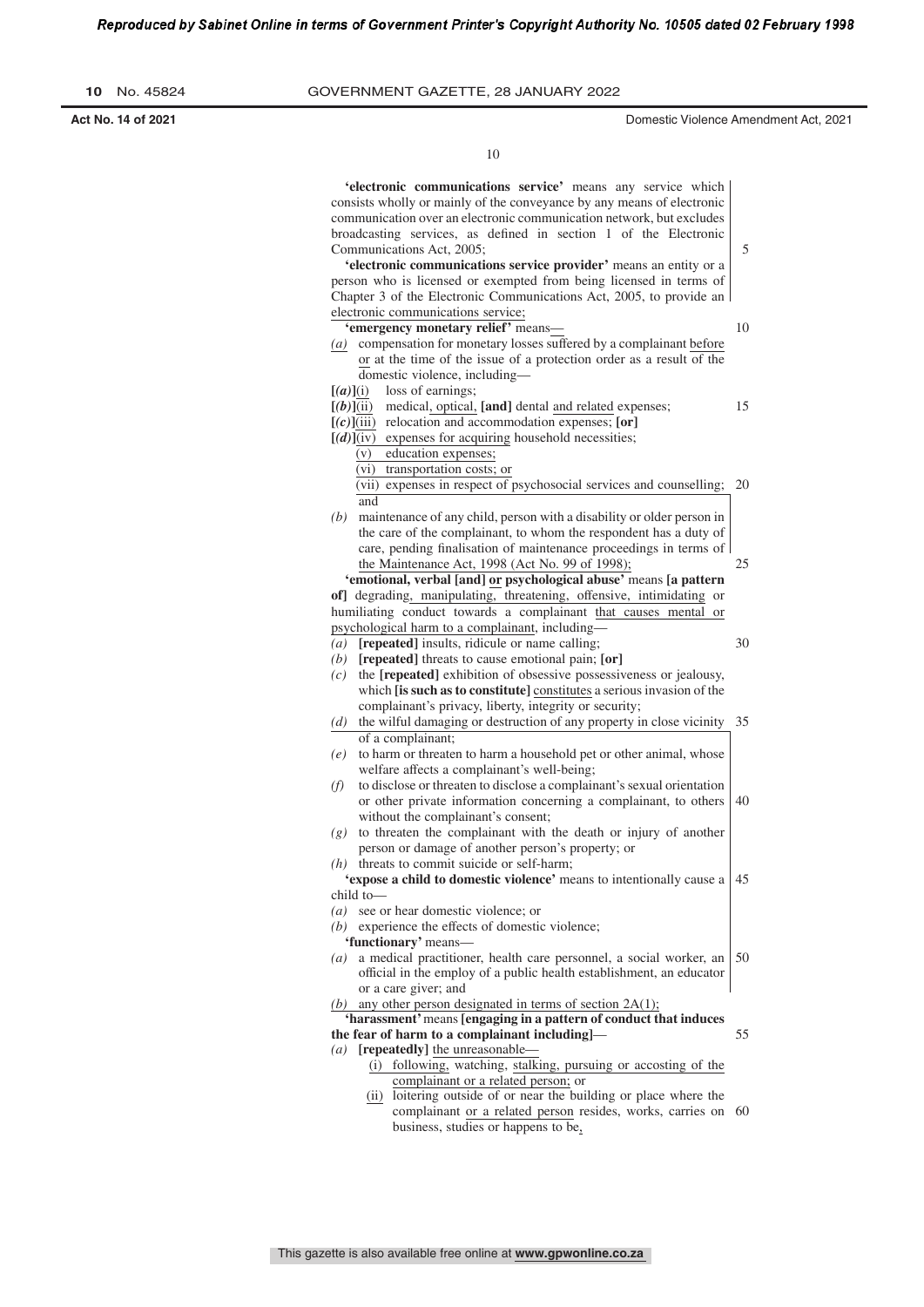| No. 45824<br>10 |  |
|-----------------|--|
|-----------------|--|

**Act No. 14 of 2021** Domestic Violence Amendment Act, 2021

| 'electronic communications service' means any service which<br>consists wholly or mainly of the conveyance by any means of electronic<br>communication over an electronic communication network, but excludes<br>broadcasting services, as defined in section 1 of the Electronic<br>Communications Act, 2005; | 5  |
|----------------------------------------------------------------------------------------------------------------------------------------------------------------------------------------------------------------------------------------------------------------------------------------------------------------|----|
| 'electronic communications service provider' means an entity or a<br>person who is licensed or exempted from being licensed in terms of<br>Chapter 3 of the Electronic Communications Act, 2005, to provide an                                                                                                 |    |
| electronic communications service;<br>'emergency monetary relief' means-                                                                                                                                                                                                                                       | 10 |
| (a) compensation for monetary losses suffered by a complainant before<br>or at the time of the issue of a protection order as a result of the<br>domestic violence, including-                                                                                                                                 |    |
| loss of earnings;<br>[(a)](i)                                                                                                                                                                                                                                                                                  |    |
| medical, optical, [and] dental and related expenses;<br>$[(b)]$ (ii)                                                                                                                                                                                                                                           | 15 |
| $[(c)]$ (iii) relocation and accommodation expenses; [or]                                                                                                                                                                                                                                                      |    |
| $[(d)]$ (iv) expenses for acquiring household necessities;                                                                                                                                                                                                                                                     |    |
| (v) education expenses;                                                                                                                                                                                                                                                                                        |    |
| (vi) transportation costs; or                                                                                                                                                                                                                                                                                  |    |
| (vii) expenses in respect of psychosocial services and counselling;                                                                                                                                                                                                                                            | 20 |
| and                                                                                                                                                                                                                                                                                                            |    |
| maintenance of any child, person with a disability or older person in<br>(b)                                                                                                                                                                                                                                   |    |
| the care of the complainant, to whom the respondent has a duty of                                                                                                                                                                                                                                              |    |
| care, pending finalisation of maintenance proceedings in terms of                                                                                                                                                                                                                                              |    |
| the Maintenance Act, 1998 (Act No. 99 of 1998);                                                                                                                                                                                                                                                                | 25 |
| 'emotional, verbal [and] or psychological abuse' means [a pattern                                                                                                                                                                                                                                              |    |
| of] degrading, manipulating, threatening, offensive, intimidating or                                                                                                                                                                                                                                           |    |
| humiliating conduct towards a complainant that causes mental or                                                                                                                                                                                                                                                |    |
| psychological harm to a complainant, including-                                                                                                                                                                                                                                                                |    |
| $(a)$ [repeated] insults, ridicule or name calling;                                                                                                                                                                                                                                                            | 30 |
| $(b)$ [repeated] threats to cause emotional pain; [or]                                                                                                                                                                                                                                                         |    |
| the [repeated] exhibition of obsessive possessiveness or jealousy,<br>(c)                                                                                                                                                                                                                                      |    |
| which [is such as to constitute] constitutes a serious invasion of the                                                                                                                                                                                                                                         |    |
| complainant's privacy, liberty, integrity or security;                                                                                                                                                                                                                                                         |    |
| the wilful damaging or destruction of any property in close vicinity<br>(d)                                                                                                                                                                                                                                    | 35 |
| of a complainant;                                                                                                                                                                                                                                                                                              |    |
| to harm or threaten to harm a household pet or other animal, whose<br>(e)                                                                                                                                                                                                                                      |    |
| welfare affects a complainant's well-being;                                                                                                                                                                                                                                                                    |    |
| to disclose or threaten to disclose a complainant's sexual orientation<br>(f)                                                                                                                                                                                                                                  |    |
| or other private information concerning a complainant, to others                                                                                                                                                                                                                                               | 40 |
| without the complainant's consent;                                                                                                                                                                                                                                                                             |    |
| to threaten the complainant with the death or injury of another<br>(g)                                                                                                                                                                                                                                         |    |
| person or damage of another person's property; or                                                                                                                                                                                                                                                              |    |
| $(h)$ threats to commit suicide or self-harm;                                                                                                                                                                                                                                                                  |    |
| 'expose a child to domestic violence' means to intentionally cause a                                                                                                                                                                                                                                           | 45 |
| child to-                                                                                                                                                                                                                                                                                                      |    |
| $(a)$ see or hear domestic violence; or                                                                                                                                                                                                                                                                        |    |
| $(b)$ experience the effects of domestic violence;                                                                                                                                                                                                                                                             |    |
| 'functionary' means-                                                                                                                                                                                                                                                                                           |    |
| $(a)$ a medical practitioner, health care personnel, a social worker, an                                                                                                                                                                                                                                       | 50 |
| official in the employ of a public health establishment, an educator                                                                                                                                                                                                                                           |    |
| or a care giver; and                                                                                                                                                                                                                                                                                           |    |
| (b) any other person designated in terms of section $2A(1)$ ;                                                                                                                                                                                                                                                  |    |
| 'harassment' means [engaging in a pattern of conduct that induces                                                                                                                                                                                                                                              |    |
| the fear of harm to a complainant including]-                                                                                                                                                                                                                                                                  | 55 |
| $(a)$ [repeatedly] the unreasonable—                                                                                                                                                                                                                                                                           |    |
| (i) following, watching, stalking, pursuing or accosting of the                                                                                                                                                                                                                                                |    |
| complainant or a related person; or                                                                                                                                                                                                                                                                            |    |
| (ii) loitering outside of or near the building or place where the                                                                                                                                                                                                                                              |    |
| complainant or a related person resides, works, carries on 60                                                                                                                                                                                                                                                  |    |
| business, studies or happens to be,                                                                                                                                                                                                                                                                            |    |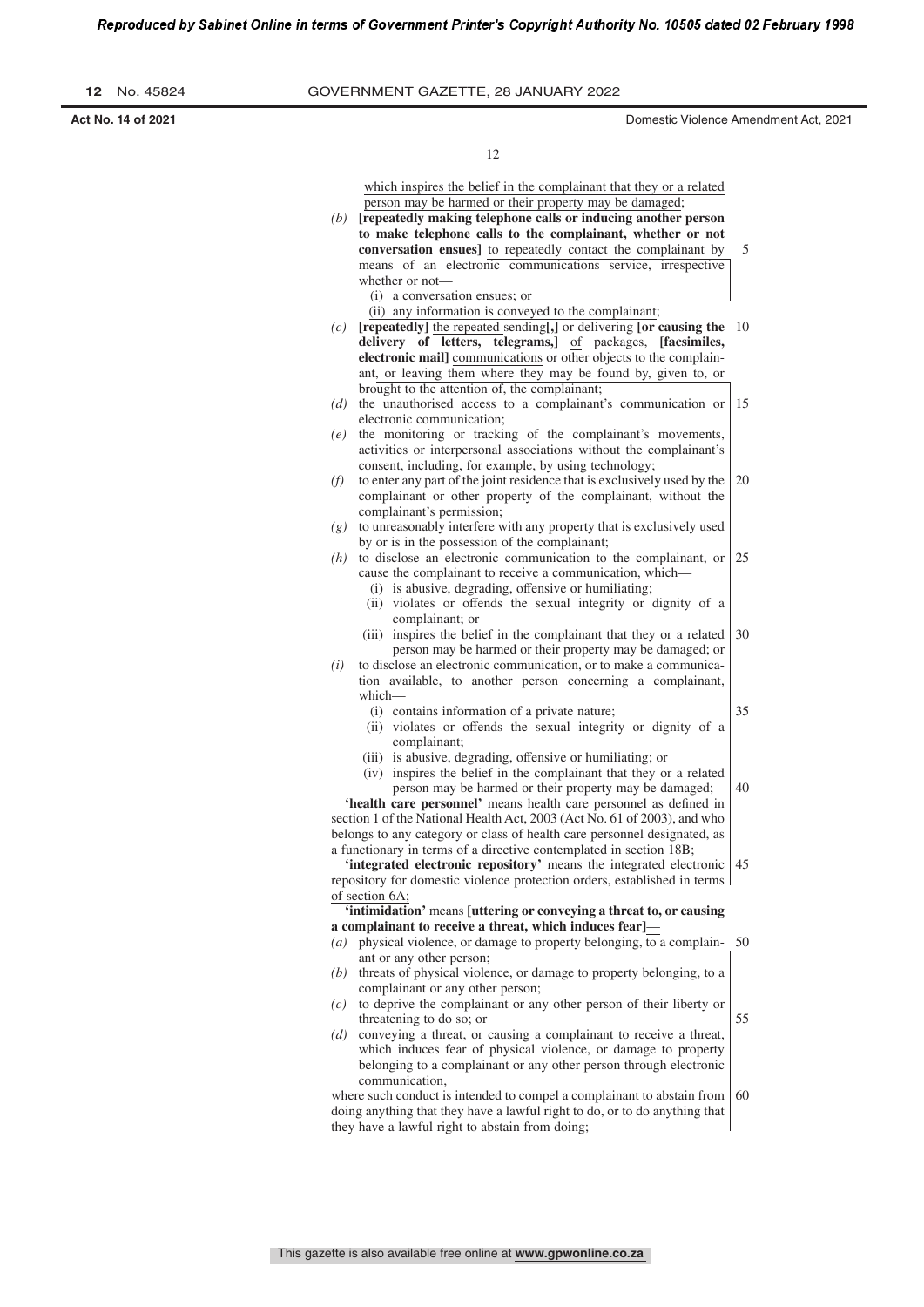| No. 45824<br>12.   | GOVERNMENT GAZETTE, 28 JANUARY 2022                                                                                                                                                                                                                                                                                                       |
|--------------------|-------------------------------------------------------------------------------------------------------------------------------------------------------------------------------------------------------------------------------------------------------------------------------------------------------------------------------------------|
| Act No. 14 of 2021 | Domestic Violence Amendment Act, 2021                                                                                                                                                                                                                                                                                                     |
|                    | 12                                                                                                                                                                                                                                                                                                                                        |
|                    | which inspires the belief in the complainant that they or a related<br>person may be harmed or their property may be damaged;<br>repeatedly making telephone calls or inducing another person<br>(b)<br>to make telephone calls to the complainant, whether or not<br><b>conversation ensues</b> to repeatedly contact the complainant by |

means of an electronic communications service, irrespective whether or not— (i) a conversation ensues; or (ii) any information is conveyed to the complainant;

35

55

- *(c)* **[repeatedly]** the repeated sending**[,]** or delivering **[or causing the** 10 **delivery of letters, telegrams,]** of packages, **[facsimiles, electronic mail]** communications or other objects to the complainant, or leaving them where they may be found by, given to, or brought to the attention of, the complainant;
- *(d)* the unauthorised access to a complainant's communication or electronic communication; 15
- *(e)* the monitoring or tracking of the complainant's movements, activities or interpersonal associations without the complainant's consent, including, for example, by using technology;
- *(f)* to enter any part of the joint residence that is exclusively used by the complainant or other property of the complainant, without the complainant's permission; 20
- *(g)* to unreasonably interfere with any property that is exclusively used by or is in the possession of the complainant;
- *(h)* to disclose an electronic communication to the complainant, or cause the complainant to receive a communication, which— (i) is abusive, degrading, offensive or humiliating; 25
	- (ii) violates or offends the sexual integrity or dignity of a complainant; or
	- (iii) inspires the belief in the complainant that they or a related person may be harmed or their property may be damaged; or 30
- *(i)* to disclose an electronic communication, or to make a communication available, to another person concerning a complainant, which—
	- (i) contains information of a private nature;
	- (ii) violates or offends the sexual integrity or dignity of a complainant;
	- (iii) is abusive, degrading, offensive or humiliating; or
	- (iv) inspires the belief in the complainant that they or a related person may be harmed or their property may be damaged; 40

'health care personnel' means health care personnel as defined in section 1 of the National Health Act, 2003 (Act No. 61 of 2003), and who belongs to any category or class of health care personnel designated, as a functionary in terms of a directive contemplated in section 18B;

**'integrated electronic repository'** means the integrated electronic repository for domestic violence protection orders, established in terms of section 6A; 45

**'intimidation'** means **[uttering or conveying a threat to, or causing a complainant to receive a threat, which induces fear]**—

- *(a)* physical violence, or damage to property belonging, to a complainant or any other person; 50
- *(b)* threats of physical violence, or damage to property belonging, to a complainant or any other person;
- *(c)* to deprive the complainant or any other person of their liberty or threatening to do so; or
- *(d)* conveying a threat, or causing a complainant to receive a threat, which induces fear of physical violence, or damage to property belonging to a complainant or any other person through electronic communication,

where such conduct is intended to compel a complainant to abstain from doing anything that they have a lawful right to do, or to do anything that they have a lawful right to abstain from doing; 60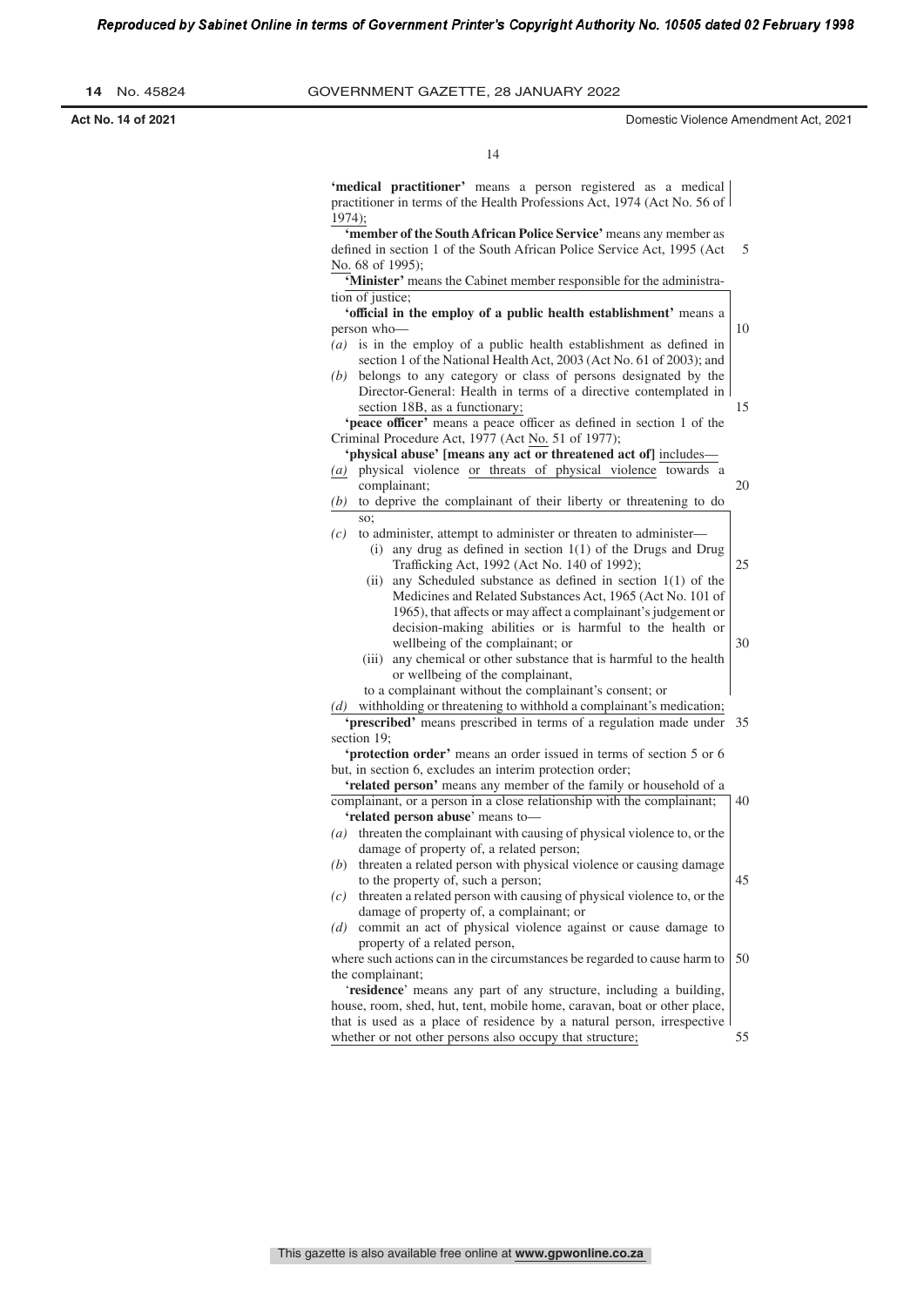| No. 45824<br>14.   | GOVERNMENT GAZETTE, 28 JANUARY 2022                                                                                                                                                                                                                                                        |                                       |
|--------------------|--------------------------------------------------------------------------------------------------------------------------------------------------------------------------------------------------------------------------------------------------------------------------------------------|---------------------------------------|
| Act No. 14 of 2021 |                                                                                                                                                                                                                                                                                            | Domestic Violence Amendment Act, 2021 |
|                    | 14                                                                                                                                                                                                                                                                                         |                                       |
|                    | 'medical practitioner' means a person registered as a medical<br>practitioner in terms of the Health Professions Act, 1974 (Act No. 56 of<br>$1974$ ;                                                                                                                                      |                                       |
|                    | <b>'member of the South African Police Service' means any member as</b><br>defined in section 1 of the South African Police Service Act, 1995 (Act)<br>No. 68 of 1995);                                                                                                                    | 5                                     |
|                    | <b>'Minister'</b> means the Cabinet member responsible for the administra-<br>tion of justice;                                                                                                                                                                                             |                                       |
|                    | <b>'official in the employ of a public health establishment'</b> means a<br>person who-<br>$(a)$ is in the employ of a public health establishment as defined in<br>section 1 of the National Health Act, 2003 (Act No. 61 of 2003); and                                                   | 10                                    |
|                    | (b) belongs to any category or class of persons designated by the<br>Director-General: Health in terms of a directive contemplated in<br>section 18B, as a functionary;<br>'peace officer' means a peace officer as defined in section 1 of the                                            | 15                                    |
|                    | Criminal Procedure Act, 1977 (Act No. 51 of 1977);<br>'physical abuse' [means any act or threatened act of] includes—<br>(a) physical violence or threats of physical violence towards a<br>complainant;                                                                                   | 20                                    |
|                    | $(b)$ to deprive the complainant of their liberty or threatening to do<br>so:<br>to administer, attempt to administer or threaten to administer—<br>(c)<br>(i) any drug as defined in section $1(1)$ of the Drugs and Drug                                                                 |                                       |
|                    | Trafficking Act, 1992 (Act No. 140 of 1992);<br>(ii) any Scheduled substance as defined in section $1(1)$ of the<br>Medicines and Related Substances Act, 1965 (Act No. 101 of<br>1965), that affects or may affect a complainant's judgement or                                           | 25                                    |
|                    | decision-making abilities or is harmful to the health or<br>wellbeing of the complainant; or<br>(iii) any chemical or other substance that is harmful to the health<br>or wellbeing of the complainant,                                                                                    | 30                                    |
|                    | to a complainant without the complainant's consent; or<br>$(d)$ withholding or threatening to withhold a complainant's medication;<br><b>'prescribed'</b> means prescribed in terms of a regulation made under 35<br>section 19;                                                           |                                       |
|                    | 'protection order' means an order issued in terms of section 5 or 6<br>but, in section 6, excludes an interim protection order;<br>'related person' means any member of the family or household of a                                                                                       |                                       |
|                    | complainant, or a person in a close relationship with the complainant;<br>'related person abuse' means to-<br>$(a)$ threaten the complainant with causing of physical violence to, or the                                                                                                  | 40                                    |
|                    | damage of property of, a related person;<br>$(b)$ threaten a related person with physical violence or causing damage<br>to the property of, such a person;                                                                                                                                 | 45                                    |
|                    | $(c)$ threaten a related person with causing of physical violence to, or the<br>damage of property of, a complainant; or<br>$(d)$ commit an act of physical violence against or cause damage to                                                                                            |                                       |
|                    | property of a related person,<br>where such actions can in the circumstances be regarded to cause harm to $\vert$ 50<br>the complainant;<br>'residence' means any part of any structure, including a building,<br>house, room, shed, hut, tent, mobile home, caravan, boat or other place, |                                       |
|                    | that is used as a place of residence by a natural person, irrespective<br>whether or not other persons also occupy that structure;                                                                                                                                                         | 55                                    |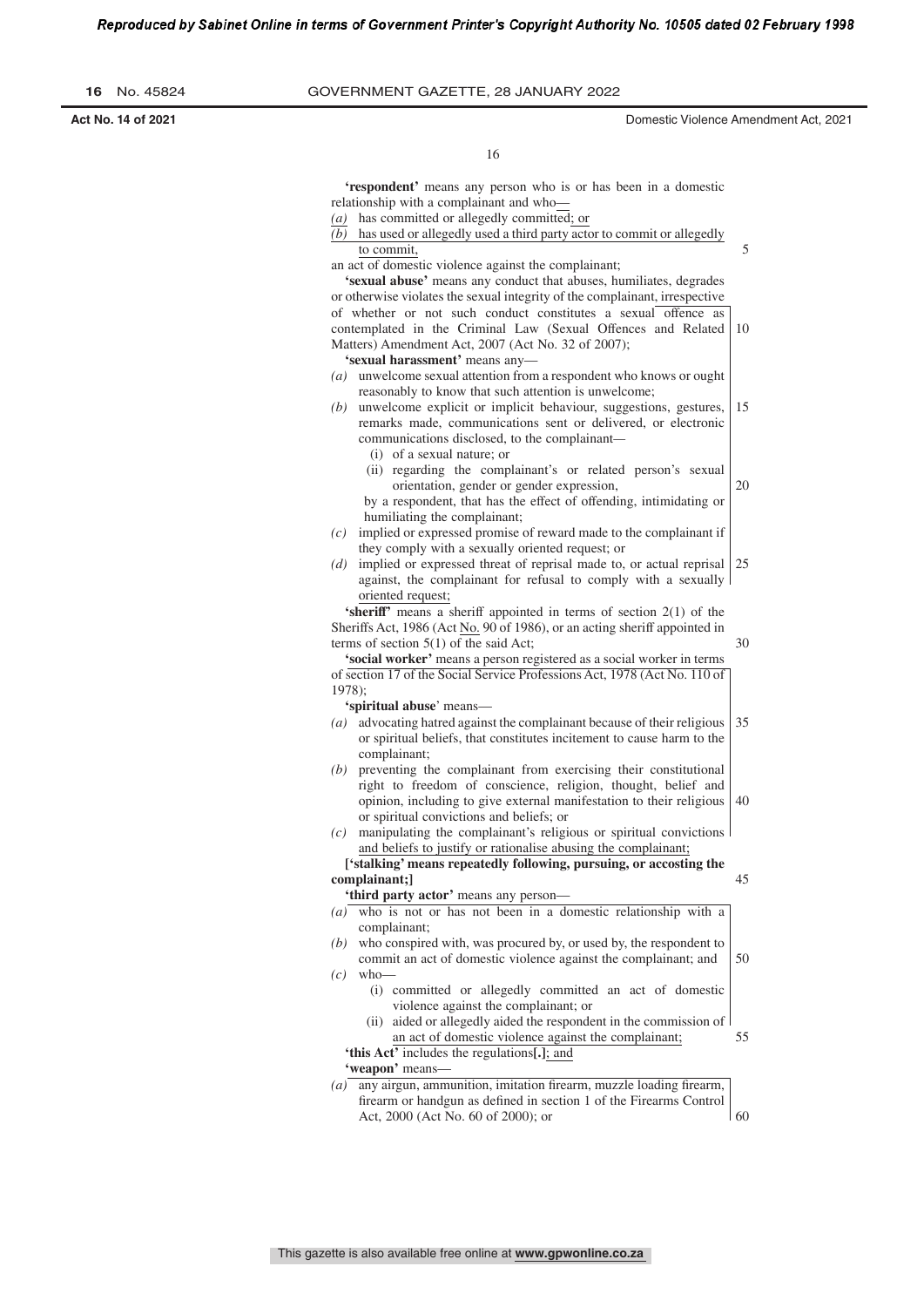$\overline{\phantom{0}}$ 

| No. 45824<br>16    | GOVERNMENT GAZETTE, 28 JANUARY 2022                                                                                                                                                                                                                                                                                                                                                                                                                                           |                                       |
|--------------------|-------------------------------------------------------------------------------------------------------------------------------------------------------------------------------------------------------------------------------------------------------------------------------------------------------------------------------------------------------------------------------------------------------------------------------------------------------------------------------|---------------------------------------|
| Act No. 14 of 2021 |                                                                                                                                                                                                                                                                                                                                                                                                                                                                               | Domestic Violence Amendment Act, 2021 |
|                    | 16                                                                                                                                                                                                                                                                                                                                                                                                                                                                            |                                       |
|                    | <b>'respondent'</b> means any person who is or has been in a domestic<br>relationship with a complainant and who-<br>$(a)$ has committed or allegedly committed; or<br>$(b)$ has used or allegedly used a third party actor to commit or allegedly<br>to commit.<br>an act of domestic violence against the complainant;<br>'sexual abuse' means any conduct that abuses, humiliates, degrades<br>or otherwise violates the sexual integrity of the complainant, irrespective | 5                                     |
|                    | of whether or not such conduct constitutes a sexual offence as<br>contemplated in the Criminal Law (Sexual Offences and Related<br>Matters) Amendment Act, 2007 (Act No. 32 of 2007);<br>'sexual harassment' means any-                                                                                                                                                                                                                                                       | 10                                    |
|                    | $(a)$ unwelcome sexual attention from a respondent who knows or ought<br>reasonably to know that such attention is unwelcome;<br>$(b)$ unwelcome explicit or implicit behaviour, suggestions, gestures,<br>remarks made, communications sent or delivered, or electronic<br>communications disclosed, to the complainant-<br>(i) of a sexual nature; or                                                                                                                       | 15                                    |
|                    | (ii) regarding the complainant's or related person's sexual<br>orientation, gender or gender expression,<br>by a respondent, that has the effect of offending, intimidating or<br>humiliating the complainant;<br>$(c)$ implied or expressed promise of reward made to the complainant if                                                                                                                                                                                     | 20                                    |
|                    | they comply with a sexually oriented request; or<br>(d) implied or expressed threat of reprisal made to, or actual reprisal $\vert 25 \rangle$<br>against, the complainant for refusal to comply with a sexually<br>oriented request;                                                                                                                                                                                                                                         |                                       |
|                    | 'sheriff' means a sheriff appointed in terms of section 2(1) of the<br>Sheriffs Act, 1986 (Act No. 90 of 1986), or an acting sheriff appointed in<br>terms of section $5(1)$ of the said Act;<br>'social worker' means a person registered as a social worker in terms<br>of section 17 of the Social Service Professions Act, 1978 (Act No. 110 of                                                                                                                           | 30                                    |
|                    | $1978$ ;<br>'spiritual abuse' means-<br>(a) advocating hatred against the complainant because of their religious<br>or spiritual beliefs, that constitutes incitement to cause harm to the<br>complainant;                                                                                                                                                                                                                                                                    | 35                                    |
|                    | $(b)$ preventing the complainant from exercising their constitutional<br>right to freedom of conscience, religion, thought, belief and<br>opinion, including to give external manifestation to their religious<br>or spiritual convictions and beliefs; or<br>$(c)$ manipulating the complainant's religious or spiritual convictions<br>and beliefs to justify or rationalise abusing the complainant;                                                                       | 40                                    |
|                    | ['stalking' means repeatedly following, pursuing, or accosting the<br>complainant;]<br>'third party actor' means any person-<br>$(a)$ who is not or has not been in a domestic relationship with a                                                                                                                                                                                                                                                                            | 45                                    |
|                    | complainant;<br>$(b)$ who conspired with, was procured by, or used by, the respondent to<br>commit an act of domestic violence against the complainant; and<br>$(c)$ who-<br>(i) committed or allegedly committed an act of domestic<br>violence against the complainant; or                                                                                                                                                                                                  | 50                                    |
|                    | (ii) aided or allegedly aided the respondent in the commission of<br>an act of domestic violence against the complainant;<br>'this Act' includes the regulations[.]; and<br>'weapon' means-<br>$(a)$ any airgun, ammunition, imitation firearm, muzzle loading firearm,                                                                                                                                                                                                       | 55                                    |
|                    | firearm or handgun as defined in section 1 of the Firearms Control<br>Act, 2000 (Act No. 60 of 2000); or                                                                                                                                                                                                                                                                                                                                                                      | 60                                    |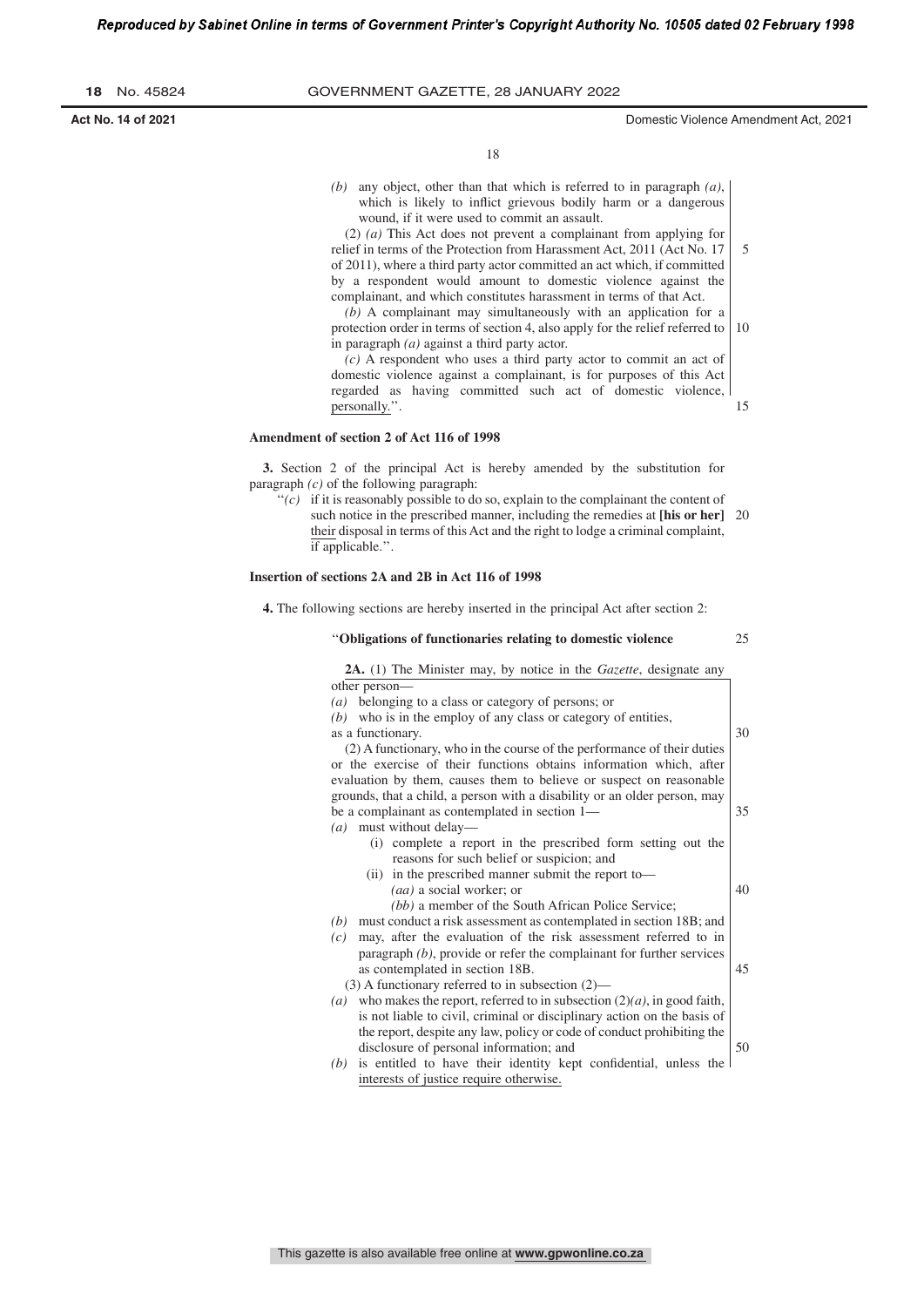15

25

50

18

*(b)* any object, other than that which is referred to in paragraph *(a)*, which is likely to inflict grievous bodily harm or a dangerous wound, if it were used to commit an assault.

(2) *(a)* This Act does not prevent a complainant from applying for relief in terms of the Protection from Harassment Act, 2011 (Act No. 17 of 2011), where a third party actor committed an act which, if committed by a respondent would amount to domestic violence against the complainant, and which constitutes harassment in terms of that Act. 5

*(b)* A complainant may simultaneously with an application for a protection order in terms of section 4, also apply for the relief referred to in paragraph *(a)* against a third party actor. 10

*(c)* A respondent who uses a third party actor to commit an act of domestic violence against a complainant, is for purposes of this Act regarded as having committed such act of domestic violence, personally."

#### **Amendment of section 2 of Act 116 of 1998**

**3.** Section 2 of the principal Act is hereby amended by the substitution for paragraph *(c)* of the following paragraph:

 $'(c)$  if it is reasonably possible to do so, explain to the complainant the content of such notice in the prescribed manner, including the remedies at **[his or her]** 20 their disposal in terms of this Act and the right to lodge a criminal complaint, if applicable.''.

#### **Insertion of sections 2A and 2B in Act 116 of 1998**

**4.** The following sections are hereby inserted in the principal Act after section 2:

### ''**Obligations of functionaries relating to domestic violence**

**2A.** (1) The Minister may, by notice in the *Gazette*, designate any other person— *(a)* belonging to a class or category of persons; or *(b)* who is in the employ of any class or category of entities, as a functionary. (2) A functionary, who in the course of the performance of their duties or the exercise of their functions obtains information which, after evaluation by them, causes them to believe or suspect on reasonable grounds, that a child, a person with a disability or an older person, may be a complainant as contemplated in section 1— *(a)* must without delay— (i) complete a report in the prescribed form setting out the reasons for such belief or suspicion; and (ii) in the prescribed manner submit the report to— *(aa)* a social worker; or *(bb)* a member of the South African Police Service; *(b)* must conduct a risk assessment as contemplated in section 18B; and *(c)* may, after the evaluation of the risk assessment referred to in paragraph *(b)*, provide or refer the complainant for further services as contemplated in section 18B. (3) A functionary referred to in subsection (2)— (a) who makes the report, referred to in subsection  $(2)(a)$ , in good faith, is not liable to civil, criminal or disciplinary action on the basis of the report, despite any law, policy or code of conduct prohibiting the 30 35 40 45

disclosure of personal information; and  $(b)$  is entitled to have their identity kept confidential, unless the interests of justice require otherwise.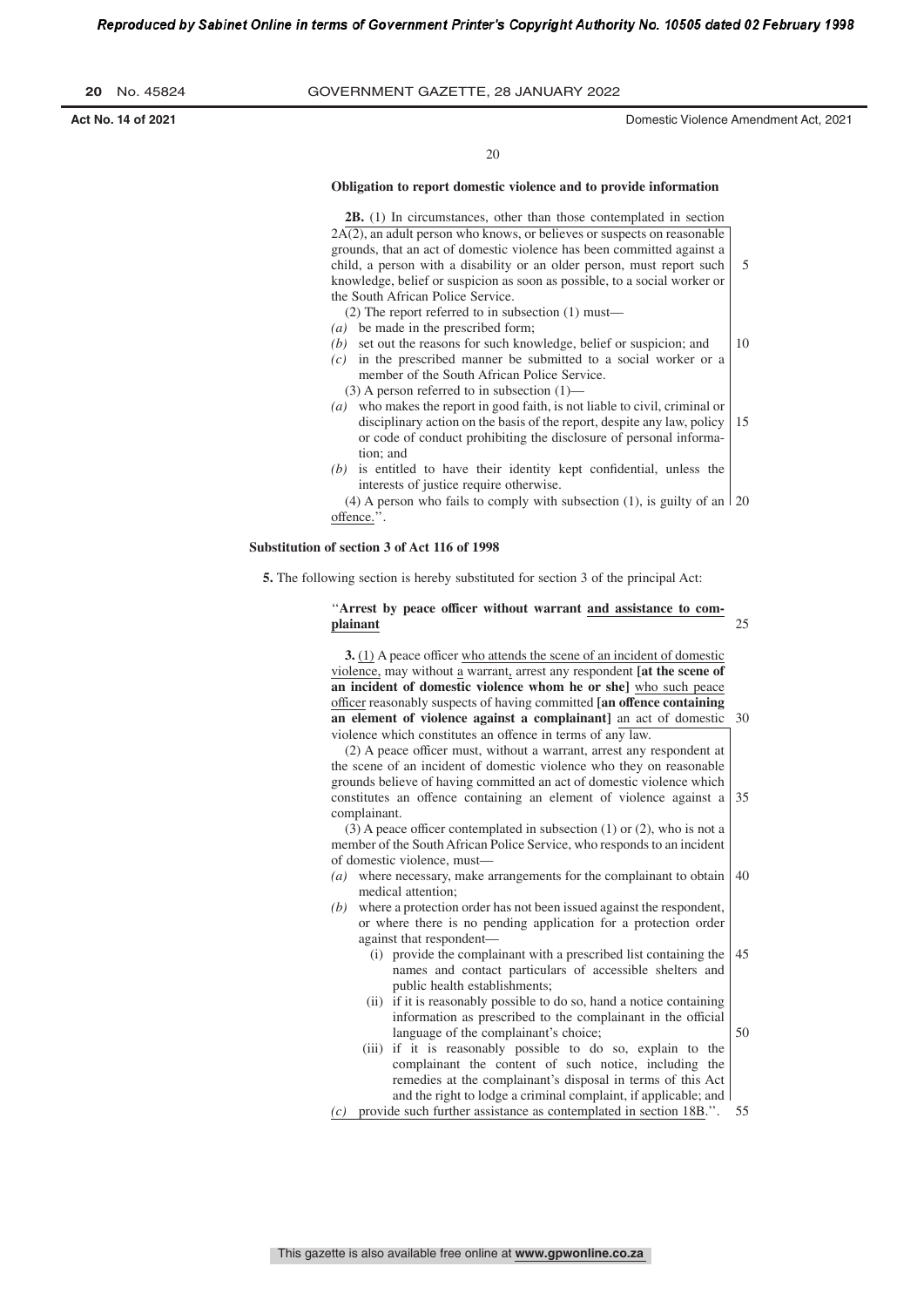| -20 | No. 45824 |
|-----|-----------|
|     |           |

**Act No. 14 of 2021** Domestic Violence Amendment Act, 2021

5

 $20$ 

#### **Obligation to report domestic violence and to provide information**

**2B.** (1) In circumstances, other than those contemplated in section  $2A(2)$ , an adult person who knows, or believes or suspects on reasonable grounds, that an act of domestic violence has been committed against a child, a person with a disability or an older person, must report such knowledge, belief or suspicion as soon as possible, to a social worker or the South African Police Service.

- (2) The report referred to in subsection (1) must—
- *(a)* be made in the prescribed form;
- *(b)* set out the reasons for such knowledge, belief or suspicion; and 10
- *(c)* in the prescribed manner be submitted to a social worker or a
	- member of the South African Police Service.  $(3)$  A person referred to in subsection  $(1)$ –
- *(a)* who makes the report in good faith, is not liable to civil, criminal or disciplinary action on the basis of the report, despite any law, policy or code of conduct prohibiting the disclosure of personal information; and 15
- *(b)* is entitled to have their identity kept confidential, unless the interests of justice require otherwise.

 $(4)$  A person who fails to comply with subsection  $(1)$ , is guilty of an  $\vert$  20 offence.''.

#### **Substitution of section 3 of Act 116 of 1998**

**5.** The following section is hereby substituted for section 3 of the principal Act:

''**Arrest by peace officer without warrant and assistance to complainant**  $25$ 

**3.** (1) A peace officer who attends the scene of an incident of domestic violence, may without a warrant, arrest any respondent **[at the scene of an incident of domestic violence whom he or she]** who such peace officer reasonably suspects of having committed **[an offence containing an element of violence against a complainant]** an act of domestic violence which constitutes an offence in terms of any law. 30

(2) A peace officer must, without a warrant, arrest any respondent at the scene of an incident of domestic violence who they on reasonable grounds believe of having committed an act of domestic violence which constitutes an offence containing an element of violence against a complainant. 35

(3) A peace officer contemplated in subsection (1) or (2), who is not a member of the SouthAfrican Police Service, who responds to an incident of domestic violence, must—

- *(a)* where necessary, make arrangements for the complainant to obtain medical attention; 40
- *(b)* where a protection order has not been issued against the respondent, or where there is no pending application for a protection order against that respondent—
	- (i) provide the complainant with a prescribed list containing the names and contact particulars of accessible shelters and public health establishments; 45
	- (ii) if it is reasonably possible to do so, hand a notice containing information as prescribed to the complainant in the official language of the complainant's choice; 50
	- (iii) if it is reasonably possible to do so, explain to the complainant the content of such notice, including the remedies at the complainant's disposal in terms of this Act and the right to lodge a criminal complaint, if applicable; and
- *(c)* provide such further assistance as contemplated in section 18B.''. 55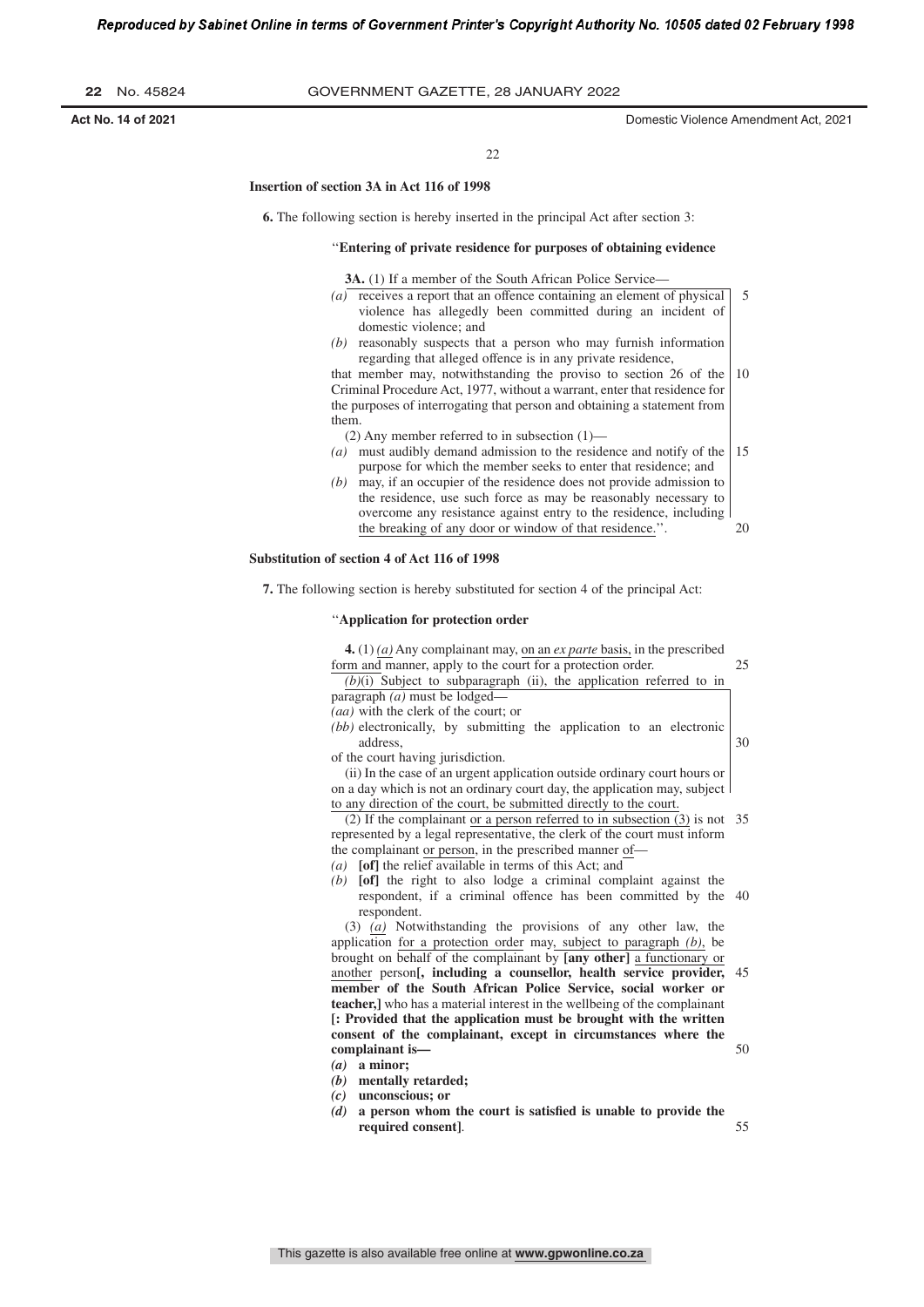| 22 | No. 45824 |
|----|-----------|
|    |           |

 $22$ 

#### **Insertion of section 3A in Act 116 of 1998**

**6.** The following section is hereby inserted in the principal Act after section 3:

#### ''**Entering of private residence for purposes of obtaining evidence**

**3A.** (1) If a member of the South African Police Service-

- *(a)* receives a report that an offence containing an element of physical violence has allegedly been committed during an incident of domestic violence; and 5
- *(b)* reasonably suspects that a person who may furnish information regarding that alleged offence is in any private residence,

that member may, notwithstanding the proviso to section 26 of the Criminal Procedure Act, 1977, without a warrant, enter that residence for the purposes of interrogating that person and obtaining a statement from them. 10

(2) Any member referred to in subsection (1)—

- *(a)* must audibly demand admission to the residence and notify of the purpose for which the member seeks to enter that residence; and 15
- *(b)* may, if an occupier of the residence does not provide admission to the residence, use such force as may be reasonably necessary to overcome any resistance against entry to the residence, including the breaking of any door or window of that residence." 20

#### **Substitution of section 4 of Act 116 of 1998**

**7.** The following section is hereby substituted for section 4 of the principal Act:

#### ''**Application for protection order**

**4.** (1) *(a)* Any complainant may, on an *ex parte* basis, in the prescribed form and manner, apply to the court for a protection order. 25

*(b)*(i) Subject to subparagraph (ii), the application referred to in paragraph *(a)* must be lodged—

*(aa)* with the clerk of the court; or

*(bb)* electronically, by submitting the application to an electronic address,

of the court having jurisdiction.

(ii) In the case of an urgent application outside ordinary court hours or on a day which is not an ordinary court day, the application may, subject to any direction of the court, be submitted directly to the court.

(2) If the complainant or a person referred to in subsection (3) is not 35 represented by a legal representative, the clerk of the court must inform the complainant or person, in the prescribed manner of-

- *(a)* **[of]** the relief available in terms of this Act; and
- *(b)* **[of]** the right to also lodge a criminal complaint against the respondent, if a criminal offence has been committed by the 40 respondent.

(3) *(a)* Notwithstanding the provisions of any other law, the application for a protection order may, subject to paragraph *(b)*, be brought on behalf of the complainant by **[any other]** a functionary or another person**[, including a counsellor, health service provider, member of the South African Police Service, social worker or teacher,]** who has a material interest in the wellbeing of the complainant **[: Provided that the application must be brought with the written consent of the complainant, except in circumstances where the complainant is—** 45 50

- *(a)* **a minor;**
- *(b)* **mentally retarded;**
- *(c)* **unconscious; or**
- *(d)* **a person whom the court is satisſed is unable to provide the required consent]**.

55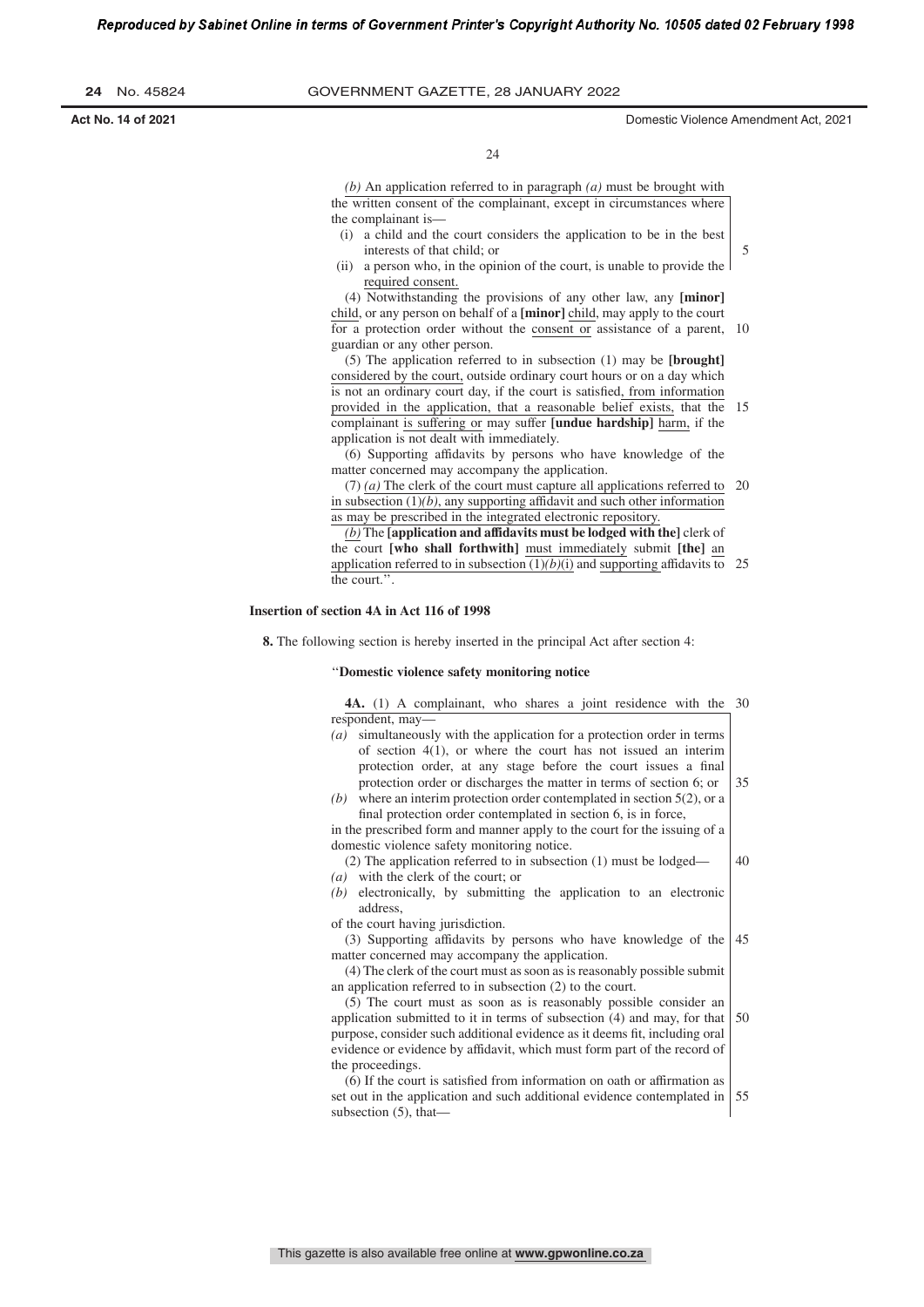**24** No. 45824 GOVERNMENT GAZETTE, 28 JANuARy 2022

**Act No. 14 of 2021** Domestic Violence Amendment Act, 2021

5

40

 $24$ 

*(b)* An application referred to in paragraph *(a)* must be brought with the written consent of the complainant, except in circumstances where the complainant is—

- (i) a child and the court considers the application to be in the best interests of that child; or
- (ii) a person who, in the opinion of the court, is unable to provide the required consent.

(4) Notwithstanding the provisions of any other law, any **[minor]** child, or any person on behalf of a **[minor]** child, may apply to the court for a protection order without the consent or assistance of a parent, 10 guardian or any other person.

(5) The application referred to in subsection (1) may be **[brought]** considered by the court, outside ordinary court hours or on a day which is not an ordinary court day, if the court is satisfied, from information provided in the application, that a reasonable belief exists, that the 15 complainant is suffering or may suffer **[undue hardship]** harm, if the application is not dealt with immediately.

(6) Supporting affidavits by persons who have knowledge of the matter concerned may accompany the application.

(7) *(a)* The clerk of the court must capture all applications referred to 20 in subsection  $(1)(b)$ , any supporting affidavit and such other information as may be prescribed in the integrated electronic repository.

*(b)* The **[application and affidavits must be lodged with the]** clerk of the court **[who shall forthwith]** must immediately submit **[the]** an application referred to in subsection  $(1)(b)(i)$  and supporting affidavits to 25 the court.''.

#### **Insertion of section 4A in Act 116 of 1998**

**8.** The following section is hereby inserted in the principal Act after section 4:

#### ''**Domestic violence safety monitoring notice**

**4A.** (1) A complainant, who shares a joint residence with the 30 respondent, may—

- *(a)* simultaneously with the application for a protection order in terms of section  $4(1)$ , or where the court has not issued an interim protection order, at any stage before the court issues a final protection order or discharges the matter in terms of section 6; or 35
- *(b)* where an interim protection order contemplated in section 5(2), or a final protection order contemplated in section 6, is in force,

in the prescribed form and manner apply to the court for the issuing of a domestic violence safety monitoring notice.

- (2) The application referred to in subsection (1) must be lodged— *(a)* with the clerk of the court; or
- *(b)* electronically, by submitting the application to an electronic address,

of the court having jurisdiction.

(3) Supporting affidavits by persons who have knowledge of the matter concerned may accompany the application. 45

(4) The clerk of the court must as soon as is reasonably possible submit an application referred to in subsection (2) to the court.

(5) The court must as soon as is reasonably possible consider an application submitted to it in terms of subsection (4) and may, for that purpose, consider such additional evidence as it deems fit, including oral evidence or evidence by affidavit, which must form part of the record of the proceedings. 50

(6) If the court is satisſed from information on oath or affirmation as set out in the application and such additional evidence contemplated in subsection (5), that— 55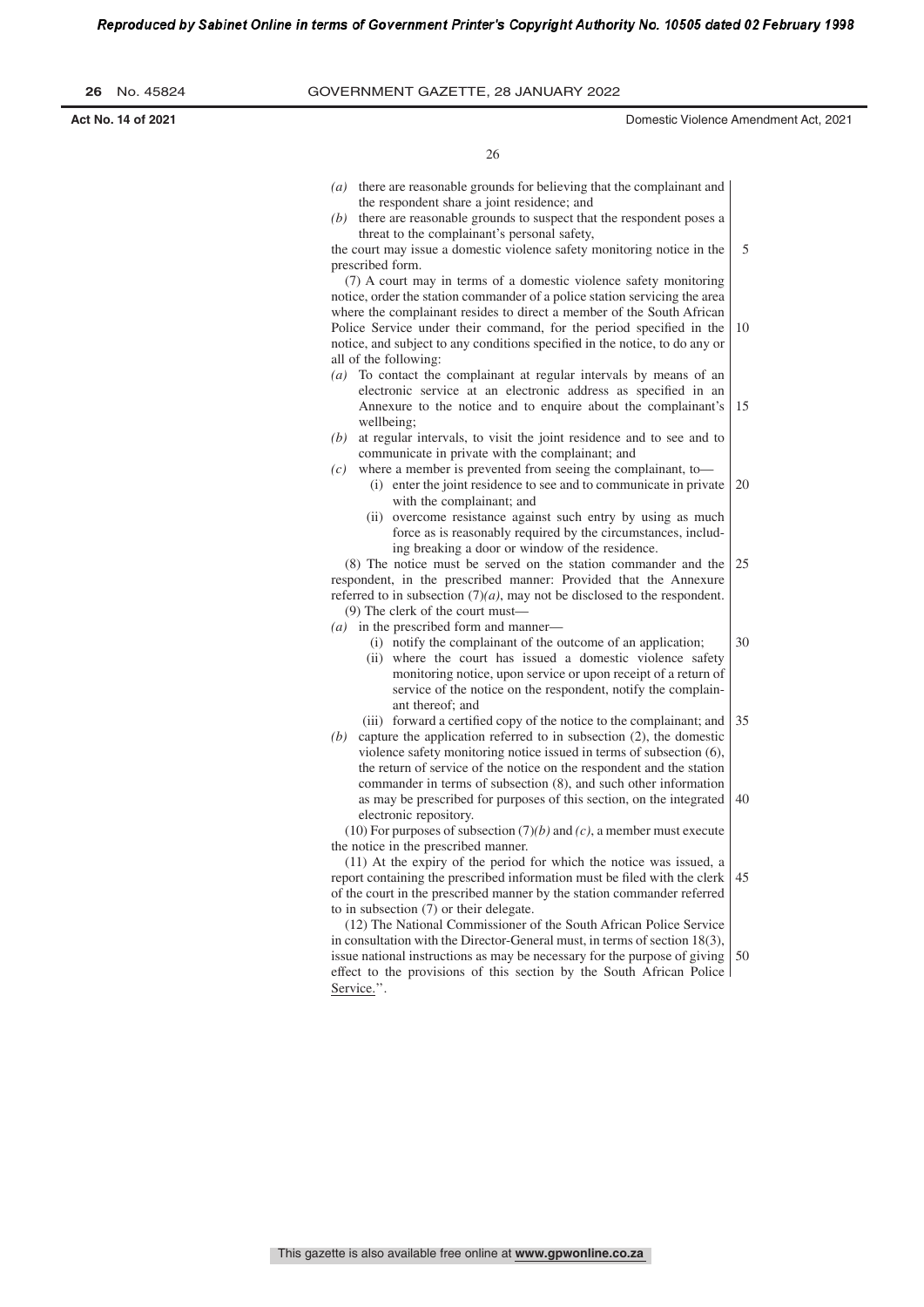| 26 |  | No. 45824 |
|----|--|-----------|
|----|--|-----------|

**Act No. 14 of 2021** Domestic Violence Amendment Act, 2021

30

26

- *(a)* there are reasonable grounds for believing that the complainant and the respondent share a joint residence; and
- *(b)* there are reasonable grounds to suspect that the respondent poses a threat to the complainant's personal safety,

the court may issue a domestic violence safety monitoring notice in the prescribed form. 5

(7) A court may in terms of a domestic violence safety monitoring notice, order the station commander of a police station servicing the area where the complainant resides to direct a member of the South African Police Service under their command, for the period specified in the notice, and subject to any conditions specified in the notice, to do any or all of the following: 10

- *(a)* To contact the complainant at regular intervals by means of an electronic service at an electronic address as specified in an Annexure to the notice and to enquire about the complainant's wellbeing; 15
- *(b)* at regular intervals, to visit the joint residence and to see and to communicate in private with the complainant; and
- *(c)* where a member is prevented from seeing the complainant, to— (i) enter the joint residence to see and to communicate in private
	- with the complainant; and 20
	- (ii) overcome resistance against such entry by using as much force as is reasonably required by the circumstances, including breaking a door or window of the residence.

(8) The notice must be served on the station commander and the respondent, in the prescribed manner: Provided that the Annexure referred to in subsection (7)*(a)*, may not be disclosed to the respondent. (9) The clerk of the court must— 25

- *(a)* in the prescribed form and manner—
	- (i) notify the complainant of the outcome of an application;
		- (ii) where the court has issued a domestic violence safety monitoring notice, upon service or upon receipt of a return of service of the notice on the respondent, notify the complainant thereof; and
	- (iii) forward a certified copy of the notice to the complainant; and 35
- *(b)* capture the application referred to in subsection (2), the domestic violence safety monitoring notice issued in terms of subsection (6), the return of service of the notice on the respondent and the station commander in terms of subsection (8), and such other information as may be prescribed for purposes of this section, on the integrated electronic repository. 40

(10) For purposes of subsection (7)*(b)* and *(c)*, a member must execute the notice in the prescribed manner.

(11) At the expiry of the period for which the notice was issued, a report containing the prescribed information must be filed with the clerk of the court in the prescribed manner by the station commander referred to in subsection (7) or their delegate. 45

(12) The National Commissioner of the South African Police Service in consultation with the Director-General must, in terms of section 18(3), issue national instructions as may be necessary for the purpose of giving effect to the provisions of this section by the South African Police Service.''. 50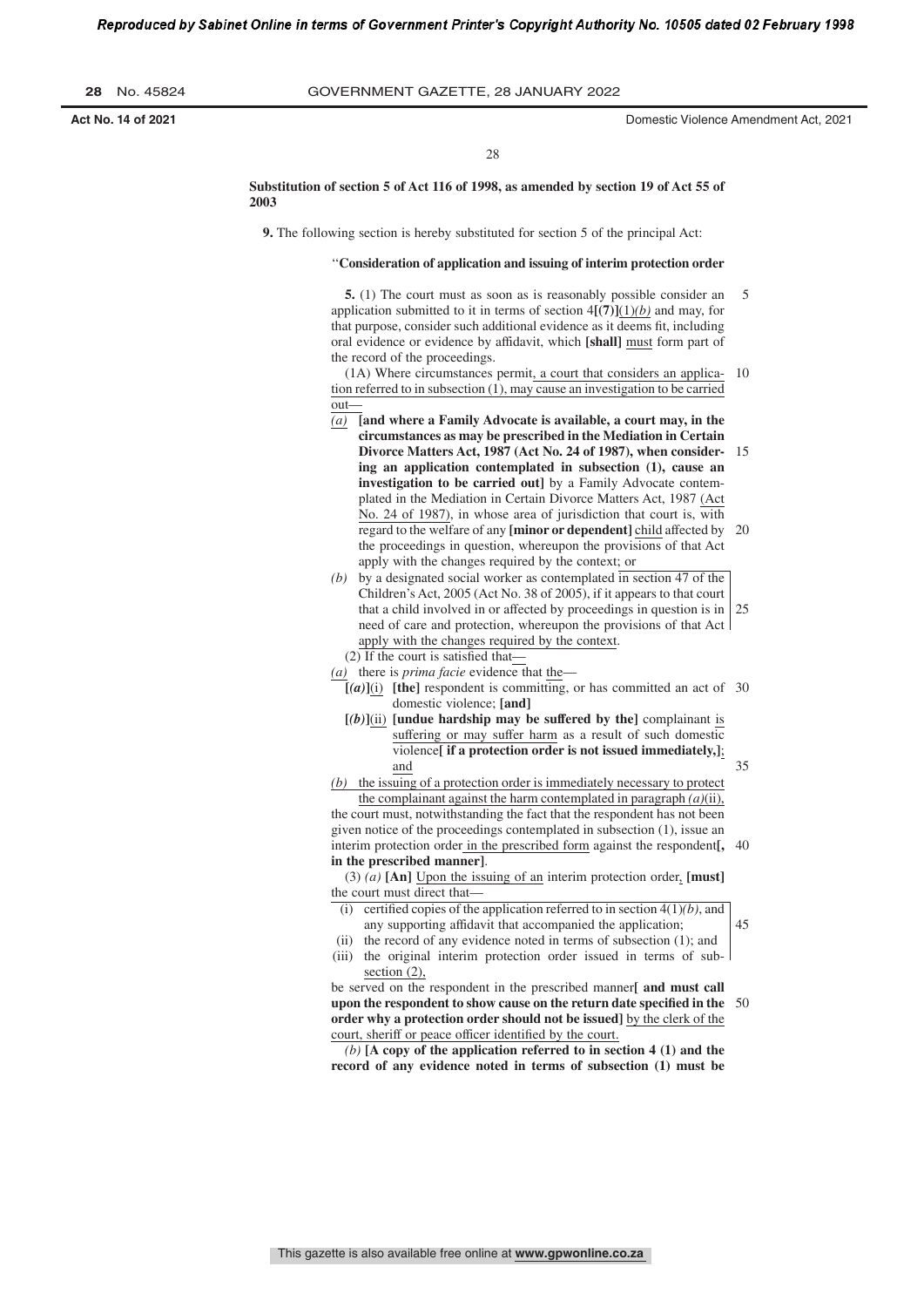28

**Substitution of section 5 of Act 116 of 1998, as amended by section 19 of Act 55 of 2003**

**9.** The following section is hereby substituted for section 5 of the principal Act:

### ''**Consideration of application and issuing of interim protection order**

**5.** (1) The court must as soon as is reasonably possible consider an application submitted to it in terms of section  $4\left[\frac{7}{2}\right]\left(\frac{1}{b}\right)$  and may, for that purpose, consider such additional evidence as it deems fit, including oral evidence or evidence by affidavit, which **[shall]** must form part of the record of the proceedings. 5

(1A) Where circumstances permit, a court that considers an applica-10 tion referred to in subsection (1), may cause an investigation to be carried out—

- *(a)* **[and where a Family Advocate is available, a court may, in the circumstances as may be prescribed in the Mediation in Certain Divorce Matters Act, 1987 (Act No. 24 of 1987), when considering an application contemplated in subsection (1), cause an investigation to be carried out]** by a Family Advocate contemplated in the Mediation in Certain Divorce Matters Act, 1987 (Act No. 24 of 1987), in whose area of jurisdiction that court is, with regard to the welfare of any **[minor or dependent]** child affected by the proceedings in question, whereupon the provisions of that Act apply with the changes required by the context; or 15 20
- *(b)* by a designated social worker as contemplated in section 47 of the Children's Act, 2005 (Act No. 38 of 2005), if it appears to that court that a child involved in or affected by proceedings in question is in need of care and protection, whereupon the provisions of that Act apply with the changes required by the context. 25

(2) If the court is satisfied that-

- *(a)* there is *prima facie* evidence that the—
- $[(a)]$ (i) [the] respondent is committing, or has committed an act of 30 domestic violence; **[and]**
- $[(b)]$ (ii) **[undue hardship may be suffered by the]** complainant is suffering or may suffer harm as a result of such domestic violence**[ if a protection order is not issued immediately,]**; and
- *(b)* the issuing of a protection order is immediately necessary to protect the complainant against the harm contemplated in paragraph *(a)*(ii), the court must, notwithstanding the fact that the respondent has not been given notice of the proceedings contemplated in subsection (1), issue an interim protection order in the prescribed form against the respondent**[,** 40

**in the prescribed manner]**. (3) *(a)* **[An]** Upon the issuing of an interim protection order, **[must]**

the court must direct that—

(i) certified copies of the application referred to in section  $4(1)(b)$ , and any supporting affidavit that accompanied the application; (ii) the record of any evidence noted in terms of subsection (1); and

45

35

(iii) the original interim protection order issued in terms of subsection (2),

be served on the respondent in the prescribed manner**[ and must call upon the respondent to show cause on the return date specified in the** 50 **order why a protection order should not be issued]** by the clerk of the court, sheriff or peace officer identified by the court.

*(b)* **[A copy of the application referred to in section 4 (1) and the record of any evidence noted in terms of subsection (1) must be**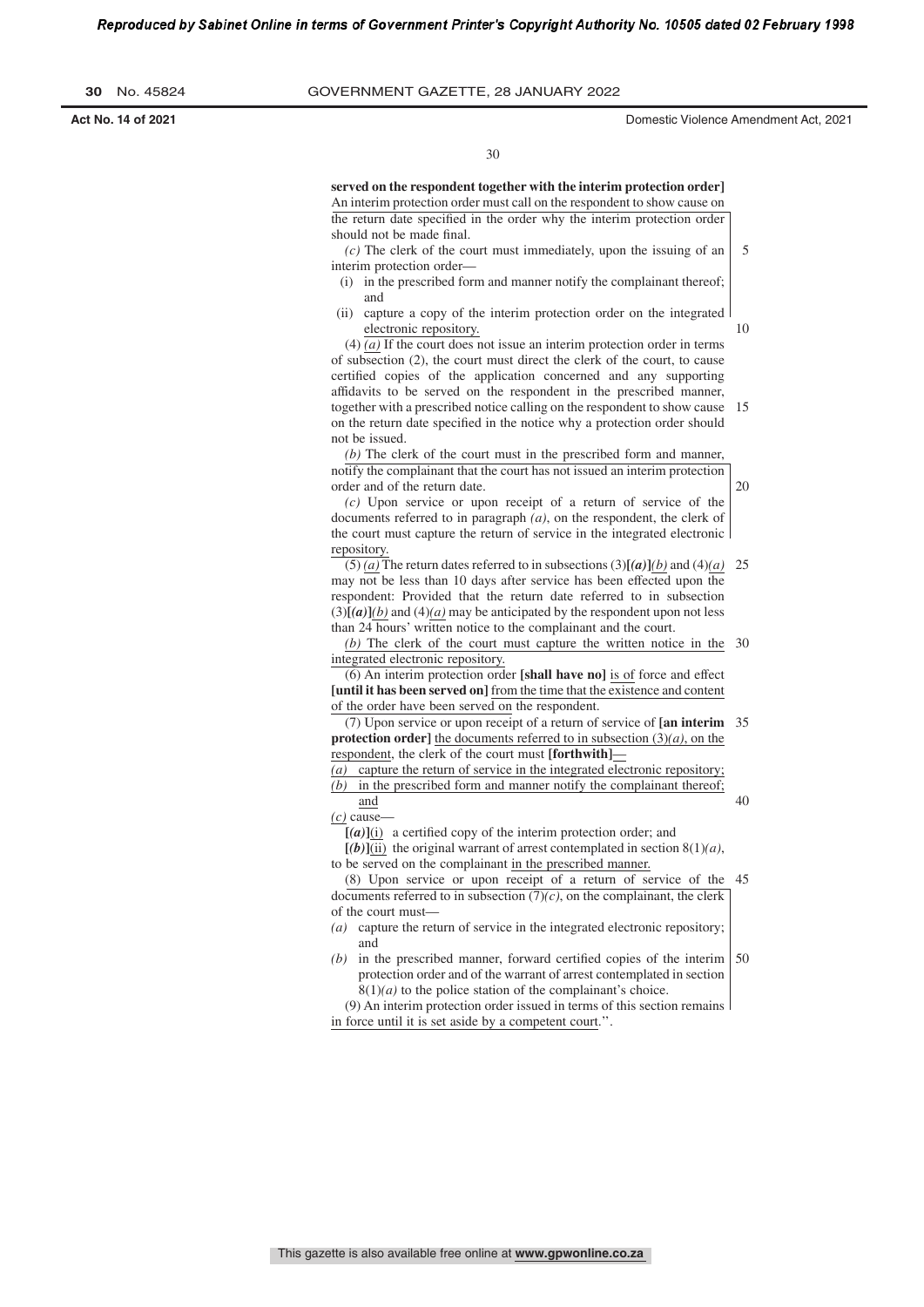**Act No. 14 of 2021** Domestic Violence Amendment Act, 2021

20

40

30

**served on the respondent together with the interim protection order]** An interim protection order must call on the respondent to show cause on the return date specified in the order why the interim protection order should not be made final.

*(c)* The clerk of the court must immediately, upon the issuing of an interim protection order— 5

- (i) in the prescribed form and manner notify the complainant thereof; and
- (ii) capture a copy of the interim protection order on the integrated electronic repository. 10

(4) *(a)* If the court does not issue an interim protection order in terms of subsection (2), the court must direct the clerk of the court, to cause certified copies of the application concerned and any supporting affidavits to be served on the respondent in the prescribed manner, together with a prescribed notice calling on the respondent to show cause 15 on the return date specified in the notice why a protection order should not be issued.

*(b)* The clerk of the court must in the prescribed form and manner, notify the complainant that the court has not issued an interim protection order and of the return date.

*(c)* Upon service or upon receipt of a return of service of the documents referred to in paragraph *(a)*, on the respondent, the clerk of the court must capture the return of service in the integrated electronic repository.

(5) *(a)* The return dates referred to in subsections (3)[*(a)*]*(b)* and (4)*(a)* 25 may not be less than 10 days after service has been effected upon the respondent: Provided that the return date referred to in subsection  $(3)$ [ $(a)$ ] $(b)$  and  $(4)$  $(a)$  may be anticipated by the respondent upon not less than 24 hours' written notice to the complainant and the court.

*(b)* The clerk of the court must capture the written notice in the 30 integrated electronic repository.

(6) An interim protection order **[shall have no]** is of force and effect **[until it has been served on]** from the time that the existence and content of the order have been served on the respondent.

(7) Upon service or upon receipt of a return of service of **[an interim** 35 **protection order]** the documents referred to in subsection (3)*(a)*, on the respondent, the clerk of the court must **[forthwith]**—

*(a)* capture the return of service in the integrated electronic repository; *(b)* in the prescribed form and manner notify the complainant thereof;

and

 $(c)$  cause

 $[(a)]$  $(i)$  a certified copy of the interim protection order; and  $[(b)]$ (ii) the original warrant of arrest contemplated in section 8(1)*(a)*,

to be served on the complainant in the prescribed manner.

(8) Upon service or upon receipt of a return of service of the 45 documents referred to in subsection (7)*(c)*, on the complainant, the clerk of the court must—

- *(a)* capture the return of service in the integrated electronic repository; and
- $(b)$  in the prescribed manner, forward certified copies of the interim protection order and of the warrant of arrest contemplated in section  $8(1)(a)$  to the police station of the complainant's choice. 50

(9) An interim protection order issued in terms of this section remains in force until it is set aside by a competent court.''.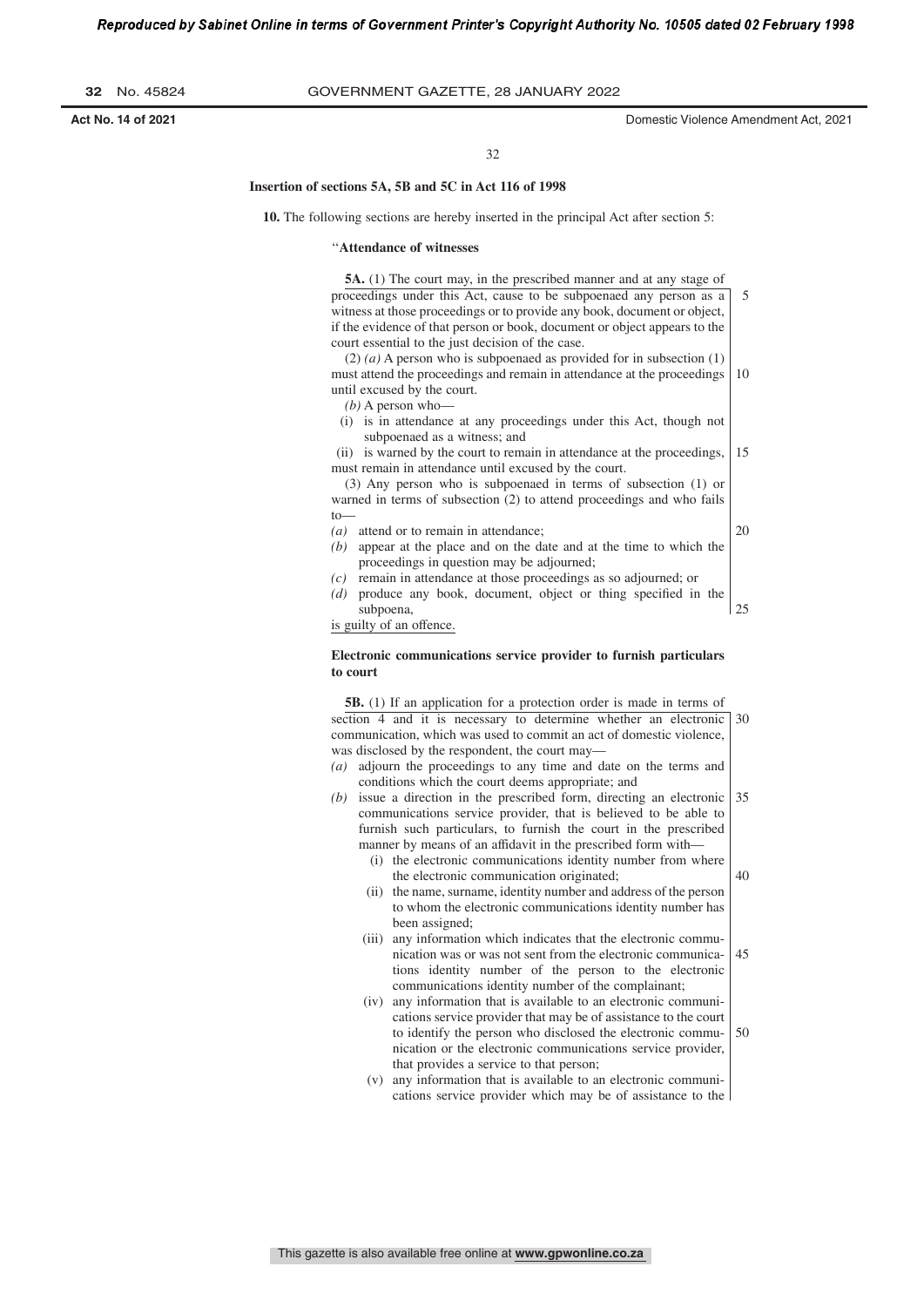5

32

#### **Insertion of sections 5A, 5B and 5C in Act 116 of 1998**

**10.** The following sections are hereby inserted in the principal Act after section 5:

#### ''**Attendance of witnesses**

**5A.** (1) The court may, in the prescribed manner and at any stage of proceedings under this Act, cause to be subpoenaed any person as a

witness at those proceedings or to provide any book, document or object, if the evidence of that person or book, document or object appears to the court essential to the just decision of the case.

(2) *(a)* A person who is subpoenaed as provided for in subsection (1) must attend the proceedings and remain in attendance at the proceedings until excused by the court. 10

- *(b)* A person who—
- (i) is in attendance at any proceedings under this Act, though not subpoenaed as a witness; and

(ii) is warned by the court to remain in attendance at the proceedings, must remain in attendance until excused by the court. 15

(3) Any person who is subpoenaed in terms of subsection (1) or warned in terms of subsection (2) to attend proceedings and who fails to—

*(a)* attend or to remain in attendance;

- 20
- *(b)* appear at the place and on the date and at the time to which the proceedings in question may be adjourned;
- *(c)* remain in attendance at those proceedings as so adjourned; or
- *(d)* produce any book, document, object or thing specified in the subpoena, 25

is guilty of an offence.

#### **Electronic communications service provider to furnish particulars to court**

**5B.** (1) If an application for a protection order is made in terms of section 4 and it is necessary to determine whether an electronic 30 communication, which was used to commit an act of domestic violence, was disclosed by the respondent, the court may—

- *(a)* adjourn the proceedings to any time and date on the terms and conditions which the court deems appropriate; and
- *(b)* issue a direction in the prescribed form, directing an electronic communications service provider, that is believed to be able to furnish such particulars, to furnish the court in the prescribed manner by means of an affidavit in the prescribed form with— 35
	- (i) the electronic communications identity number from where the electronic communication originated; 40
	- (ii) the name, surname, identity number and address of the person to whom the electronic communications identity number has been assigned;
	- (iii) any information which indicates that the electronic communication was or was not sent from the electronic communications identity number of the person to the electronic communications identity number of the complainant; 45
	- (iv) any information that is available to an electronic communications service provider that may be of assistance to the court to identify the person who disclosed the electronic communication or the electronic communications service provider, that provides a service to that person; 50
	- (v) any information that is available to an electronic communications service provider which may be of assistance to the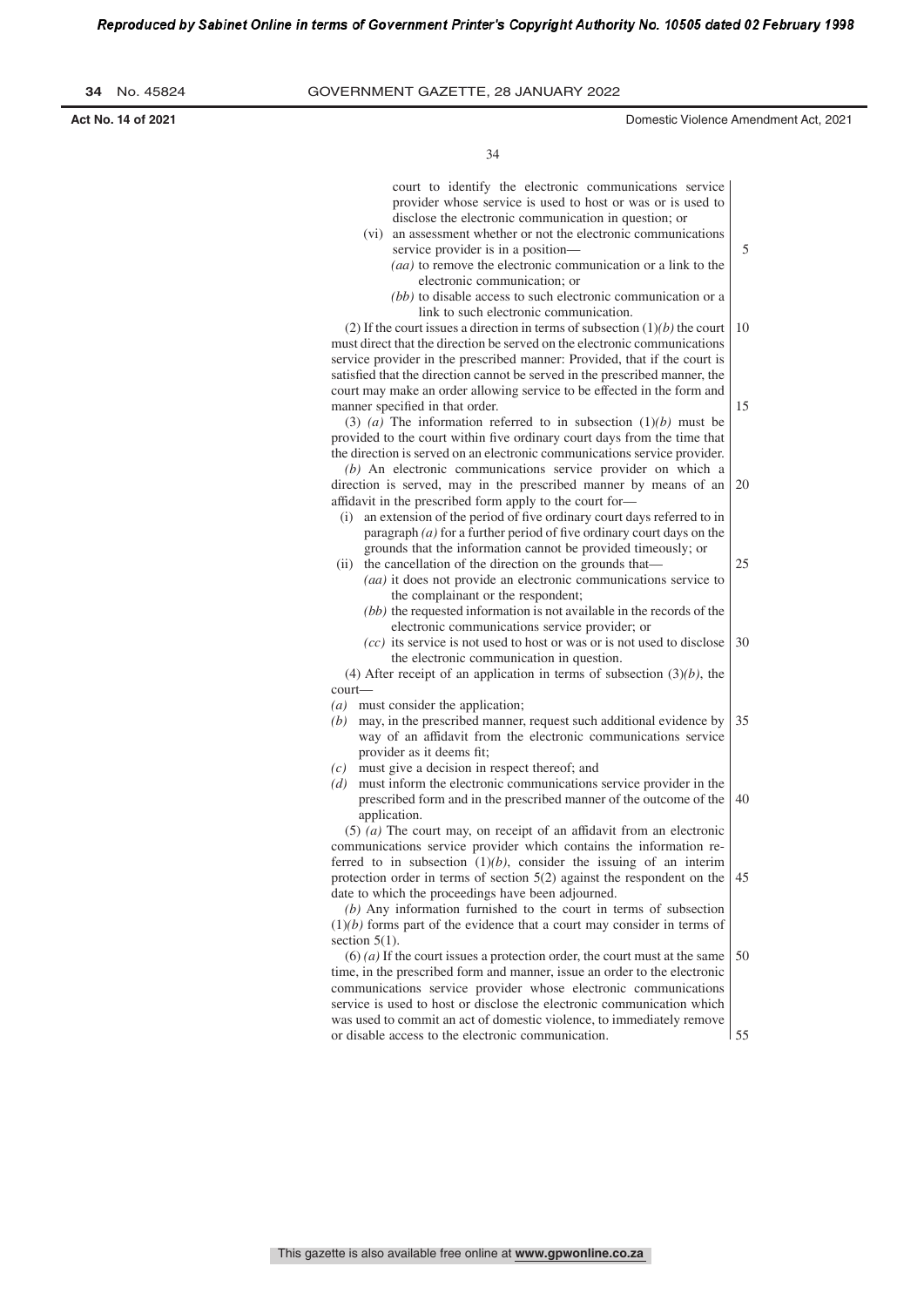**Act No. 14 of 2021** Domestic Violence Amendment Act, 2021

5

34

court to identify the electronic communications service provider whose service is used to host or was or is used to disclose the electronic communication in question; or

- (vi) an assessment whether or not the electronic communications service provider is in a position— *(aa)* to remove the electronic communication or a link to the
	- electronic communication; or
	- *(bb)* to disable access to such electronic communication or a link to such electronic communication.

(2) If the court issues a direction in terms of subsection (1)*(b)* the court must direct that the direction be served on the electronic communications service provider in the prescribed manner: Provided, that if the court is satisfied that the direction cannot be served in the prescribed manner, the court may make an order allowing service to be effected in the form and manner specified in that order. 10 15

(3) *(a)* The information referred to in subsection (1)*(b)* must be provided to the court within five ordinary court days from the time that the direction is served on an electronic communications service provider.

*(b)* An electronic communications service provider on which a direction is served, may in the prescribed manner by means of an affidavit in the prescribed form apply to the court for— 20

- (i) an extension of the period of five ordinary court days referred to in paragraph (a) for a further period of five ordinary court days on the grounds that the information cannot be provided timeously; or
- (ii) the cancellation of the direction on the grounds that— *(aa)* it does not provide an electronic communications service to the complainant or the respondent; 25
	- *(bb)* the requested information is not available in the records of the electronic communications service provider; or
	- *(cc)* its service is not used to host or was or is not used to disclose the electronic communication in question. 30

(4) After receipt of an application in terms of subsection (3)*(b)*, the court—

- *(a)* must consider the application;
- *(b)* may, in the prescribed manner, request such additional evidence by way of an affidavit from the electronic communications service provider as it deems fit; 35
- *(c)* must give a decision in respect thereof; and
- *(d)* must inform the electronic communications service provider in the prescribed form and in the prescribed manner of the outcome of the application. 40

(5) *(a)* The court may, on receipt of an affidavit from an electronic communications service provider which contains the information referred to in subsection  $(1)(b)$ , consider the issuing of an interim protection order in terms of section 5(2) against the respondent on the date to which the proceedings have been adjourned. 45

*(b)* Any information furnished to the court in terms of subsection (1)*(b)* forms part of the evidence that a court may consider in terms of section  $5(1)$ .

(6) *(a)* If the court issues a protection order, the court must at the same time, in the prescribed form and manner, issue an order to the electronic communications service provider whose electronic communications service is used to host or disclose the electronic communication which was used to commit an act of domestic violence, to immediately remove or disable access to the electronic communication. 50 55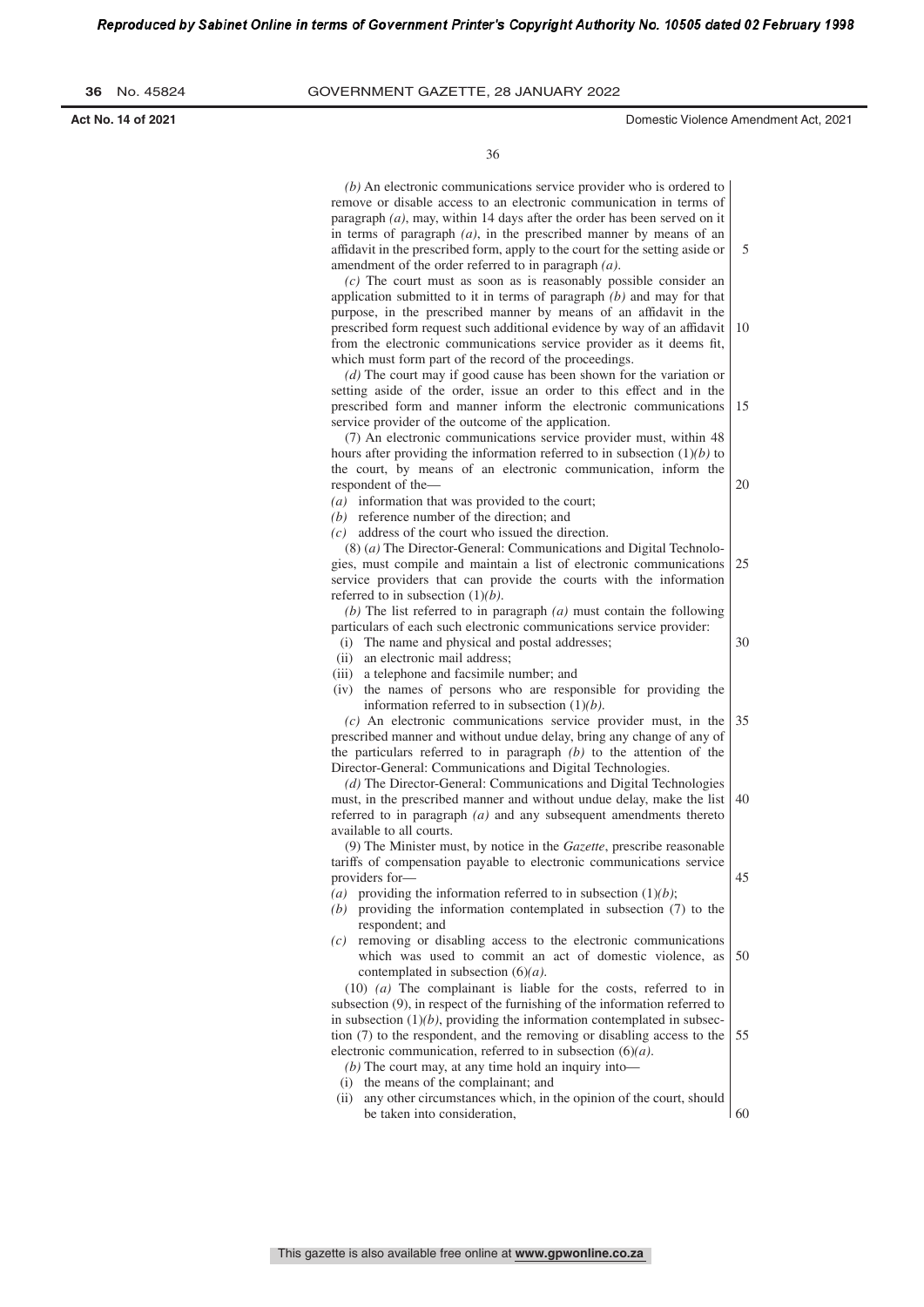5

36

*(b)* An electronic communications service provider who is ordered to remove or disable access to an electronic communication in terms of paragraph *(a)*, may, within 14 days after the order has been served on it in terms of paragraph *(a)*, in the prescribed manner by means of an affidavit in the prescribed form, apply to the court for the setting aside or amendment of the order referred to in paragraph *(a)*.

*(c)* The court must as soon as is reasonably possible consider an application submitted to it in terms of paragraph *(b)* and may for that purpose, in the prescribed manner by means of an affidavit in the prescribed form request such additional evidence by way of an affidavit from the electronic communications service provider as it deems fit, which must form part of the record of the proceedings. 10

*(d)* The court may if good cause has been shown for the variation or setting aside of the order, issue an order to this effect and in the prescribed form and manner inform the electronic communications service provider of the outcome of the application. 15

(7) An electronic communications service provider must, within 48 hours after providing the information referred to in subsection (1)*(b)* to the court, by means of an electronic communication, inform the respondent of the—

*(a)* information that was provided to the court;

*(b)* reference number of the direction; and

*(c)* address of the court who issued the direction.

(8) (*a)* The Director-General: Communications and Digital Technologies, must compile and maintain a list of electronic communications service providers that can provide the courts with the information referred to in subsection (1)*(b)*. 25

*(b)* The list referred to in paragraph *(a)* must contain the following particulars of each such electronic communications service provider:

30

45

20

- (ii) an electronic mail address;
- (i) The name and physical and postal addresses; (iii) a telephone and facsimile number; and
- (iv) the names of persons who are responsible for providing the information referred to in subsection (1)*(b)*.

*(c)* An electronic communications service provider must, in the prescribed manner and without undue delay, bring any change of any of the particulars referred to in paragraph *(b)* to the attention of the Director-General: Communications and Digital Technologies. 35

*(d)* The Director-General: Communications and Digital Technologies must, in the prescribed manner and without undue delay, make the list referred to in paragraph *(a)* and any subsequent amendments thereto available to all courts. 40

(9) The Minister must, by notice in the *Gazette*, prescribe reasonable tariffs of compensation payable to electronic communications service providers for—

- (a) providing the information referred to in subsection  $(1)(b)$ ;
- *(b)* providing the information contemplated in subsection (7) to the respondent; and
- *(c)* removing or disabling access to the electronic communications which was used to commit an act of domestic violence, as contemplated in subsection (6)*(a)*. 50

(10) *(a)* The complainant is liable for the costs, referred to in subsection (9), in respect of the furnishing of the information referred to in subsection  $(1)(b)$ , providing the information contemplated in subsection (7) to the respondent, and the removing or disabling access to the electronic communication, referred to in subsection (6)*(a)*. 55

- *(b)* The court may, at any time hold an inquiry into—
- (i) the means of the complainant; and
- (ii) any other circumstances which, in the opinion of the court, should be taken into consideration, 60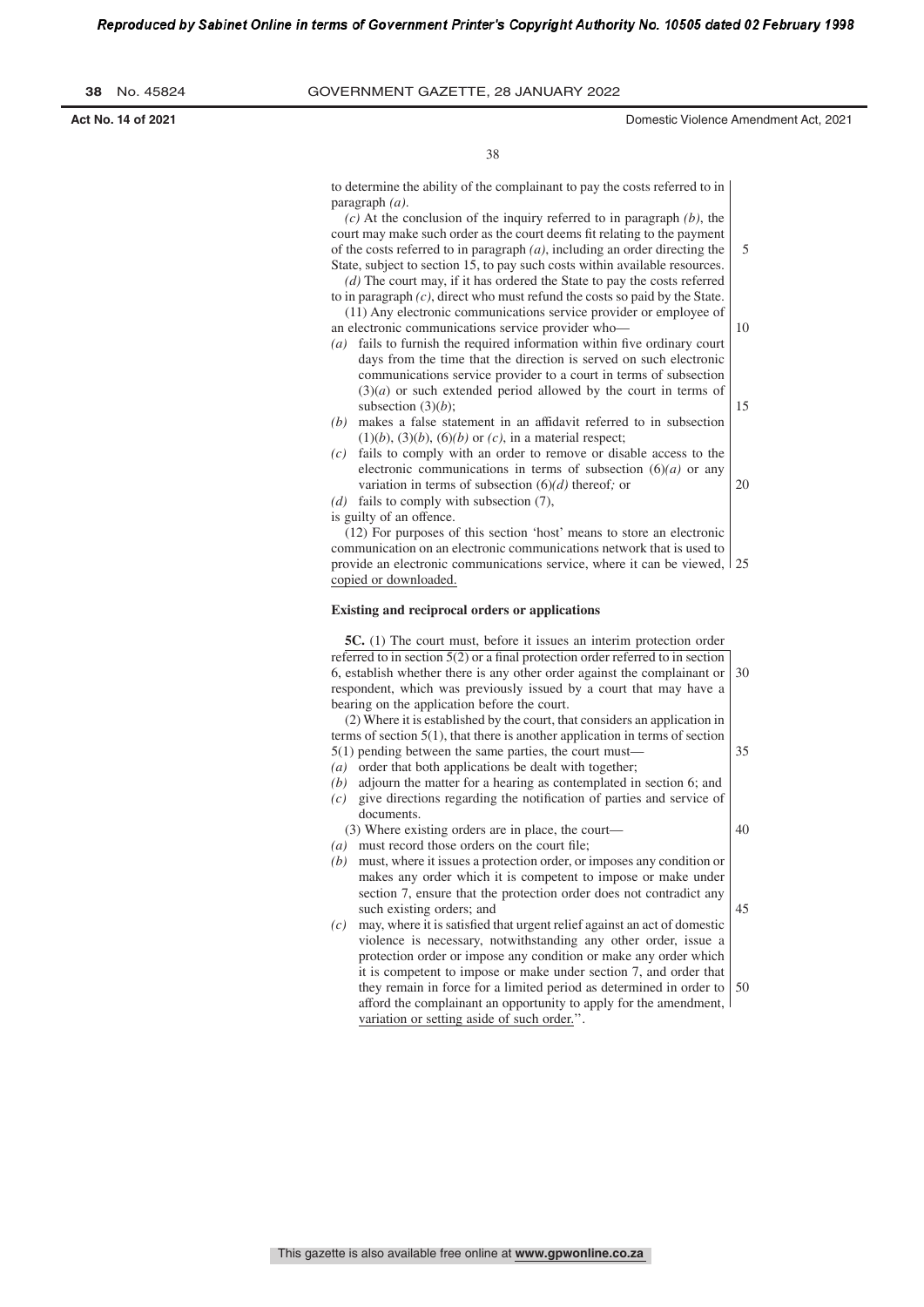r's Copyright Authority No. 10505 dated 02 February 1998

| Reproduced by Sabinet Online in terms of Government Frinter's Copyright Audionty No. 10505 dated 02 February 1 |  |
|----------------------------------------------------------------------------------------------------------------|--|
|                                                                                                                |  |
|                                                                                                                |  |

**38** No. 45824 GOVERNMENT GAZETTE, 28 JANuARy 2022

**Act No. 14 of 2021** Domestic Violence Amendment Act, 2021

5

10

20

38

to determine the ability of the complainant to pay the costs referred to in paragraph *(a)*.

*(c)* At the conclusion of the inquiry referred to in paragraph *(b)*, the court may make such order as the court deems fit relating to the payment of the costs referred to in paragraph *(a)*, including an order directing the State, subject to section 15, to pay such costs within available resources.

- *(d)* The court may, if it has ordered the State to pay the costs referred to in paragraph *(c)*, direct who must refund the costs so paid by the State. (11) Any electronic communications service provider or employee of
- an electronic communications service provider who—
- *(a)* fails to furnish the required information within five ordinary court days from the time that the direction is served on such electronic communications service provider to a court in terms of subsection (3)(*a*) or such extended period allowed by the court in terms of subsection  $(3)(b)$ ; 15
- *(b)* makes a false statement in an affidavit referred to in subsection  $(1)(b)$ ,  $(3)(b)$ ,  $(6)(b)$  or  $(c)$ , in a material respect;
- *(c)* fails to comply with an order to remove or disable access to the electronic communications in terms of subsection  $(6)(a)$  or any variation in terms of subsection (6)*(d)* thereof*;* or
- *(d)* fails to comply with subsection (7),
- is guilty of an offence.

(12) For purposes of this section 'host' means to store an electronic communication on an electronic communications network that is used to provide an electronic communications service, where it can be viewed, 25 copied or downloaded.

#### **Existing and reciprocal orders or applications**

**5C.** (1) The court must, before it issues an interim protection order referred to in section  $5(2)$  or a final protection order referred to in section 6, establish whether there is any other order against the complainant or respondent, which was previously issued by a court that may have a bearing on the application before the court. (2) Where it is established by the court, that considers an application in terms of section 5(1), that there is another application in terms of section 30

5(1) pending between the same parties, the court must—

- *(a)* order that both applications be dealt with together;
- *(b)* adjourn the matter for a hearing as contemplated in section 6; and *(c)* give directions regarding the notification of parties and service of documents.

(3) Where existing orders are in place, the court—

40

45

- $(a)$  must record those orders on the court file; *(b)* must, where it issues a protection order, or imposes any condition or
	- makes any order which it is competent to impose or make under section 7, ensure that the protection order does not contradict any such existing orders; and
- *(c)* may, where it is satisfied that urgent relief against an act of domestic violence is necessary, notwithstanding any other order, issue a protection order or impose any condition or make any order which it is competent to impose or make under section 7, and order that they remain in force for a limited period as determined in order to afford the complainant an opportunity to apply for the amendment, variation or setting aside of such order.''. 50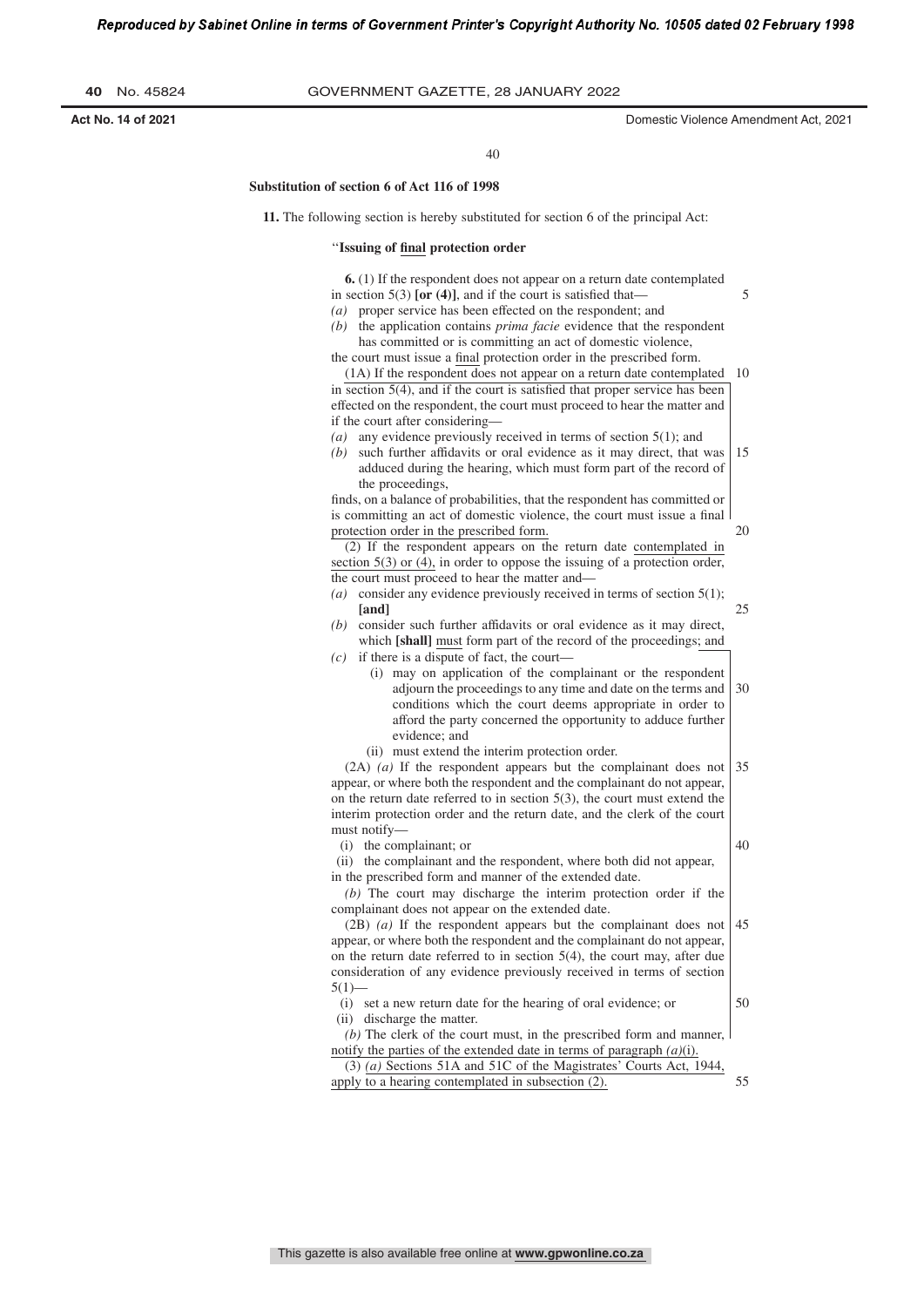|  | 40 |  | No. 45824 |
|--|----|--|-----------|
|--|----|--|-----------|

5

20

40

#### **Substitution of section 6 of Act 116 of 1998**

**11.** The following section is hereby substituted for section 6 of the principal Act:

#### ''**Issuing of ſnal protection order**

**6.** (1) If the respondent does not appear on a return date contemplated in section  $5(3)$  [or (4)], and if the court is satisfied that-

- *(a)* proper service has been effected on the respondent; and
- *(b)* the application contains *prima facie* evidence that the respondent has committed or is committing an act of domestic violence,

the court must issue a final protection order in the prescribed form. (1A) If the respondent does not appear on a return date contemplated 10

in section  $5(4)$ , and if the court is satisfied that proper service has been effected on the respondent, the court must proceed to hear the matter and if the court after considering—

- *(a)* any evidence previously received in terms of section 5(1); and
- *(b)* such further affidavits or oral evidence as it may direct, that was adduced during the hearing, which must form part of the record of the proceedings, 15

finds, on a balance of probabilities, that the respondent has committed or is committing an act of domestic violence, the court must issue a final protection order in the prescribed form.

(2) If the respondent appears on the return date contemplated in section 5(3) or (4), in order to oppose the issuing of a protection order, the court must proceed to hear the matter and—

- *(a)* consider any evidence previously received in terms of section 5(1); **[and]** 25
- *(b)* consider such further affidavits or oral evidence as it may direct, which **[shall]** must form part of the record of the proceedings; and *(c)* if there is a dispute of fact, the court—
	- (i) may on application of the complainant or the respondent adjourn the proceedings to any time and date on the terms and conditions which the court deems appropriate in order to afford the party concerned the opportunity to adduce further evidence; and 30
		- (ii) must extend the interim protection order.

(2A) *(a)* If the respondent appears but the complainant does not appear, or where both the respondent and the complainant do not appear, on the return date referred to in section 5(3), the court must extend the interim protection order and the return date, and the clerk of the court must notify— 35

(i) the complainant; or

40

50

(ii) the complainant and the respondent, where both did not appear, in the prescribed form and manner of the extended date.

*(b)* The court may discharge the interim protection order if the complainant does not appear on the extended date.

(2B) *(a)* If the respondent appears but the complainant does not appear, or where both the respondent and the complainant do not appear, on the return date referred to in section 5(4), the court may, after due consideration of any evidence previously received in terms of section  $5(1)$ — 45

(i) set a new return date for the hearing of oral evidence; or (ii) discharge the matter.

*(b)* The clerk of the court must, in the prescribed form and manner, notify the parties of the extended date in terms of paragraph *(a)*(i).

(3) *(a)* Sections 51A and 51C of the Magistrates' Courts Act, 1944, apply to a hearing contemplated in subsection (2). 55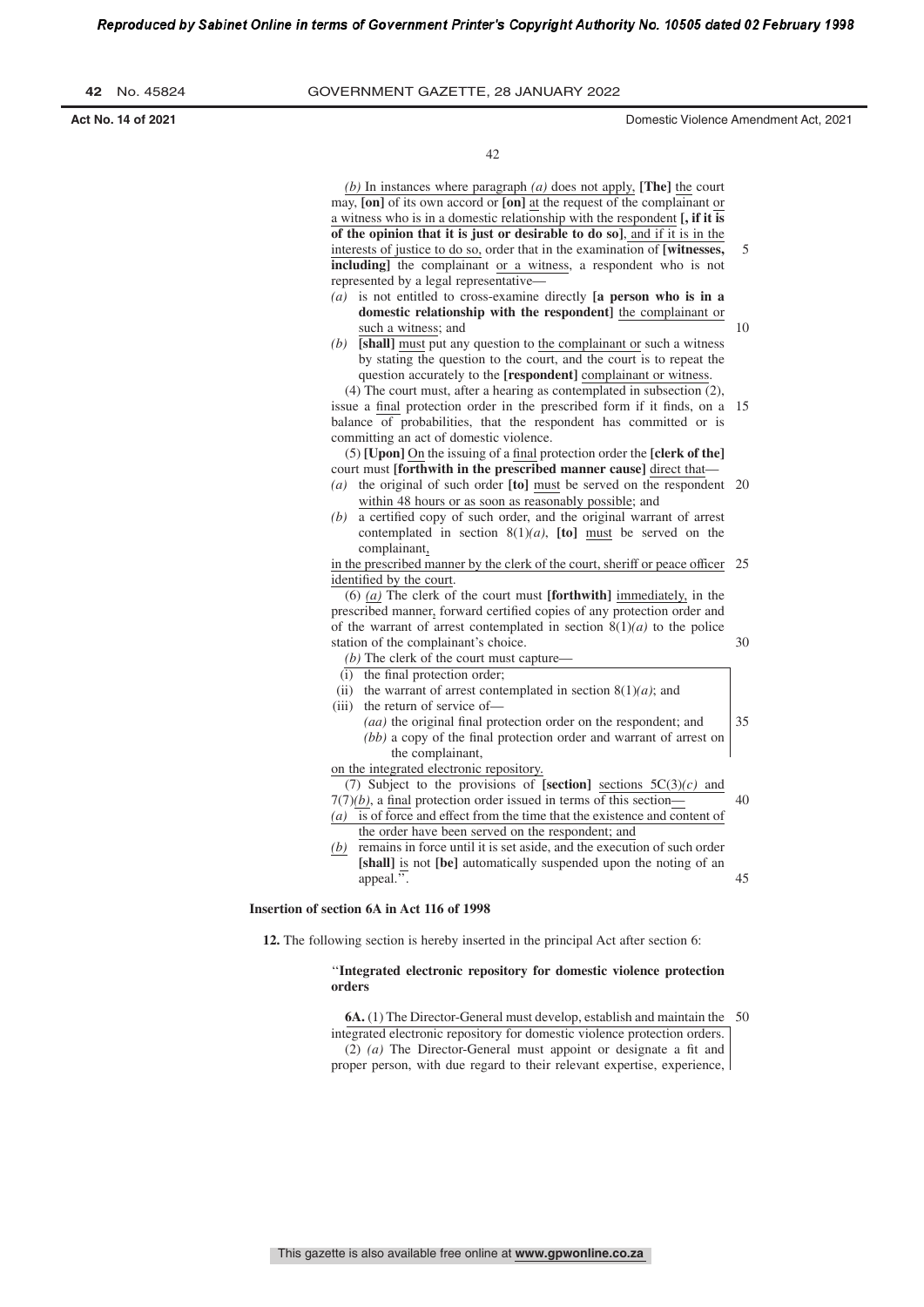| 42 |  | No. 45824 |
|----|--|-----------|
|----|--|-----------|

**Act No. 14 of 2021** Domestic Violence Amendment Act, 2021

42

*(b)* In instances where paragraph *(a)* does not apply, **[The]** the court may, **[on]** of its own accord or **[on]** at the request of the complainant or a witness who is in a domestic relationship with the respondent **[, if it is of the opinion that it is just or desirable to do so]**, and if it is in the interests of justice to do so, order that in the examination of **[witnesses, including]** the complainant or a witness, a respondent who is not represented by a legal representative— *(a)* is not entitled to cross-examine directly **[a person who is in a domestic relationship with the respondent]** the complainant or such a witness; and *(b)* **[shall]** must put any question to the complainant or such a witness by stating the question to the court, and the court is to repeat the question accurately to the **[respondent]** complainant or witness. (4) The court must, after a hearing as contemplated in subsection (2), issue a final protection order in the prescribed form if it finds, on a 15 balance of probabilities, that the respondent has committed or is committing an act of domestic violence. (5) **[Upon]** On the issuing of a final protection order the **[clerk of the]** court must **[forthwith in the prescribed manner cause]** direct that— *(a)* the original of such order **[to]** must be served on the respondent 20 within 48 hours or as soon as reasonably possible; and *(b)* a certified copy of such order, and the original warrant of arrest contemplated in section 8(1)*(a)*, **[to]** must be served on the complainant, in the prescribed manner by the clerk of the court, sheriff or peace officer 25 identified by the court. (6) *(a)* The clerk of the court must **[forthwith]** immediately, in the prescribed manner, forward certified copies of any protection order and of the warrant of arrest contemplated in section  $8(1)(a)$  to the police station of the complainant's choice.  $(b)$  The clerk of the court must capture- $(i)$  the final protection order; (ii) the warrant of arrest contemplated in section  $8(1)(a)$ ; and (iii) the return of service of— *(aa)* the original final protection order on the respondent; and *(bb)* a copy of the final protection order and warrant of arrest on the complainant, on the integrated electronic repository. (7) Subject to the provisions of **[section]** sections  $5C(3)(c)$  and  $7(7)(b)$ , a final protection order issued in terms of this section— *(a)* is of force and effect from the time that the existence and content of the order have been served on the respondent; and *(b)* remains in force until it is set aside, and the execution of such order **[shall]** is not **[be]** automatically suspended upon the noting of an appeal.' **Insertion of section 6A in Act 116 of 1998** 5 10 30 35 40 45

**12.** The following section is hereby inserted in the principal Act after section 6:

# ''**Integrated electronic repository for domestic violence protection orders**

**6A.** (1) The Director-General must develop, establish and maintain the 50

integrated electronic repository for domestic violence protection orders. (2) *(a)* The Director-General must appoint or designate a fit and proper person, with due regard to their relevant expertise, experience,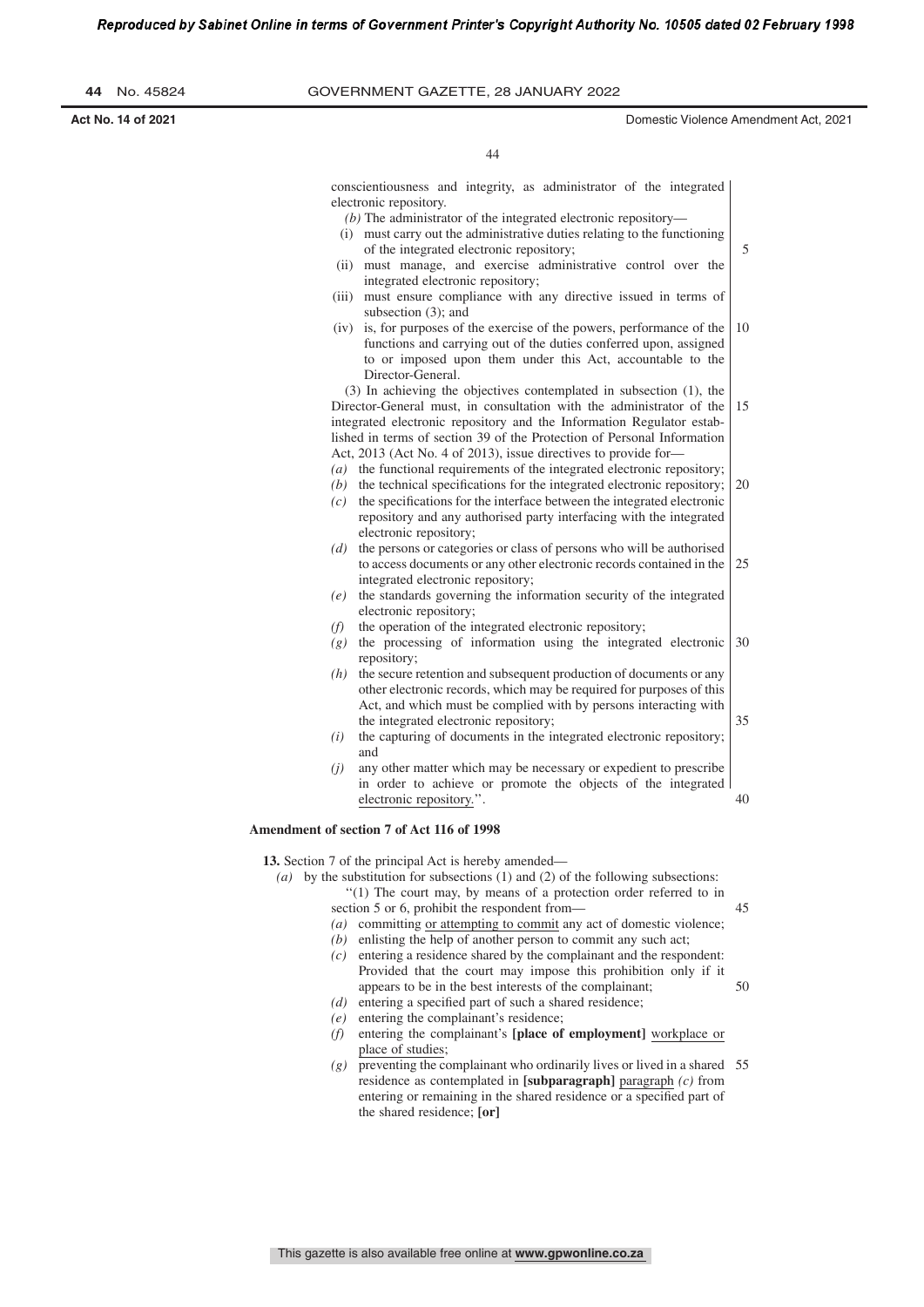**44** No. 45824 GOVERNMENT GAZETTE, 28 JANuARy 2022 **Act No. 14 of 2021** Domestic Violence Amendment Act, 2021 conscientiousness and integrity, as administrator of the integrated electronic repository. *(b)* The administrator of the integrated electronic repository— (i) must carry out the administrative duties relating to the functioning of the integrated electronic repository; (ii) must manage, and exercise administrative control over the integrated electronic repository; (iii) must ensure compliance with any directive issued in terms of subsection (3); and (iv) is, for purposes of the exercise of the powers, performance of the functions and carrying out of the duties conferred upon, assigned to or imposed upon them under this Act, accountable to the Director-General. (3) In achieving the objectives contemplated in subsection (1), the Director-General must, in consultation with the administrator of the integrated electronic repository and the Information Regulator established in terms of section 39 of the Protection of Personal Information Act, 2013 (Act No. 4 of 2013), issue directives to provide for— *(a)* the functional requirements of the integrated electronic repository; *(b)* the technical specifications for the integrated electronic repository;  $(c)$  the specifications for the interface between the integrated electronic repository and any authorised party interfacing with the integrated electronic repository; *(d)* the persons or categories or class of persons who will be authorised to access documents or any other electronic records contained in the integrated electronic repository; *(e)* the standards governing the information security of the integrated electronic repository; *(f)* the operation of the integrated electronic repository; *(g)* the processing of information using the integrated electronic repository; *(h)* the secure retention and subsequent production of documents or any other electronic records, which may be required for purposes of this Act, and which must be complied with by persons interacting with the integrated electronic repository; *(i)* the capturing of documents in the integrated electronic repository; and *(j)* any other matter which may be necessary or expedient to prescribe in order to achieve or promote the objects of the integrated electronic repository.' **Amendment of section 7 of Act 116 of 1998 13.** Section 7 of the principal Act is hereby amended— *(a)* by the substitution for subsections (1) and (2) of the following subsections: ''(1) The court may, by means of a protection order referred to in 5 10 15 20 25 30 35 40 44

> section 5 or 6, prohibit the respondent from— *(a)* committing or attempting to commit any act of domestic violence;

- *(b)* enlisting the help of another person to commit any such act;
- *(c)* entering a residence shared by the complainant and the respondent: Provided that the court may impose this prohibition only if it appears to be in the best interests of the complainant; 50
- *(d)* entering a specified part of such a shared residence;
- *(e)* entering the complainant's residence;
- *(f)* entering the complainant's **[place of employment]** workplace or place of studies;
- *(g)* preventing the complainant who ordinarily lives or lived in a shared 55 residence as contemplated in **[subparagraph]** paragraph *(c)* from entering or remaining in the shared residence or a specified part of the shared residence; **[or]**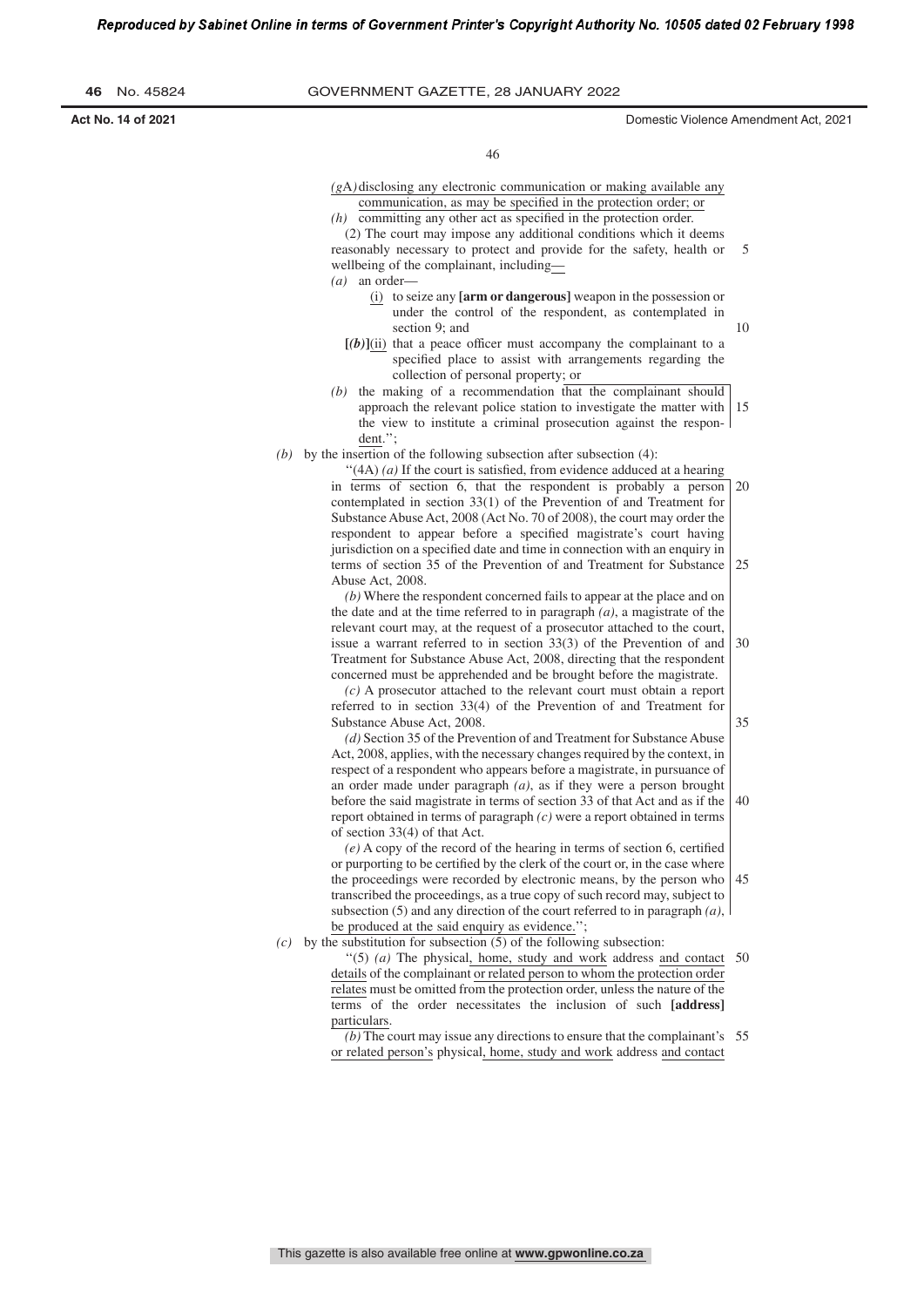| 46 | No. 45824 |
|----|-----------|
|    |           |

**46** No. 45824 GOVERNMENT GAZETTE, 28 JANuARy 2022

**Act No. 14 of 2021** Domestic Violence Amendment Act, 2021

46

*(g*A*)*disclosing any electronic communication or making available any communication, as may be specified in the protection order; or  $(h)$  committing any other act as specified in the protection order.

(2) The court may impose any additional conditions which it deems reasonably necessary to protect and provide for the safety, health or wellbeing of the complainant, including— *(a)* an order— (i) to seize any **[arm or dangerous]** weapon in the possession or under the control of the respondent, as contemplated in section 9; and  $[(b)]$ (ii) that a peace officer must accompany the complainant to a specified place to assist with arrangements regarding the collection of personal property; or  $(b)$  the making of a recommendation that the complainant should approach the relevant police station to investigate the matter with the view to institute a criminal prosecution against the respondent.''; *(b)* by the insertion of the following subsection after subsection (4):  $(4A)$  (*a*) If the court is satisfied, from evidence adduced at a hearing in terms of section 6, that the respondent is probably a person contemplated in section 33(1) of the Prevention of and Treatment for Substance Abuse Act, 2008 (Act No. 70 of 2008), the court may order the respondent to appear before a specified magistrate's court having jurisdiction on a specified date and time in connection with an enquiry in terms of section 35 of the Prevention of and Treatment for Substance Abuse Act, 2008. *(b)* Where the respondent concerned fails to appear at the place and on the date and at the time referred to in paragraph *(a)*, a magistrate of the relevant court may, at the request of a prosecutor attached to the court, issue a warrant referred to in section 33(3) of the Prevention of and Treatment for Substance Abuse Act, 2008, directing that the respondent concerned must be apprehended and be brought before the magistrate. *(c)* A prosecutor attached to the relevant court must obtain a report referred to in section 33(4) of the Prevention of and Treatment for Substance Abuse Act, 2008. *(d)* Section 35 of the Prevention of and Treatment for Substance Abuse Act, 2008, applies, with the necessary changes required by the context, in respect of a respondent who appears before a magistrate, in pursuance of an order made under paragraph *(a)*, as if they were a person brought before the said magistrate in terms of section 33 of that Act and as if the report obtained in terms of paragraph *(c)* were a report obtained in terms of section 33(4) of that Act.  $(e)$  A copy of the record of the hearing in terms of section 6, certified 5 10 15 20 25 30 35 40

or purporting to be certified by the clerk of the court or, in the case where the proceedings were recorded by electronic means, by the person who transcribed the proceedings, as a true copy of such record may, subject to subsection (5) and any direction of the court referred to in paragraph *(a)*, be produced at the said enquiry as evidence.''; 45

*(c)* by the substitution for subsection  $(5)$  of the following subsection:

''(5) *(a)* The physical, home, study and work address and contact 50 details of the complainant or related person to whom the protection order relates must be omitted from the protection order, unless the nature of the terms of the order necessitates the inclusion of such **[address]** particulars.

*(b)* The court may issue any directions to ensure that the complainant's 55 or related person's physical, home, study and work address and contact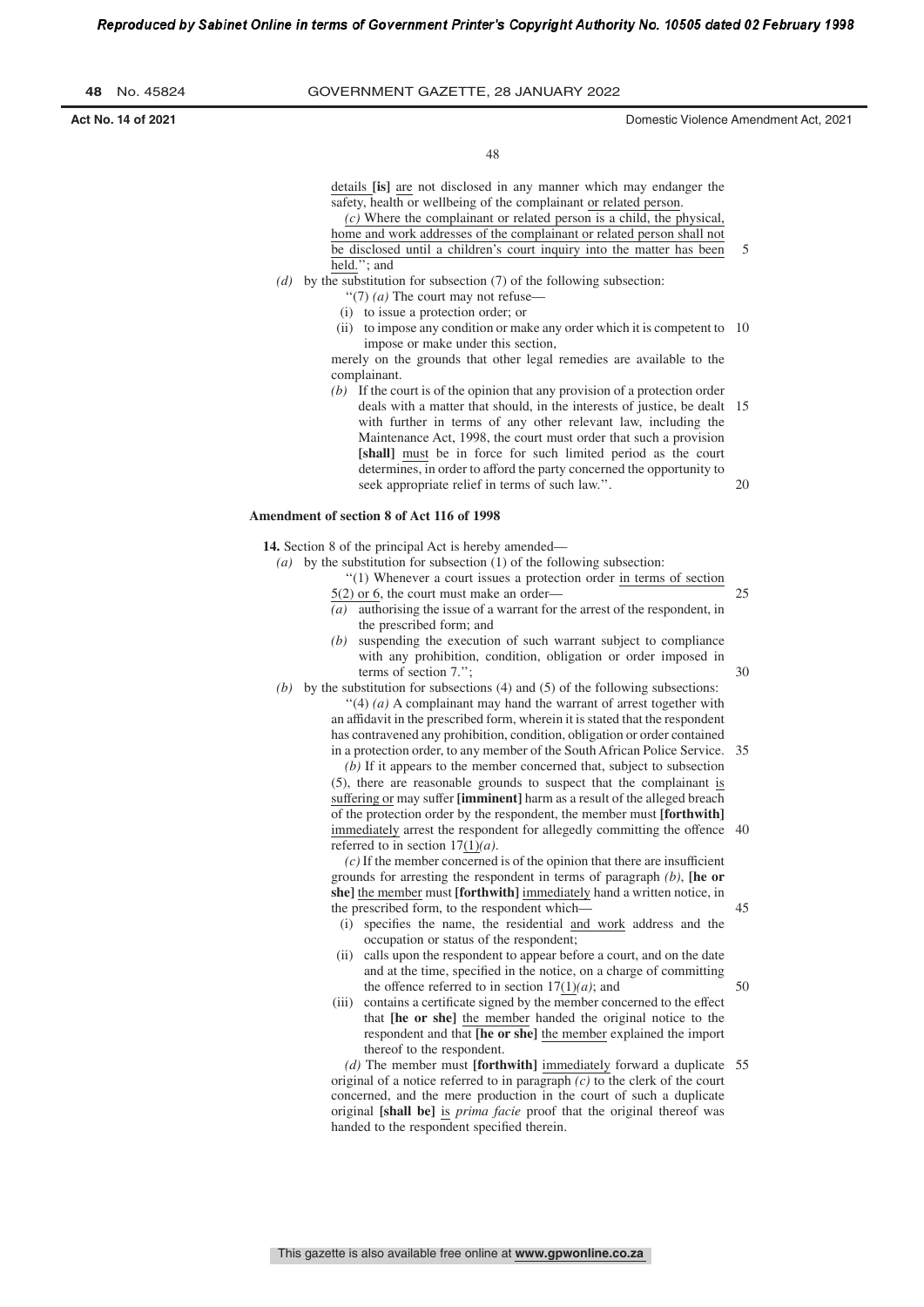**Act No. 14 of 2021** Domestic Violence Amendment Act, 2021

30

45

50

48

details **[is]** are not disclosed in any manner which may endanger the safety, health or wellbeing of the complainant or related person.

*(c)* Where the complainant or related person is a child, the physical, home and work addresses of the complainant or related person shall not be disclosed until a children's court inquiry into the matter has been held.''; and 5

- *(d)* by the substitution for subsection (7) of the following subsection:
	- ''(7) *(a)* The court may not refuse—
	- (i) to issue a protection order; or
	- (ii) to impose any condition or make any order which it is competent to 10 impose or make under this section,

merely on the grounds that other legal remedies are available to the complainant.

*(b)* If the court is of the opinion that any provision of a protection order deals with a matter that should, in the interests of justice, be dealt 15 with further in terms of any other relevant law, including the Maintenance Act, 1998, the court must order that such a provision **[shall]** must be in force for such limited period as the court determines, in order to afford the party concerned the opportunity to seek appropriate relief in terms of such law.''. 20

#### **Amendment of section 8 of Act 116 of 1998**

**14.** Section 8 of the principal Act is hereby amended—

- *(a)* by the substitution for subsection (1) of the following subsection:
	- ''(1) Whenever a court issues a protection order in terms of section 5(2) or 6, the court must make an order— 25
	- *(a)* authorising the issue of a warrant for the arrest of the respondent, in the prescribed form; and
	- *(b)* suspending the execution of such warrant subject to compliance with any prohibition, condition, obligation or order imposed in terms of section 7.'';

*(b)* by the substitution for subsections (4) and (5) of the following subsections: ''(4) *(a)* A complainant may hand the warrant of arrest together with an affidavit in the prescribed form, wherein it is stated that the respondent has contravened any prohibition, condition, obligation or order contained

in a protection order, to any member of the SouthAfrican Police Service. 35 *(b)* If it appears to the member concerned that, subject to subsection (5), there are reasonable grounds to suspect that the complainant is suffering or may suffer **[imminent]** harm as a result of the alleged breach of the protection order by the respondent, the member must **[forthwith]** immediately arrest the respondent for allegedly committing the offence 40

referred to in section 17(1)*(a)*. *(c)* If the member concerned is of the opinion that there are insufficient grounds for arresting the respondent in terms of paragraph *(b)*, **[he or she]** the member must **[forthwith]** immediately hand a written notice, in the prescribed form, to the respondent which—

- (i) specifies the name, the residential and work address and the occupation or status of the respondent;
- (ii) calls upon the respondent to appear before a court, and on the date and at the time, specified in the notice, on a charge of committing the offence referred to in section  $17(1)(a)$ ; and
- (iii) contains a certificate signed by the member concerned to the effect that **[he or she]** the member handed the original notice to the respondent and that **[he or she]** the member explained the import thereof to the respondent.

*(d)* The member must **[forthwith]** immediately forward a duplicate 55 original of a notice referred to in paragraph *(c)* to the clerk of the court concerned, and the mere production in the court of such a duplicate original **[shall be]** is *prima facie* proof that the original thereof was handed to the respondent specified therein.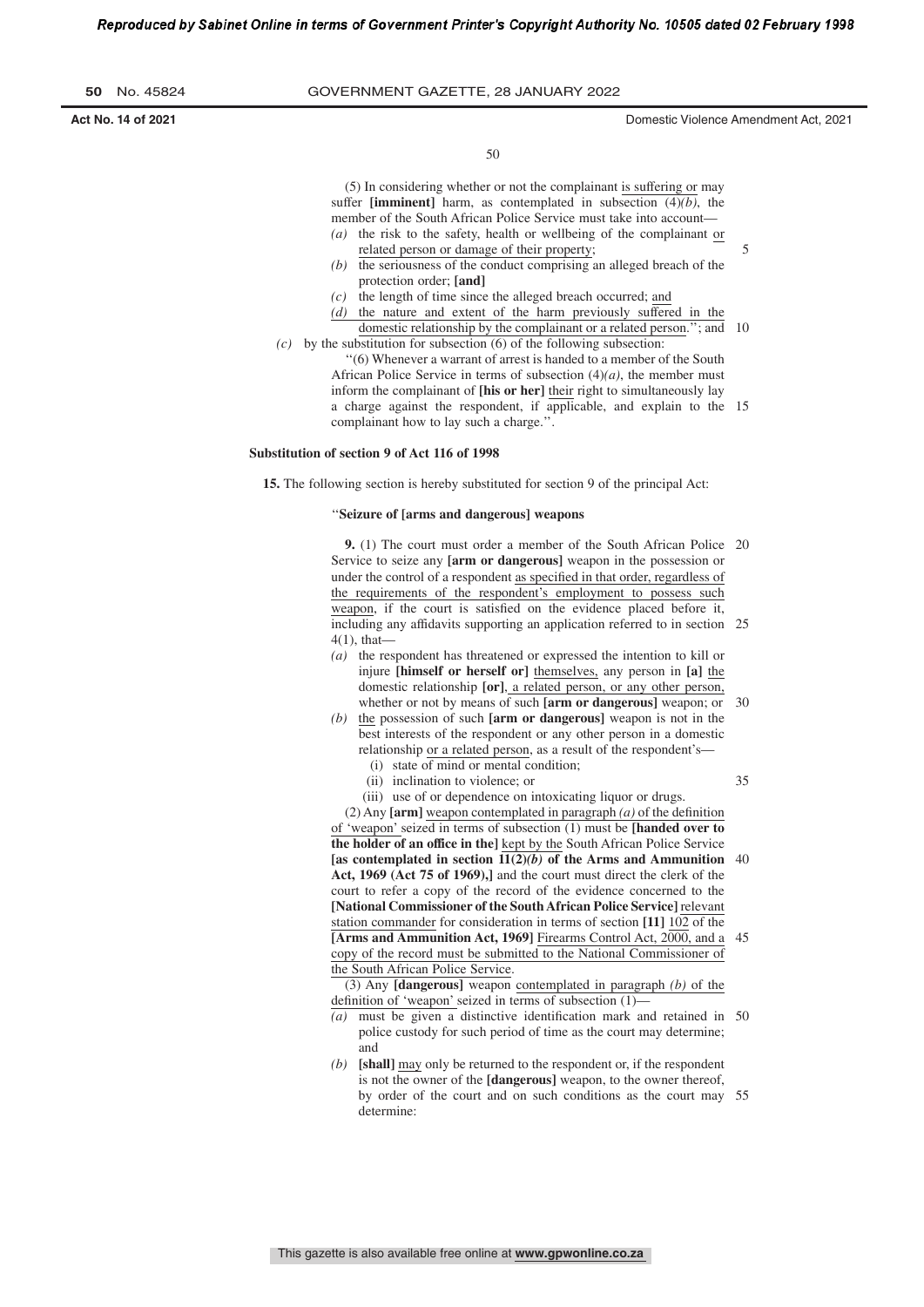**Act No. 14 of 2021** Domestic Violence Amendment Act, 2021

5

50

(5) In considering whether or not the complainant is suffering or may suffer **[imminent]** harm, as contemplated in subsection (4)*(b)*, the member of the South African Police Service must take into account—

- *(a)* the risk to the safety, health or wellbeing of the complainant or related person or damage of their property;
- *(b)* the seriousness of the conduct comprising an alleged breach of the protection order; **[and]**
- *(c)* the length of time since the alleged breach occurred; and
- *(d)* the nature and extent of the harm previously suffered in the domestic relationship by the complainant or a related person.''; and 10 *(c)* by the substitution for subsection (6) of the following subsection:
	- ''(6) Whenever a warrant of arrest is handed to a member of the South African Police Service in terms of subsection  $(4)(a)$ , the member must inform the complainant of **[his or her]** their right to simultaneously lay a charge against the respondent, if applicable, and explain to the 15 complainant how to lay such a charge.''.

#### **Substitution of section 9 of Act 116 of 1998**

**15.** The following section is hereby substituted for section 9 of the principal Act:

### ''**Seizure of [arms and dangerous] weapons**

**9.** (1) The court must order a member of the South African Police 20 Service to seize any **[arm or dangerous]** weapon in the possession or under the control of a respondent as specified in that order, regardless of the requirements of the respondent's employment to possess such weapon, if the court is satisfied on the evidence placed before it, including any affidavits supporting an application referred to in section 25 4(1), that—

- *(a)* the respondent has threatened or expressed the intention to kill or injure **[himself or herself or]** themselves, any person in **[a]** the domestic relationship **[or]**, a related person, or any other person, whether or not by means of such **[arm or dangerous]** weapon; or  $30$
- *(b)* the possession of such **[arm or dangerous]** weapon is not in the best interests of the respondent or any other person in a domestic relationship or a related person, as a result of the respondent's—
	- (i) state of mind or mental condition; (ii) inclination to violence; or
- 35
- (iii) use of or dependence on intoxicating liquor or drugs.

(2) Any  $\text{[arm]}$  weapon contemplated in paragraph  $\text{[a)}$  of the definition of 'weapon' seized in terms of subsection (1) must be **[handed over to the holder of an office in the]** kept by the South African Police Service **[as contemplated in section 11(2)***(b)* **of the Arms and Ammunition** 40 **Act, 1969 (Act 75 of 1969),]** and the court must direct the clerk of the court to refer a copy of the record of the evidence concerned to the **[National Commissioner of the SouthAfrican Police Service]** relevant station commander for consideration in terms of section **[11]** 102 of the **[Arms and Ammunition Act, 1969]** Firearms Control Act, 2000, and a copy of the record must be submitted to the National Commissioner of the South African Police Service. 45

(3) Any **[dangerous]** weapon contemplated in paragraph *(b)* of the definition of 'weapon' seized in terms of subsection  $(1)$ —

- (a) must be given a distinctive identification mark and retained in 50 police custody for such period of time as the court may determine; and
- *(b)* **[shall]** may only be returned to the respondent or, if the respondent is not the owner of the **[dangerous]** weapon, to the owner thereof, by order of the court and on such conditions as the court may 55 determine: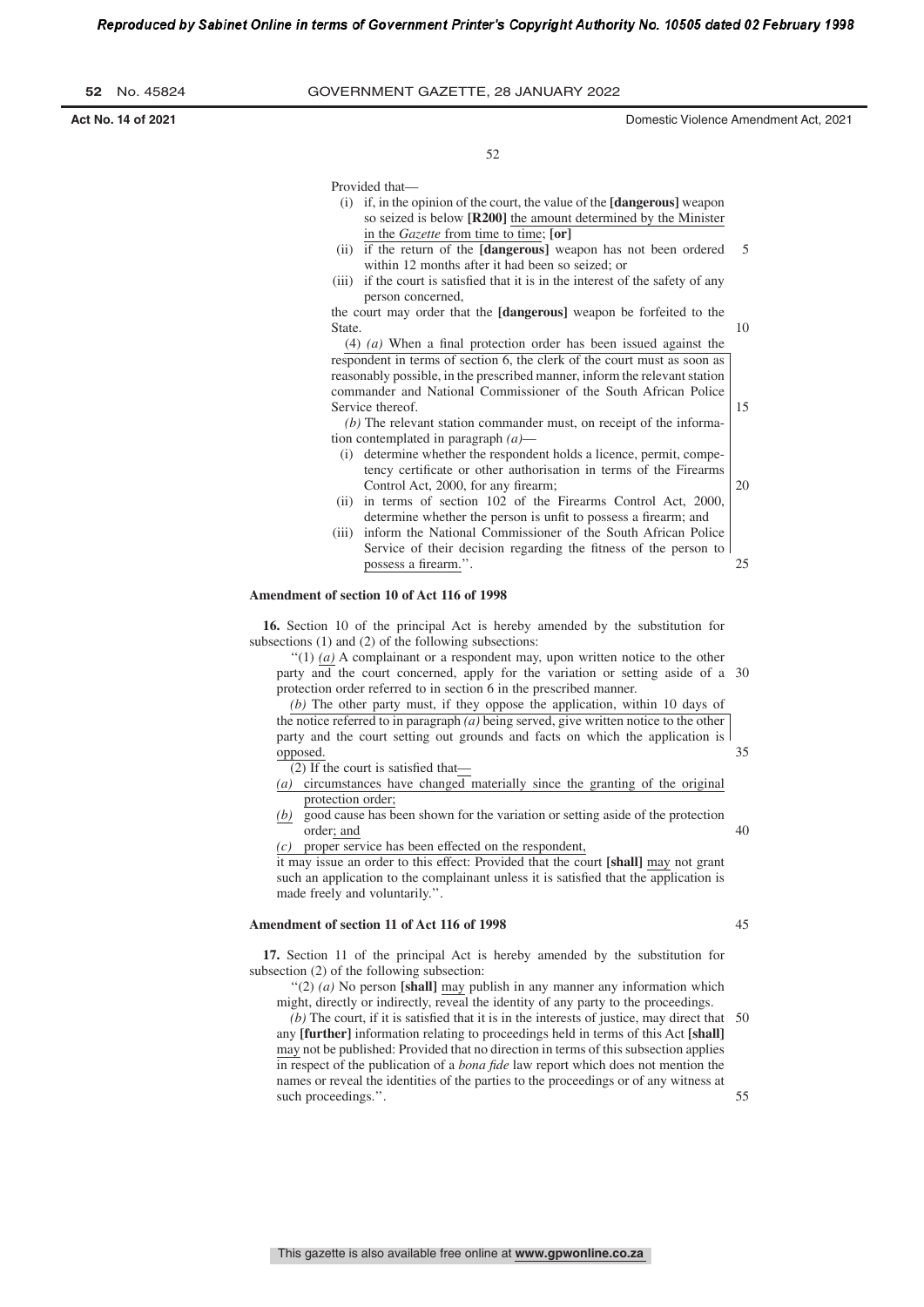| 52 |  | No. 45824 |
|----|--|-----------|
|----|--|-----------|

**Act No. 14 of 2021** Domestic Violence Amendment Act, 2021

10

20

52

Provided that—

- (i) if, in the opinion of the court, the value of the **[dangerous]** weapon so seized is below **[R200]** the amount determined by the Minister in the *Gazette* from time to time; **[or]**
- (ii) if the return of the **[dangerous]** weapon has not been ordered within 12 months after it had been so seized; or 5
- (iii) if the court is satisfied that it is in the interest of the safety of any person concerned,

the court may order that the **[dangerous]** weapon be forfeited to the State.

(4) *(a)* When a final protection order has been issued against the respondent in terms of section 6, the clerk of the court must as soon as reasonably possible, in the prescribed manner, inform the relevant station commander and National Commissioner of the South African Police Service thereof. 15

*(b)* The relevant station commander must, on receipt of the information contemplated in paragraph *(a)*—

- (i) determine whether the respondent holds a licence, permit, competency certificate or other authorisation in terms of the Firearms Control Act, 2000, for any firearm;
- (ii) in terms of section 102 of the Firearms Control Act, 2000, determine whether the person is unfit to possess a firearm; and
- (iii) inform the National Commissioner of the South African Police Service of their decision regarding the fitness of the person to possess a firearm.". 25

#### **Amendment of section 10 of Act 116 of 1998**

**16.** Section 10 of the principal Act is hereby amended by the substitution for subsections (1) and (2) of the following subsections:

 $''(1)$  (a) A complainant or a respondent may, upon written notice to the other party and the court concerned, apply for the variation or setting aside of a 30 protection order referred to in section 6 in the prescribed manner.

*(b)* The other party must, if they oppose the application, within 10 days of the notice referred to in paragraph *(a)* being served, give written notice to the other party and the court setting out grounds and facts on which the application is opposed. 35

(2) If the court is satisfied that-

- *(a)* circumstances have changed materially since the granting of the original protection order;
- *(b)* good cause has been shown for the variation or setting aside of the protection order; and

*(c)* proper service has been effected on the respondent,

it may issue an order to this effect: Provided that the court **[shall]** may not grant such an application to the complainant unless it is satisfied that the application is made freely and voluntarily.''.

### **Amendment of section 11 of Act 116 of 1998**

**17.** Section 11 of the principal Act is hereby amended by the substitution for subsection (2) of the following subsection:

''(2) *(a)* No person **[shall]** may publish in any manner any information which might, directly or indirectly, reveal the identity of any party to the proceedings.

 $(b)$  The court, if it is satisfied that it is in the interests of justice, may direct that  $50$ any **[further]** information relating to proceedings held in terms of this Act **[shall]** may not be published: Provided that no direction in terms of this subsection applies in respect of the publication of a *bona �de* law report which does not mention the names or reveal the identities of the parties to the proceedings or of any witness at such proceedings.''. 55

40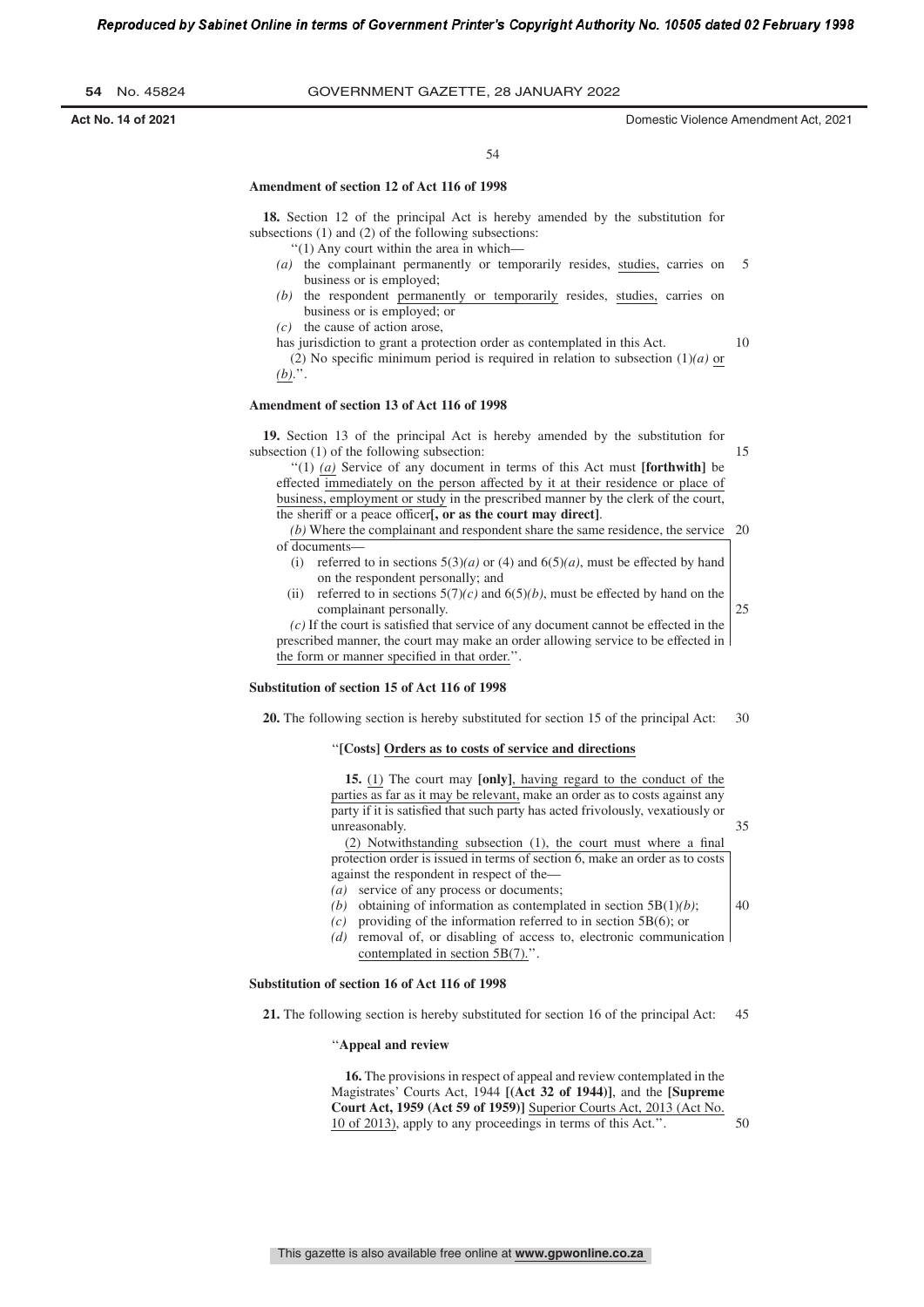**54** No. 45824 GOVERNMENT GAZETTE, 28 JANuARy 2022

**Act No. 14 of 2021** Domestic Violence Amendment Act, 2021

54

#### **Amendment of section 12 of Act 116 of 1998**

**18.** Section 12 of the principal Act is hereby amended by the substitution for subsections (1) and (2) of the following subsections:

''(1) Any court within the area in which—

- *(a)* the complainant permanently or temporarily resides, studies, carries on business or is employed; 5
- *(b)* the respondent permanently or temporarily resides, studies, carries on business or is employed; or
- *(c)* the cause of action arose,

10

has jurisdiction to grant a protection order as contemplated in this Act. (2) No specific minimum period is required in relation to subsection  $(1)(a)$  or  $(b)$ .".

#### **Amendment of section 13 of Act 116 of 1998**

**19.** Section 13 of the principal Act is hereby amended by the substitution for subsection (1) of the following subsection: 15

''(1) *(a)* Service of any document in terms of this Act must **[forthwith]** be effected immediately on the person affected by it at their residence or place of business, employment or study in the prescribed manner by the clerk of the court, the sheriff or a peace officer**[, or as the court may direct]**.

*(b)* Where the complainant and respondent share the same residence, the service 20 of documents—

- (i) referred to in sections  $5(3)(a)$  or (4) and  $6(5)(a)$ , must be effected by hand on the respondent personally; and
- (ii) referred to in sections  $5(7)(c)$  and  $6(5)(b)$ , must be effected by hand on the complainant personally.

25

35

40

*(c)* If the court is satisſed that service of any document cannot be effected in the prescribed manner, the court may make an order allowing service to be effected in the form or manner specified in that order."

#### **Substitution of section 15 of Act 116 of 1998**

**20.** The following section is hereby substituted for section 15 of the principal Act: 30

#### ''**[Costs] Orders as to costs of service and directions**

**15.** (1) The court may **[only]**, having regard to the conduct of the parties as far as it may be relevant, make an order as to costs against any party if it is satisfied that such party has acted frivolously, vexatiously or unreasonably.

 $(2)$  Notwithstanding subsection  $(1)$ , the court must where a final protection order is issued in terms of section 6, make an order as to costs against the respondent in respect of the—

- *(a)* service of any process or documents;
- *(b)* obtaining of information as contemplated in section 5B(1)*(b)*;
- *(c)* providing of the information referred to in section 5B(6); or
- *(d)* removal of, or disabling of access to, electronic communication contemplated in section 5B(7).''.

#### **Substitution of section 16 of Act 116 of 1998**

**21.** The following section is hereby substituted for section 16 of the principal Act: 45

#### ''**Appeal and review**

**16.** The provisions in respect of appeal and review contemplated in the Magistrates' Courts Act, 1944 **[(Act 32 of 1944)]**, and the **[Supreme Court Act, 1959 (Act 59 of 1959)]** Superior Courts Act, 2013 (Act No. 10 of 2013), apply to any proceedings in terms of this Act.''.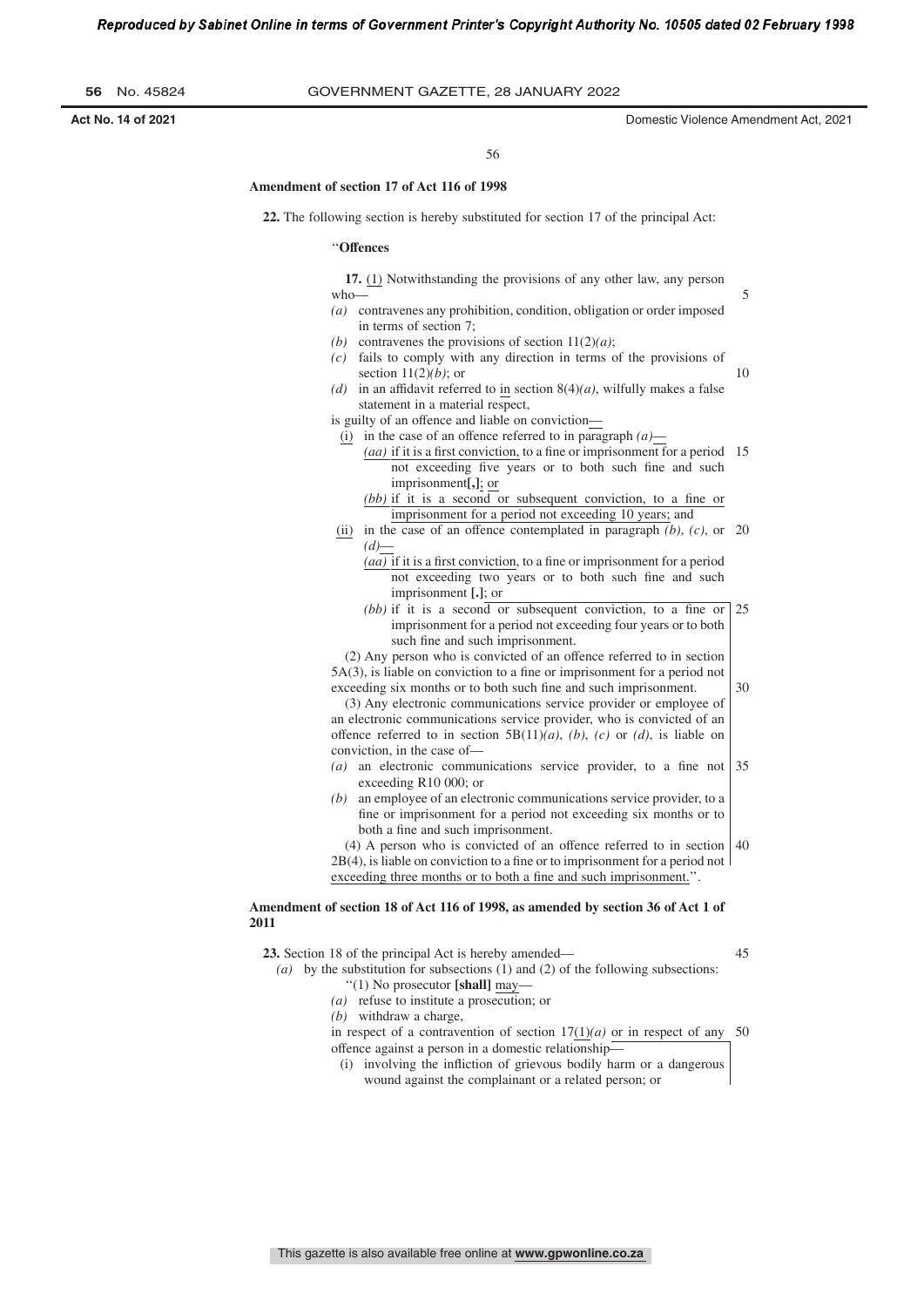| 56 |  | No. 45824 |
|----|--|-----------|
|----|--|-----------|

5

56

#### **Amendment of section 17 of Act 116 of 1998**

**22.** The following section is hereby substituted for section 17 of the principal Act:

#### ''**Offences**

**17.** (1) Notwithstanding the provisions of any other law, any person who—

- *(a)* contravenes any prohibition, condition, obligation or order imposed in terms of section 7;
- *(b)* contravenes the provisions of section 11(2)*(a)*;
- *(c)* fails to comply with any direction in terms of the provisions of section 11(2)*(b)*; or 10
- *(d)* in an affidavit referred to in section 8(4)*(a)*, wilfully makes a false statement in a material respect,
- is guilty of an offence and liable on conviction—
- (i) in the case of an offence referred to in paragraph  $(a)$ 
	- (aa) if it is a first conviction, to a fine or imprisonment for a period 15 not exceeding five years or to both such fine and such imprisonment**[,]**; or
		- *(bb)* if it is a second or subsequent conviction, to a fine or imprisonment for a period not exceeding 10 years; and
- (ii) in the case of an offence contemplated in paragraph *(b)*, *(c)*, or 20 *(d)*—
	- $(a\overline{a})$  if it is a first conviction, to a fine or imprisonment for a period not exceeding two years or to both such fine and such imprisonment **[.]**; or
	- *(bb)* if it is a second or subsequent conviction, to a fine or imprisonment for a period not exceeding four years or to both such fine and such imprisonment. 25

(2) Any person who is convicted of an offence referred to in section  $5A(3)$ , is liable on conviction to a fine or imprisonment for a period not exceeding six months or to both such fine and such imprisonment.

(3) Any electronic communications service provider or employee of an electronic communications service provider, who is convicted of an offence referred to in section 5B(11)*(a)*, *(b)*, *(c)* or *(d)*, is liable on conviction, in the case of—

- *(a)* an electronic communications service provider, to a fine not exceeding R10 000; or 35
- *(b)* an employee of an electronic communications service provider, to a fine or imprisonment for a period not exceeding six months or to both a fine and such imprisonment.

(4) A person who is convicted of an offence referred to in section  $2B(4)$ , is liable on conviction to a fine or to imprisonment for a period not exceeding three months or to both a fine and such imprisonment.". 40

# **Amendment of section 18 of Act 116 of 1998, as amended by section 36 of Act 1 of 2011**

**23.** Section 18 of the principal Act is hereby amended—

45

30

*(a)* by the substitution for subsections (1) and (2) of the following subsections: ''(1) No prosecutor **[shall]** may—

- *(a)* refuse to institute a prosecution; or
- *(b)* withdraw a charge,

in respect of a contravention of section  $17(1)(a)$  or in respect of any 50 offence against a person in a domestic relationship—

(i) involving the infliction of grievous bodily harm or a dangerous wound against the complainant or a related person; or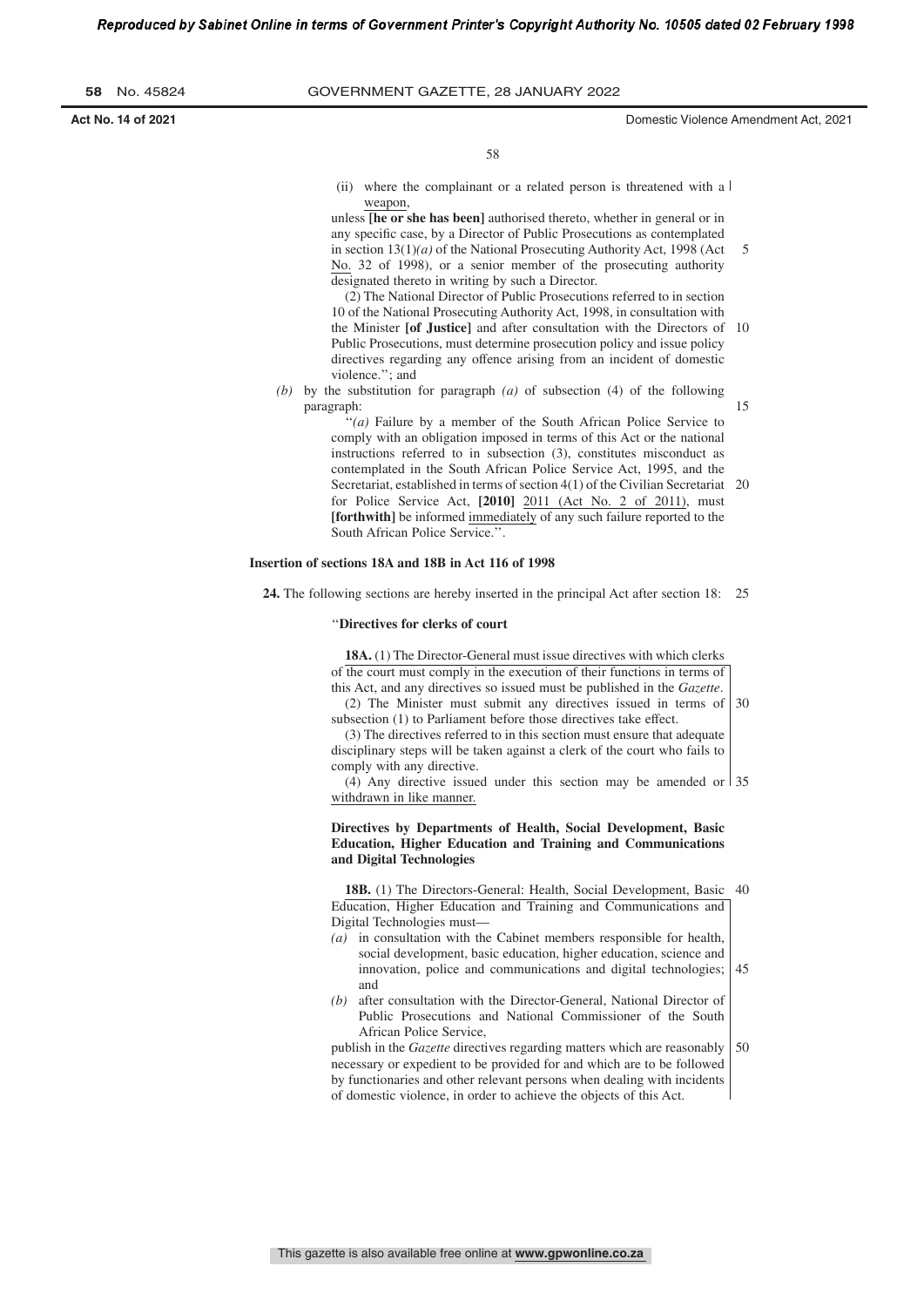**Act No. 14 of 2021** Domestic Violence Amendment Act, 2021

15

58

(ii) where the complainant or a related person is threatened with a  $\vert$ weapon,

unless **[he or she has been]** authorised thereto, whether in general or in any specific case, by a Director of Public Prosecutions as contemplated in section  $13(1)(a)$  of the National Prosecuting Authority Act, 1998 (Act No. 32 of 1998), or a senior member of the prosecuting authority designated thereto in writing by such a Director. 5

(2) The National Director of Public Prosecutions referred to in section 10 of the National Prosecuting Authority Act, 1998, in consultation with the Minister **[of Justice]** and after consultation with the Directors of 10 Public Prosecutions, must determine prosecution policy and issue policy directives regarding any offence arising from an incident of domestic violence.''; and

*(b)* by the substitution for paragraph *(a)* of subsection (4) of the following paragraph:

> ''*(a)* Failure by a member of the South African Police Service to comply with an obligation imposed in terms of this Act or the national instructions referred to in subsection (3), constitutes misconduct as contemplated in the South African Police Service Act, 1995, and the Secretariat, established in terms of section 4(1) of the Civilian Secretariat 20 for Police Service Act, **[2010]** 2011 (Act No. 2 of 2011), must **[forthwith]** be informed immediately of any such failure reported to the South African Police Service.''.

#### **Insertion of sections 18A and 18B in Act 116 of 1998**

**24.** The following sections are hereby inserted in the principal Act after section 18: 25

#### ''**Directives for clerks of court**

**18A.** (1) The Director-General must issue directives with which clerks of the court must comply in the execution of their functions in terms of this Act, and any directives so issued must be published in the *Gazette*.

(2) The Minister must submit any directives issued in terms of subsection (1) to Parliament before those directives take effect.  $30$ 

(3) The directives referred to in this section must ensure that adequate disciplinary steps will be taken against a clerk of the court who fails to comply with any directive.

(4) Any directive issued under this section may be amended or 35 withdrawn in like manner.

# **Directives by Departments of Health, Social Development, Basic Education, Higher Education and Training and Communications and Digital Technologies**

**18B.** (1) The Directors-General: Health, Social Development, Basic 40 Education, Higher Education and Training and Communications and Digital Technologies must—

- *(a)* in consultation with the Cabinet members responsible for health, social development, basic education, higher education, science and innovation, police and communications and digital technologies; and 45
- *(b)* after consultation with the Director-General, National Director of Public Prosecutions and National Commissioner of the South African Police Service,

publish in the *Gazette* directives regarding matters which are reasonably necessary or expedient to be provided for and which are to be followed by functionaries and other relevant persons when dealing with incidents of domestic violence, in order to achieve the objects of this Act. 50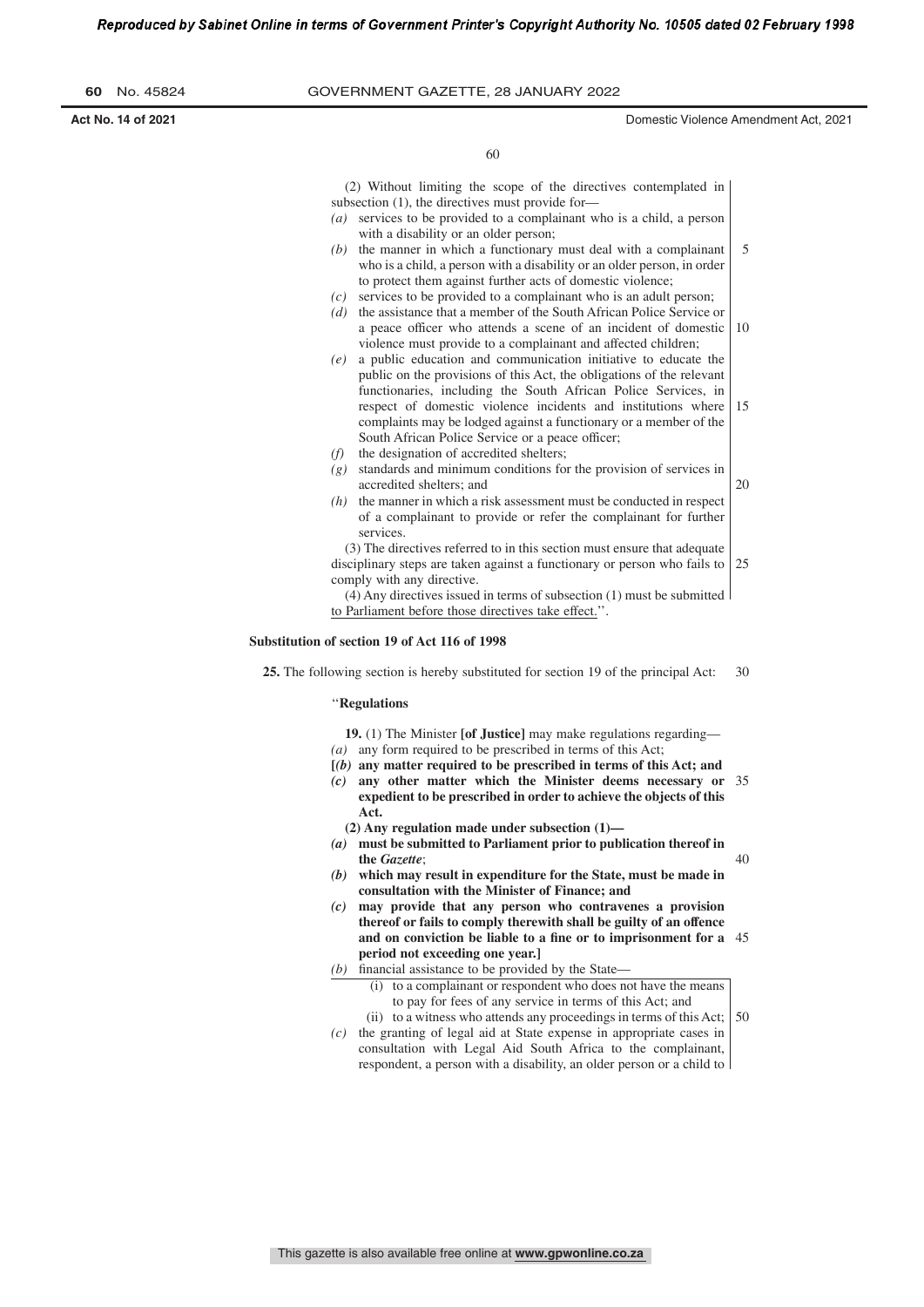**Act No. 14 of 2021** Domestic Violence Amendment Act, 2021

60

(2) Without limiting the scope of the directives contemplated in subsection (1), the directives must provide for-

- *(a)* services to be provided to a complainant who is a child, a person with a disability or an older person;
- *(b)* the manner in which a functionary must deal with a complainant who is a child, a person with a disability or an older person, in order to protect them against further acts of domestic violence; 5
- *(c)* services to be provided to a complainant who is an adult person;
- *(d)* the assistance that a member of the South African Police Service or a peace officer who attends a scene of an incident of domestic violence must provide to a complainant and affected children; 10
- *(e)* a public education and communication initiative to educate the public on the provisions of this Act, the obligations of the relevant functionaries, including the South African Police Services, in respect of domestic violence incidents and institutions where complaints may be lodged against a functionary or a member of the South African Police Service or a peace officer; 15
- *(f)* the designation of accredited shelters;
- *(g)* standards and minimum conditions for the provision of services in accredited shelters; and 20
- *(h)* the manner in which a risk assessment must be conducted in respect of a complainant to provide or refer the complainant for further services.

(3) The directives referred to in this section must ensure that adequate disciplinary steps are taken against a functionary or person who fails to comply with any directive. 25

(4) Any directives issued in terms of subsection (1) must be submitted to Parliament before those directives take effect.''.

# **Substitution of section 19 of Act 116 of 1998**

**25.** The following section is hereby substituted for section 19 of the principal Act: 30

#### ''**Regulations**

**19.** (1) The Minister **[of Justice]** may make regulations regarding— *(a)* any form required to be prescribed in terms of this Act;

- **[***(b)* **any matter required to be prescribed in terms of this Act; and**
- *(c)* **any other matter which the Minister deems necessary or** 35 **expedient to be prescribed in order to achieve the objects of this Act.**

**(2) Any regulation made under subsection (1)—**

- *(a)* **must be submitted to Parliament prior to publication thereof in the** *Gazette*; 40
- *(b)* **which may result in expenditure for the State, must be made in consultation with the Minister of Finance; and**
- *(c)* **may provide that any person who contravenes a provision thereof or fails to comply therewith shall be guilty of an offence** and on conviction be liable to a fine or to imprisonment for a 45 **period not exceeding one year.]**
- $(b)$  financial assistance to be provided by the State—
	- (i) to a complainant or respondent who does not have the means to pay for fees of any service in terms of this Act; and
- (ii) to a witness who attends any proceedings in terms of this Act; *(c)* the granting of legal aid at State expense in appropriate cases in 50
	- consultation with Legal Aid South Africa to the complainant, respondent, a person with a disability, an older person or a child to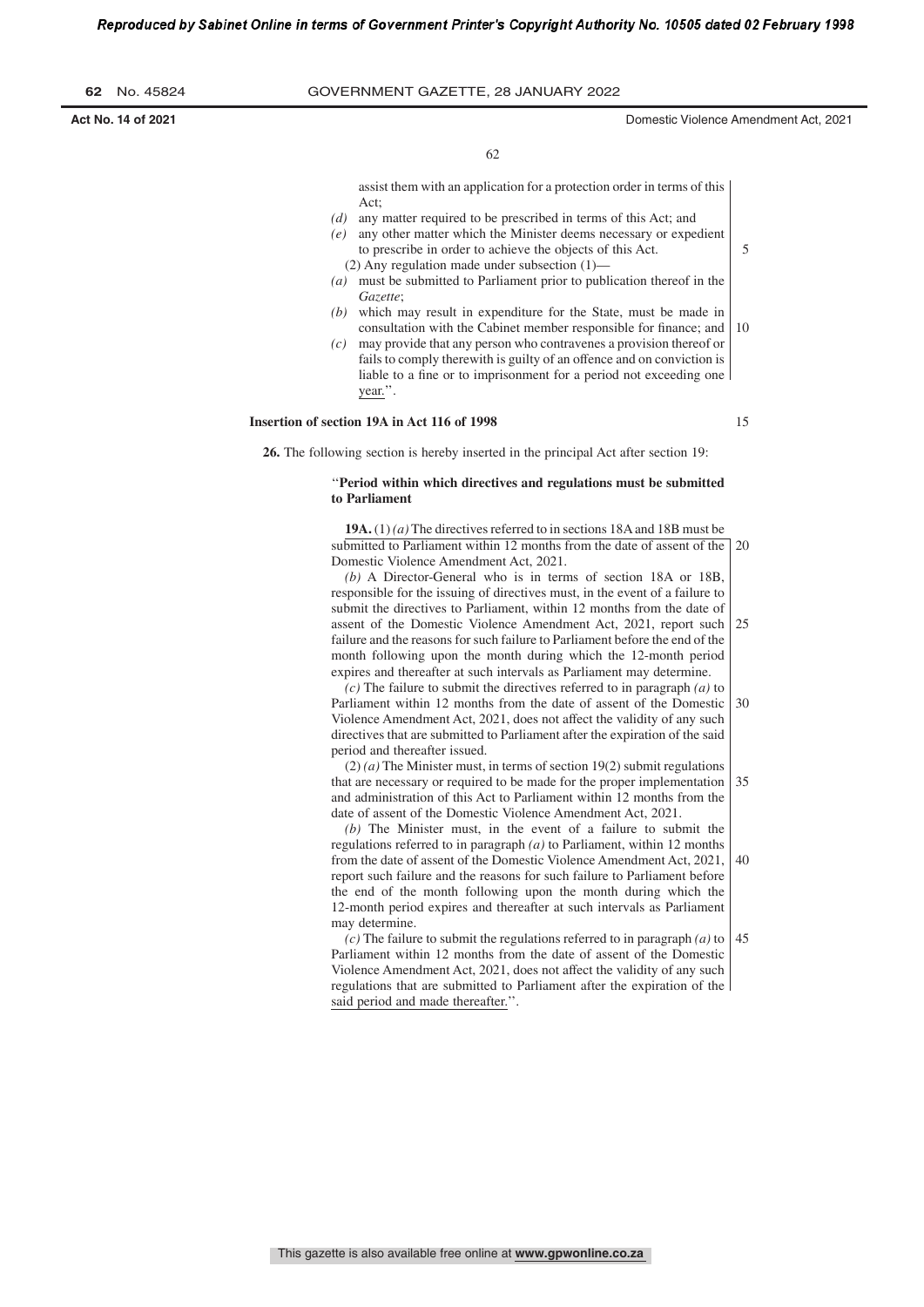| 62 |  | No. 45824 |
|----|--|-----------|
|----|--|-----------|

**Act No. 14 of 2021** Domestic Violence Amendment Act, 2021

5

62

assist them with an application for a protection order in terms of this Act;

- *(d)* any matter required to be prescribed in terms of this Act; and
- *(e)* any other matter which the Minister deems necessary or expedient to prescribe in order to achieve the objects of this Act.
- (2) Any regulation made under subsection (1)— *(a)* must be submitted to Parliament prior to publication thereof in the *Gazette*;
- *(b)* which may result in expenditure for the State, must be made in consultation with the Cabinet member responsible for finance; and 10
- *(c)* may provide that any person who contravenes a provision thereof or fails to comply therewith is guilty of an offence and on conviction is liable to a fine or to imprisonment for a period not exceeding one year.''.

#### **Insertion of section 19A in Act 116 of 1998**

15

**26.** The following section is hereby inserted in the principal Act after section 19:

# ''**Period within which directives and regulations must be submitted to Parliament**

**19A.** (1) *(a)* The directives referred to in sections 18Aand 18B must be submitted to Parliament within 12 months from the date of assent of the 20 Domestic Violence Amendment Act, 2021.

*(b)* A Director-General who is in terms of section 18A or 18B, responsible for the issuing of directives must, in the event of a failure to submit the directives to Parliament, within 12 months from the date of assent of the Domestic Violence Amendment Act, 2021, report such failure and the reasons for such failure to Parliament before the end of the month following upon the month during which the 12-month period expires and thereafter at such intervals as Parliament may determine.  $25$ 

*(c)* The failure to submit the directives referred to in paragraph *(a)* to Parliament within 12 months from the date of assent of the Domestic Violence Amendment Act, 2021, does not affect the validity of any such directives that are submitted to Parliament after the expiration of the said period and thereafter issued. 30

(2) *(a)* The Minister must, in terms of section 19(2) submit regulations that are necessary or required to be made for the proper implementation and administration of this Act to Parliament within 12 months from the date of assent of the Domestic Violence Amendment Act, 2021. 35

*(b)* The Minister must, in the event of a failure to submit the regulations referred to in paragraph *(a)* to Parliament, within 12 months from the date of assent of the Domestic Violence Amendment Act, 2021, report such failure and the reasons for such failure to Parliament before the end of the month following upon the month during which the 12-month period expires and thereafter at such intervals as Parliament may determine. 40

*(c)* The failure to submit the regulations referred to in paragraph *(a)* to Parliament within 12 months from the date of assent of the Domestic Violence Amendment Act, 2021, does not affect the validity of any such regulations that are submitted to Parliament after the expiration of the said period and made thereafter.''. 45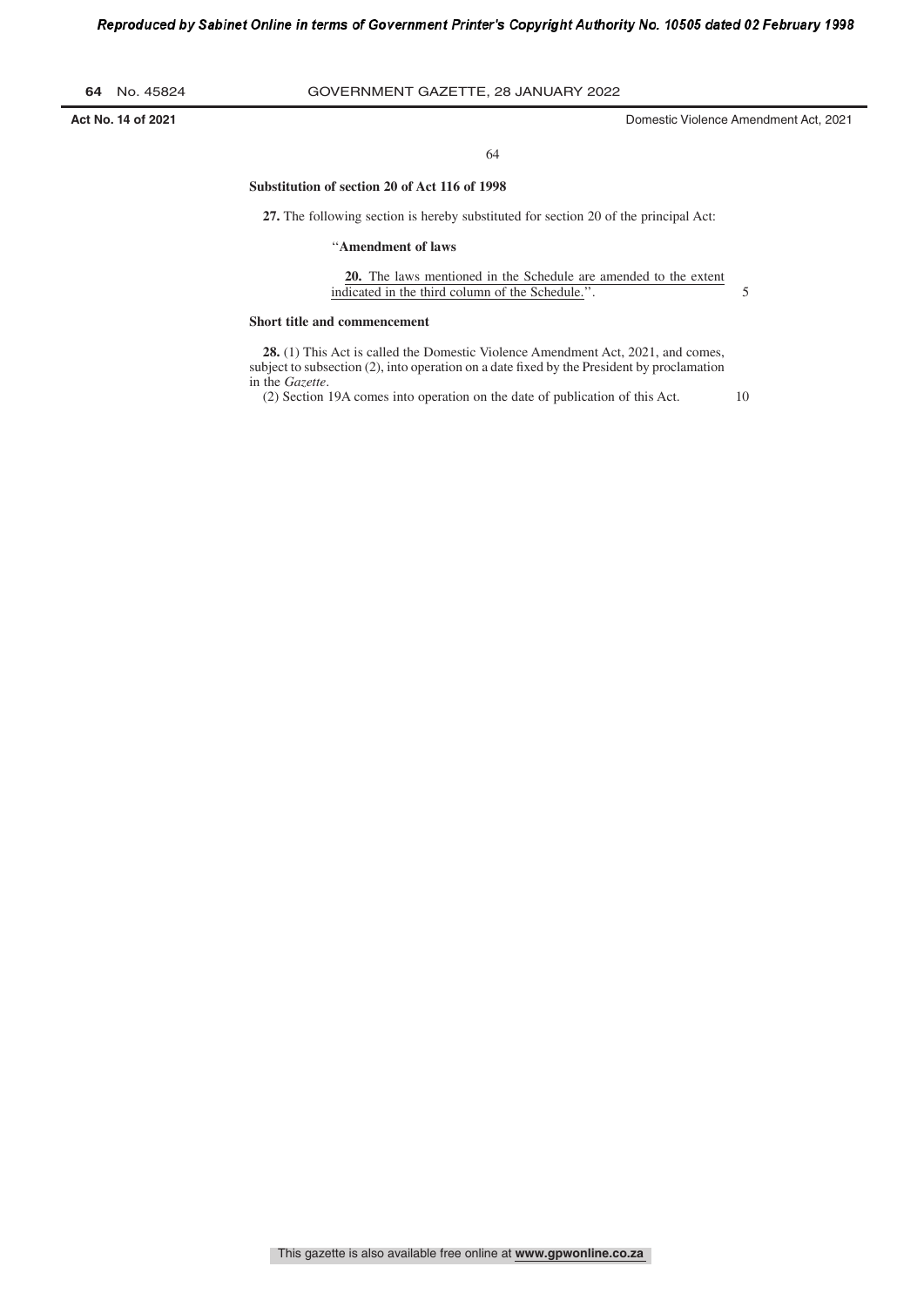**Act No. 14 of 2021** Domestic Violence Amendment Act, 2021

#### 64

### **Substitution of section 20 of Act 116 of 1998**

**27.** The following section is hereby substituted for section 20 of the principal Act:

# ''**Amendment of laws**

**20.** The laws mentioned in the Schedule are amended to the extent indicated in the third column of the Schedule.''. 5

#### **Short title and commencement**

**28.** (1) This Act is called the Domestic Violence Amendment Act, 2021, and comes, subject to subsection (2), into operation on a date fixed by the President by proclamation in the *Gazette*.

(2) Section 19A comes into operation on the date of publication of this Act.